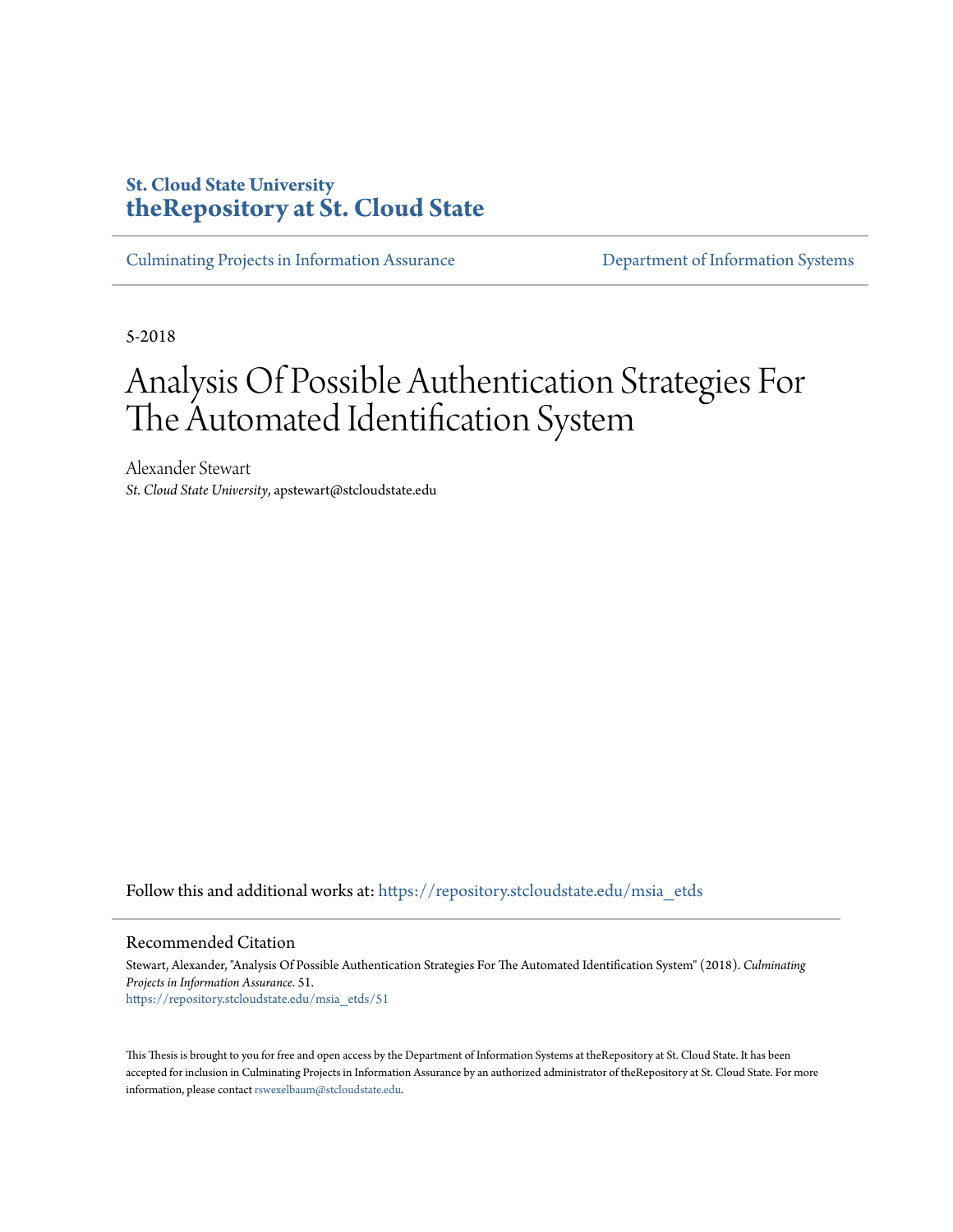## **St. Cloud State University [theRepository at St. Cloud State](https://repository.stcloudstate.edu?utm_source=repository.stcloudstate.edu%2Fmsia_etds%2F51&utm_medium=PDF&utm_campaign=PDFCoverPages)**

[Culminating Projects in Information Assurance](https://repository.stcloudstate.edu/msia_etds?utm_source=repository.stcloudstate.edu%2Fmsia_etds%2F51&utm_medium=PDF&utm_campaign=PDFCoverPages) [Department of Information Systems](https://repository.stcloudstate.edu/iais?utm_source=repository.stcloudstate.edu%2Fmsia_etds%2F51&utm_medium=PDF&utm_campaign=PDFCoverPages)

5-2018

# Analysis Of Possible Authentication Strategies For The Automated Identification System

Alexander Stewart *St. Cloud State University*, apstewart@stcloudstate.edu

Follow this and additional works at: [https://repository.stcloudstate.edu/msia\\_etds](https://repository.stcloudstate.edu/msia_etds?utm_source=repository.stcloudstate.edu%2Fmsia_etds%2F51&utm_medium=PDF&utm_campaign=PDFCoverPages)

#### Recommended Citation

Stewart, Alexander, "Analysis Of Possible Authentication Strategies For The Automated Identification System" (2018). *Culminating Projects in Information Assurance*. 51. [https://repository.stcloudstate.edu/msia\\_etds/51](https://repository.stcloudstate.edu/msia_etds/51?utm_source=repository.stcloudstate.edu%2Fmsia_etds%2F51&utm_medium=PDF&utm_campaign=PDFCoverPages)

This Thesis is brought to you for free and open access by the Department of Information Systems at theRepository at St. Cloud State. It has been accepted for inclusion in Culminating Projects in Information Assurance by an authorized administrator of theRepository at St. Cloud State. For more information, please contact [rswexelbaum@stcloudstate.edu.](mailto:rswexelbaum@stcloudstate.edu)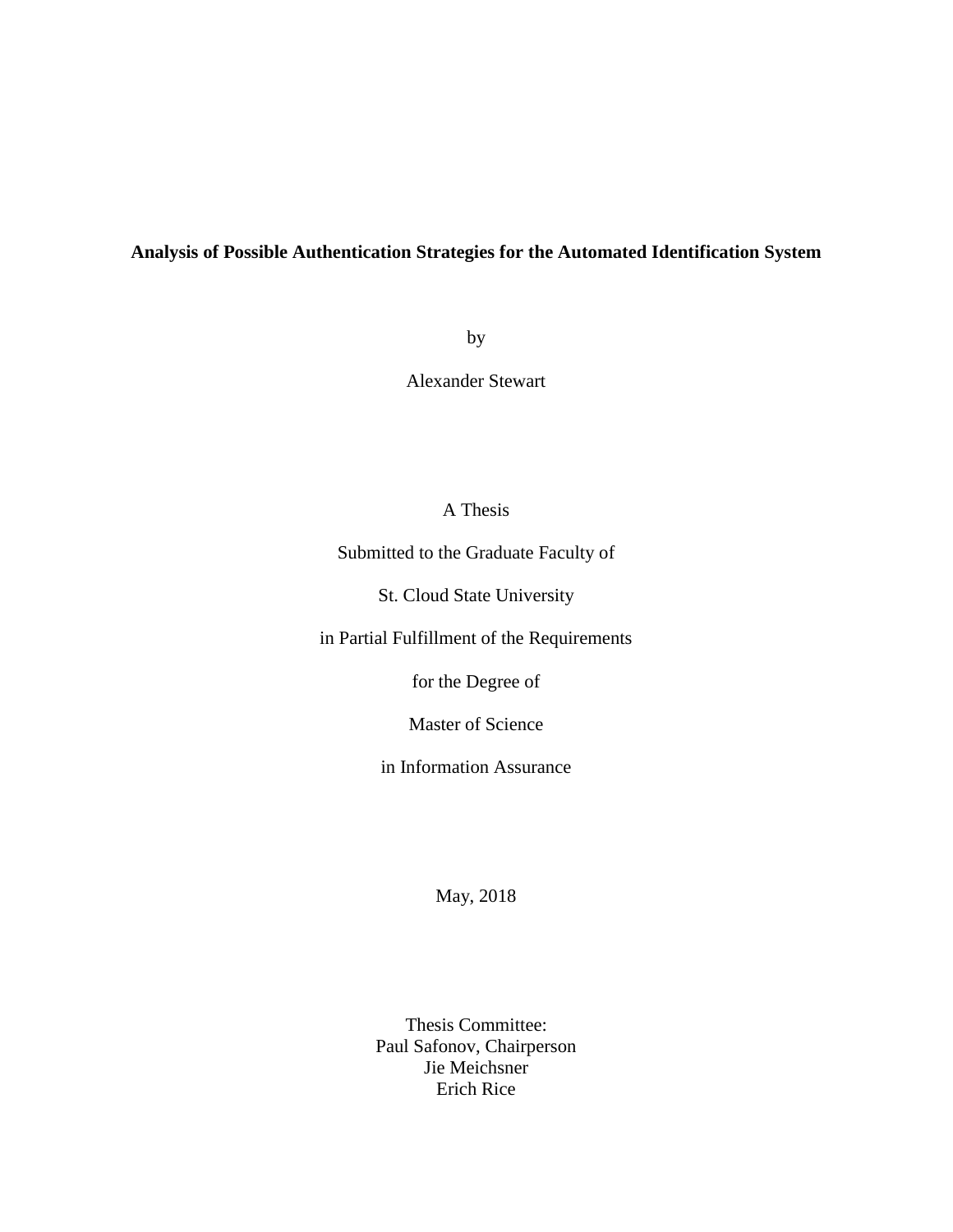### **Analysis of Possible Authentication Strategies for the Automated Identification System**

by

Alexander Stewart

## A Thesis

Submitted to the Graduate Faculty of

St. Cloud State University

in Partial Fulfillment of the Requirements

for the Degree of

Master of Science

in Information Assurance

May, 2018

Thesis Committee: Paul Safonov, Chairperson Jie Meichsner Erich Rice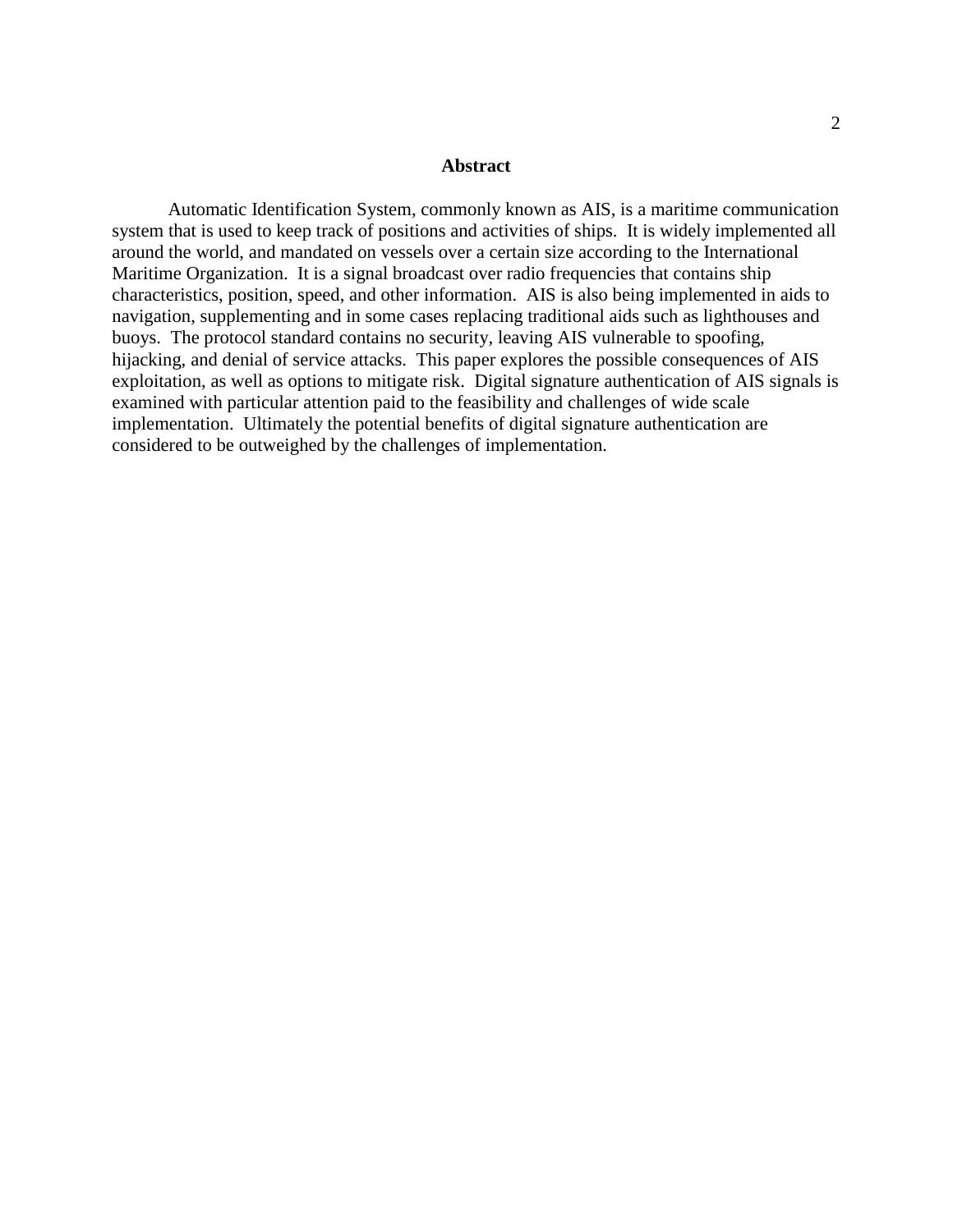#### **Abstract**

Automatic Identification System, commonly known as AIS, is a maritime communication system that is used to keep track of positions and activities of ships. It is widely implemented all around the world, and mandated on vessels over a certain size according to the International Maritime Organization. It is a signal broadcast over radio frequencies that contains ship characteristics, position, speed, and other information. AIS is also being implemented in aids to navigation, supplementing and in some cases replacing traditional aids such as lighthouses and buoys. The protocol standard contains no security, leaving AIS vulnerable to spoofing, hijacking, and denial of service attacks. This paper explores the possible consequences of AIS exploitation, as well as options to mitigate risk. Digital signature authentication of AIS signals is examined with particular attention paid to the feasibility and challenges of wide scale implementation. Ultimately the potential benefits of digital signature authentication are considered to be outweighed by the challenges of implementation.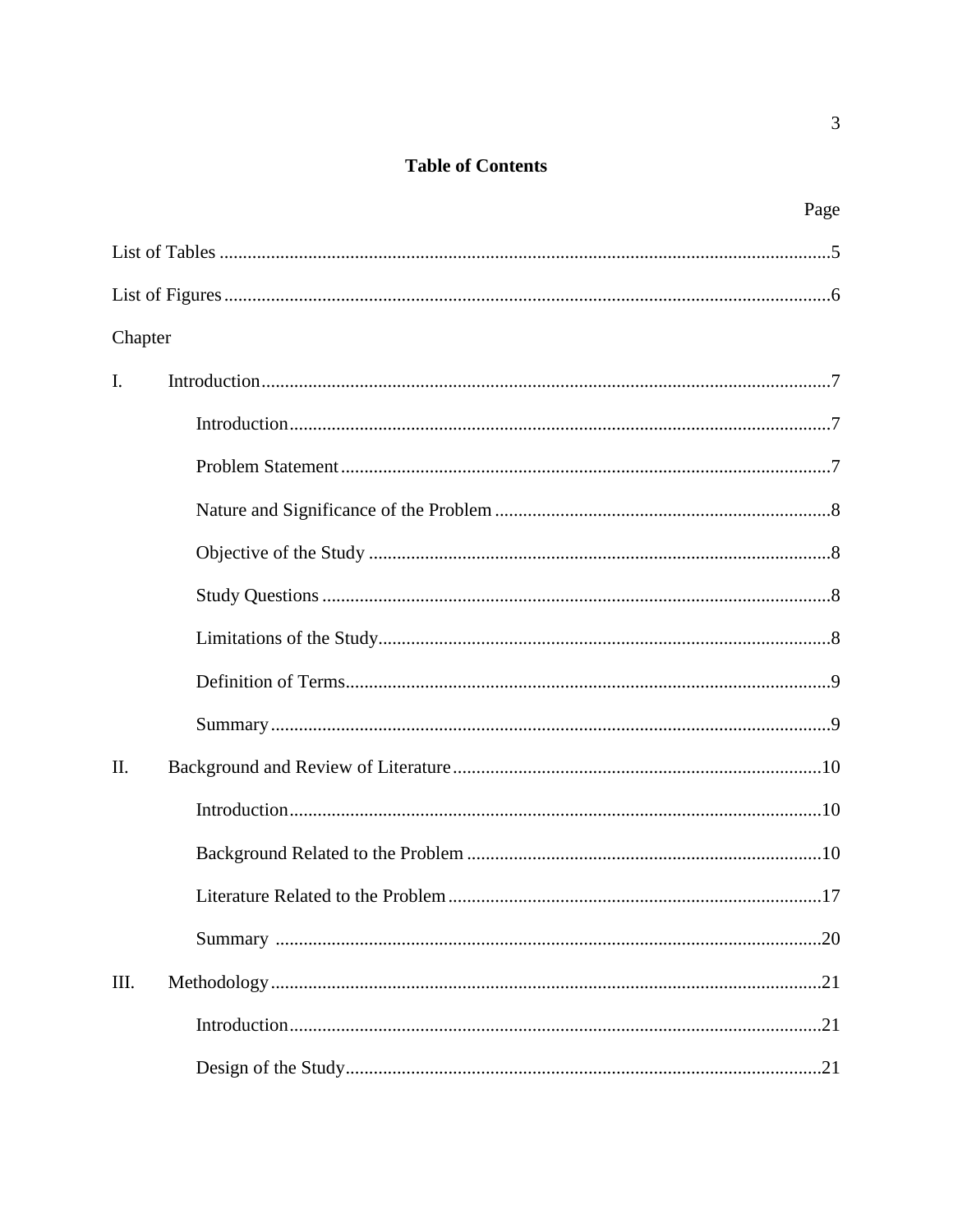## **Table of Contents**

|                | Page |
|----------------|------|
|                |      |
|                |      |
| Chapter        |      |
| $\mathbf{I}$ . |      |
|                |      |
|                |      |
|                |      |
|                |      |
|                |      |
|                |      |
|                |      |
|                |      |
| II.            |      |
|                |      |
|                |      |
|                | 17   |
|                |      |
| III.           |      |
|                |      |
|                |      |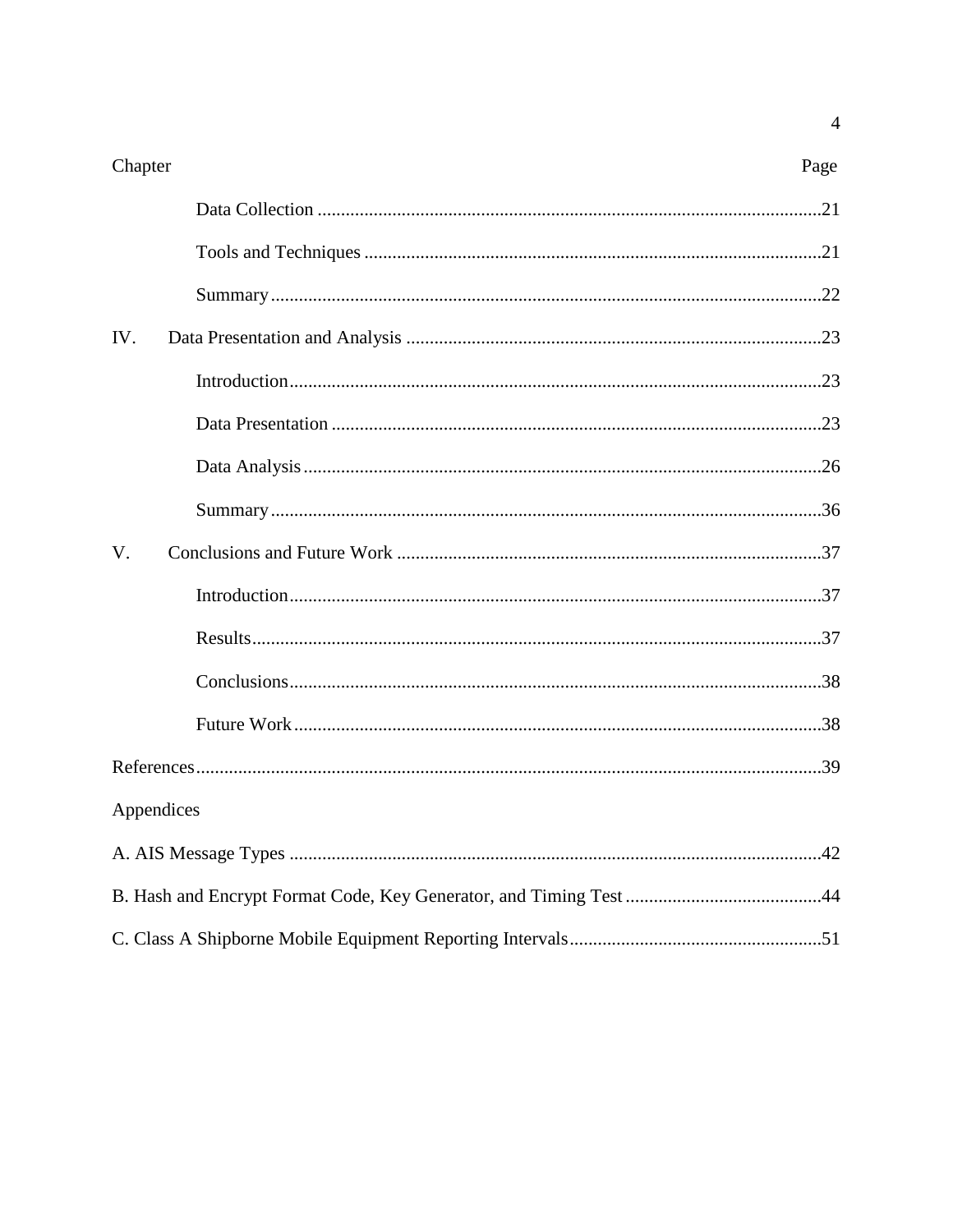| Chapter     | Page |
|-------------|------|
|             |      |
|             |      |
|             |      |
| IV.         |      |
|             |      |
|             |      |
|             |      |
|             |      |
| $V_{\cdot}$ |      |
|             |      |
|             |      |
|             |      |
|             |      |
|             |      |
| Appendices  |      |
|             |      |
|             |      |
|             |      |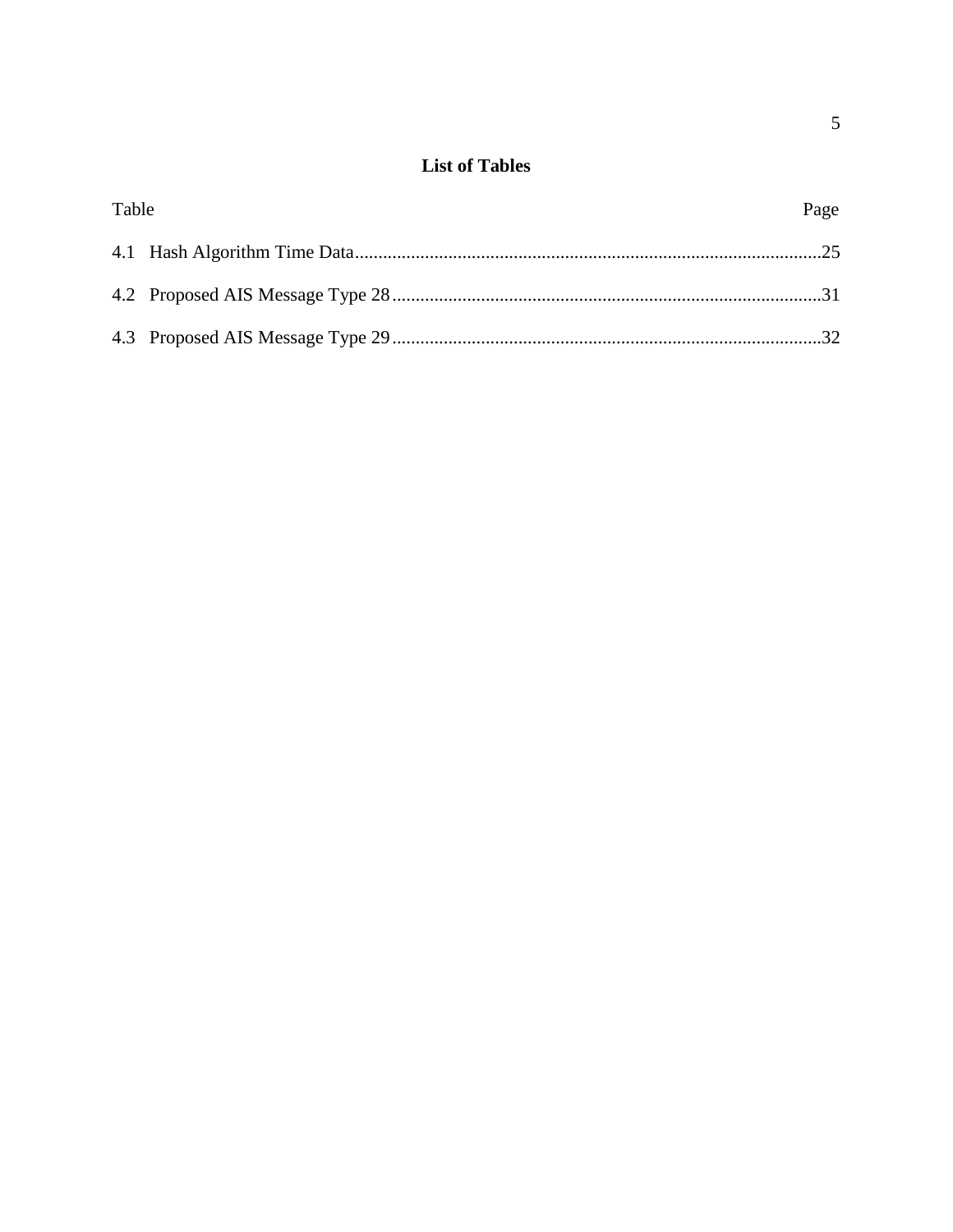## **List of Tables**

| <b>Table</b> | Page |
|--------------|------|
|              |      |
|              |      |
|              |      |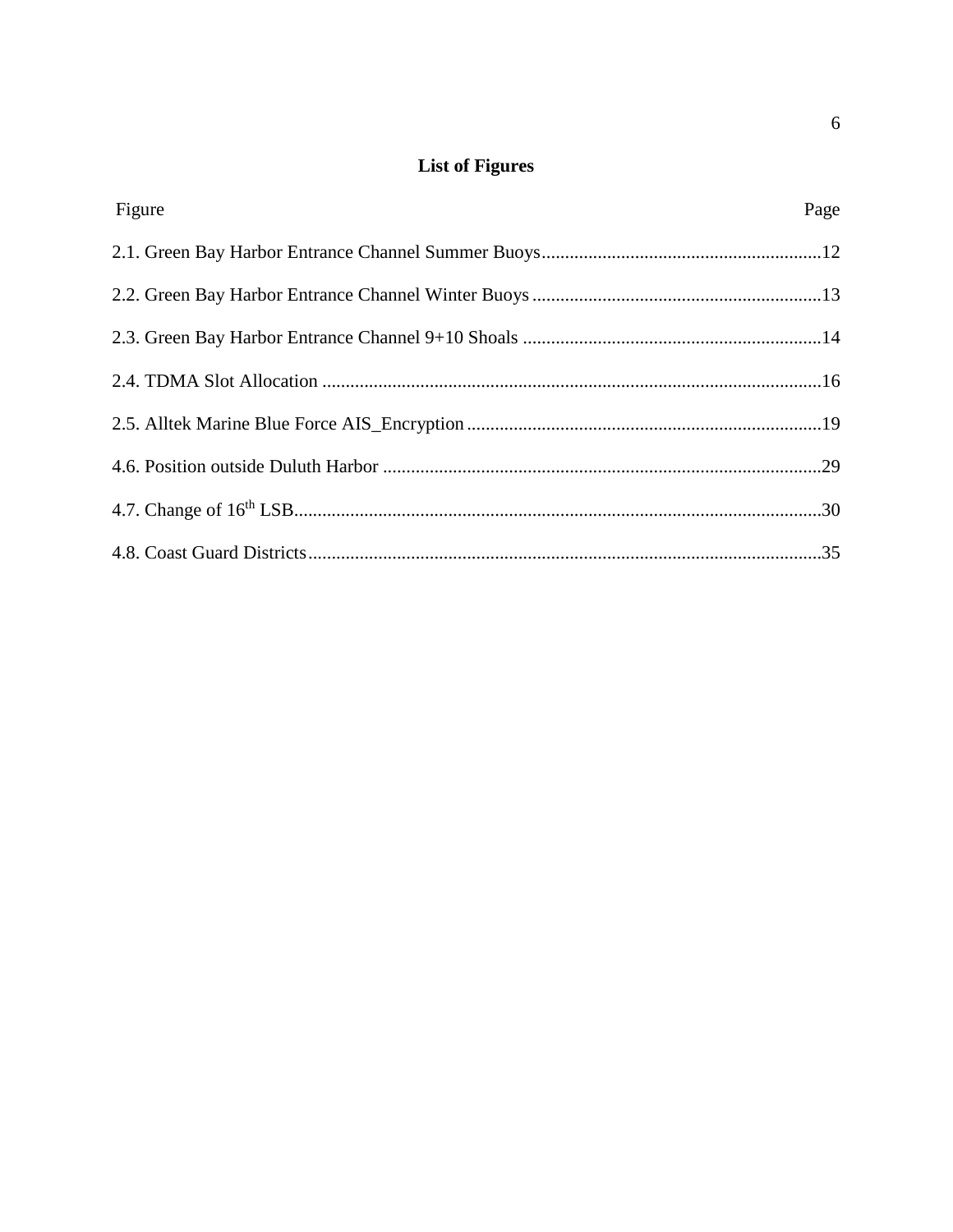## **List of Figures**

| Figure | Page |
|--------|------|
|        |      |
|        |      |
|        |      |
|        |      |
|        |      |
|        |      |
|        |      |
|        |      |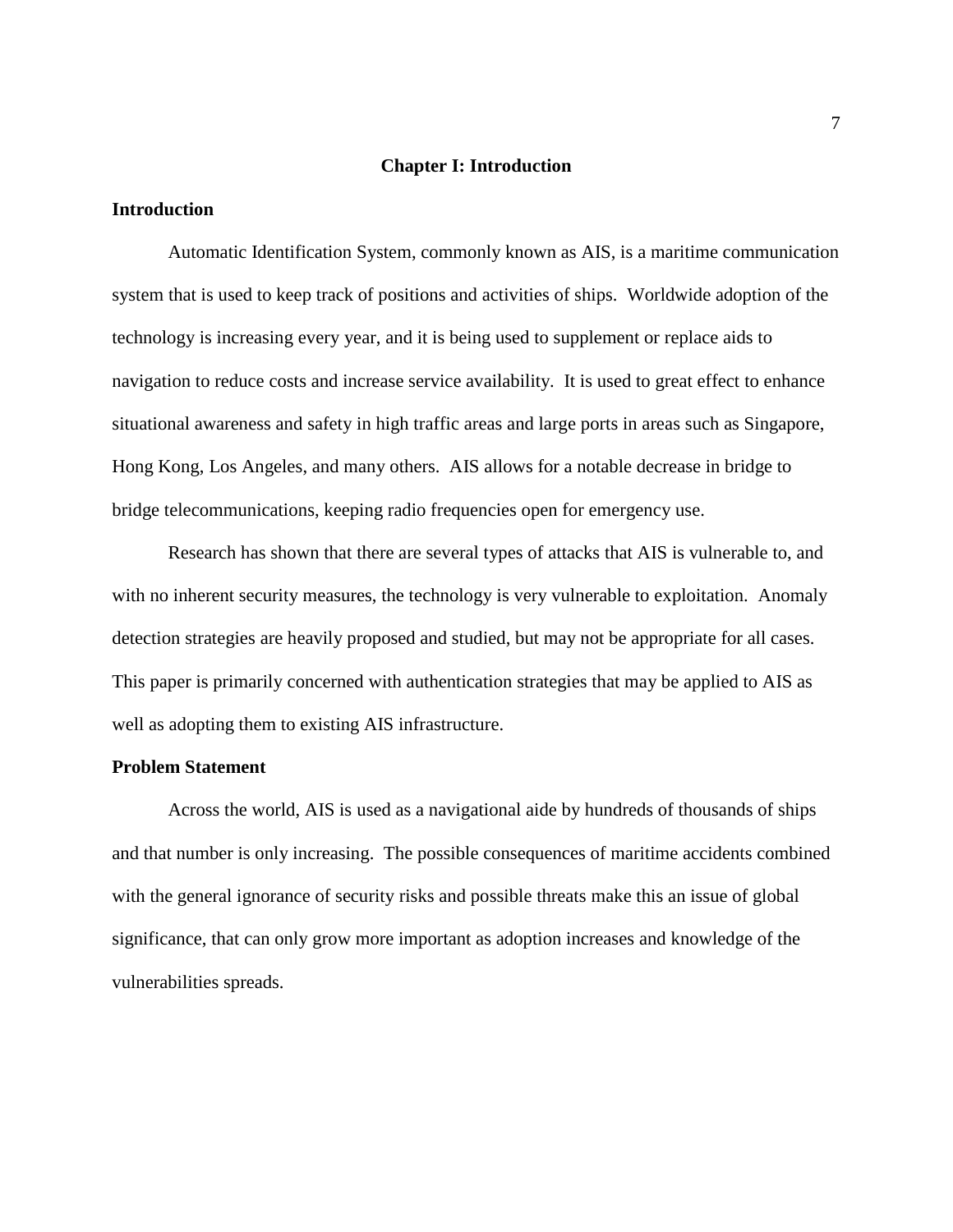#### **Chapter I: Introduction**

#### **Introduction**

Automatic Identification System, commonly known as AIS, is a maritime communication system that is used to keep track of positions and activities of ships. Worldwide adoption of the technology is increasing every year, and it is being used to supplement or replace aids to navigation to reduce costs and increase service availability. It is used to great effect to enhance situational awareness and safety in high traffic areas and large ports in areas such as Singapore, Hong Kong, Los Angeles, and many others. AIS allows for a notable decrease in bridge to bridge telecommunications, keeping radio frequencies open for emergency use.

Research has shown that there are several types of attacks that AIS is vulnerable to, and with no inherent security measures, the technology is very vulnerable to exploitation. Anomaly detection strategies are heavily proposed and studied, but may not be appropriate for all cases. This paper is primarily concerned with authentication strategies that may be applied to AIS as well as adopting them to existing AIS infrastructure.

#### **Problem Statement**

Across the world, AIS is used as a navigational aide by hundreds of thousands of ships and that number is only increasing. The possible consequences of maritime accidents combined with the general ignorance of security risks and possible threats make this an issue of global significance, that can only grow more important as adoption increases and knowledge of the vulnerabilities spreads.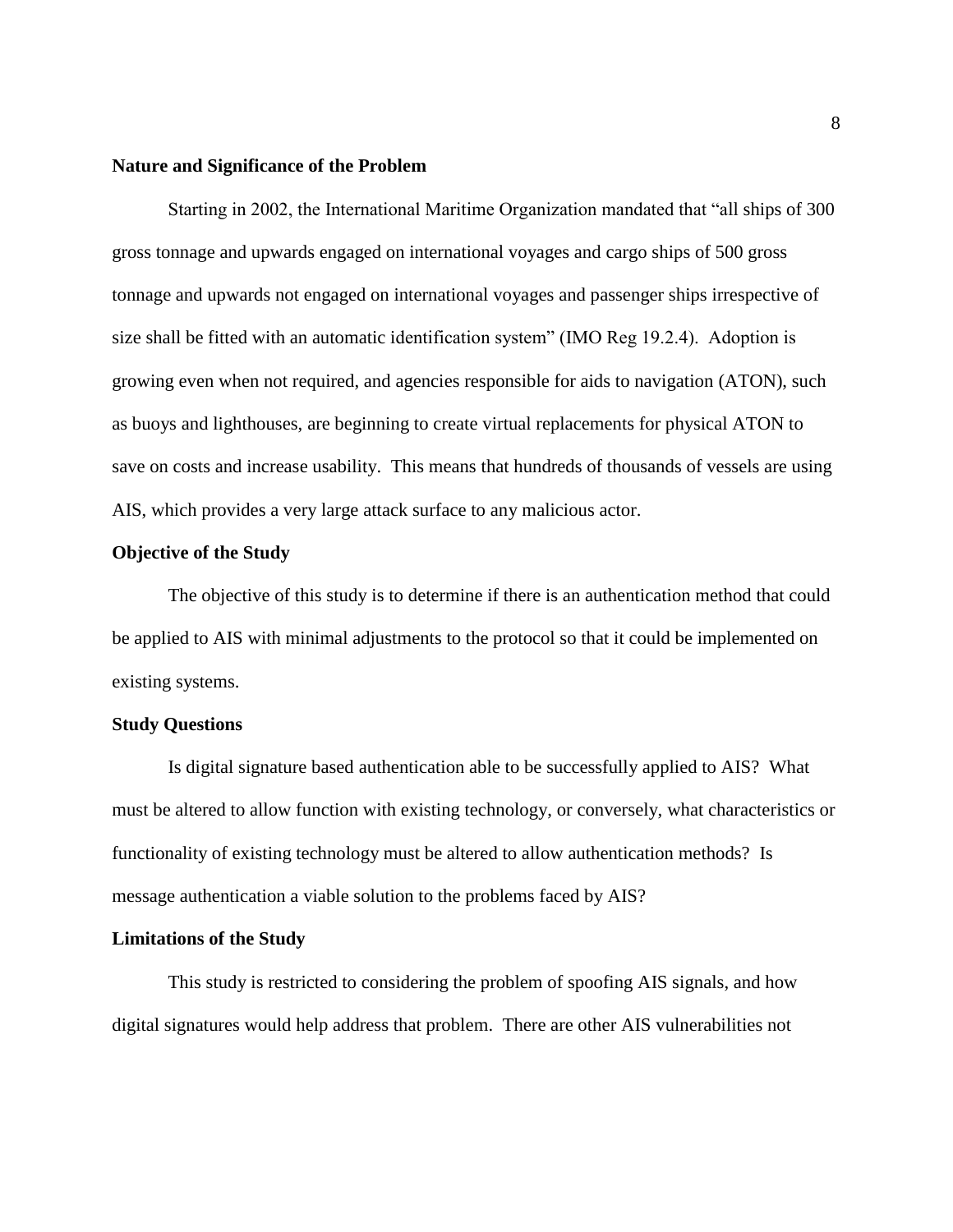#### **Nature and Significance of the Problem**

Starting in 2002, the International Maritime Organization mandated that "all ships of 300 gross tonnage and upwards engaged on international voyages and cargo ships of 500 gross tonnage and upwards not engaged on international voyages and passenger ships irrespective of size shall be fitted with an automatic identification system" (IMO Reg 19.2.4). Adoption is growing even when not required, and agencies responsible for aids to navigation (ATON), such as buoys and lighthouses, are beginning to create virtual replacements for physical ATON to save on costs and increase usability. This means that hundreds of thousands of vessels are using AIS, which provides a very large attack surface to any malicious actor.

#### **Objective of the Study**

The objective of this study is to determine if there is an authentication method that could be applied to AIS with minimal adjustments to the protocol so that it could be implemented on existing systems.

#### **Study Questions**

Is digital signature based authentication able to be successfully applied to AIS? What must be altered to allow function with existing technology, or conversely, what characteristics or functionality of existing technology must be altered to allow authentication methods? Is message authentication a viable solution to the problems faced by AIS?

#### **Limitations of the Study**

This study is restricted to considering the problem of spoofing AIS signals, and how digital signatures would help address that problem. There are other AIS vulnerabilities not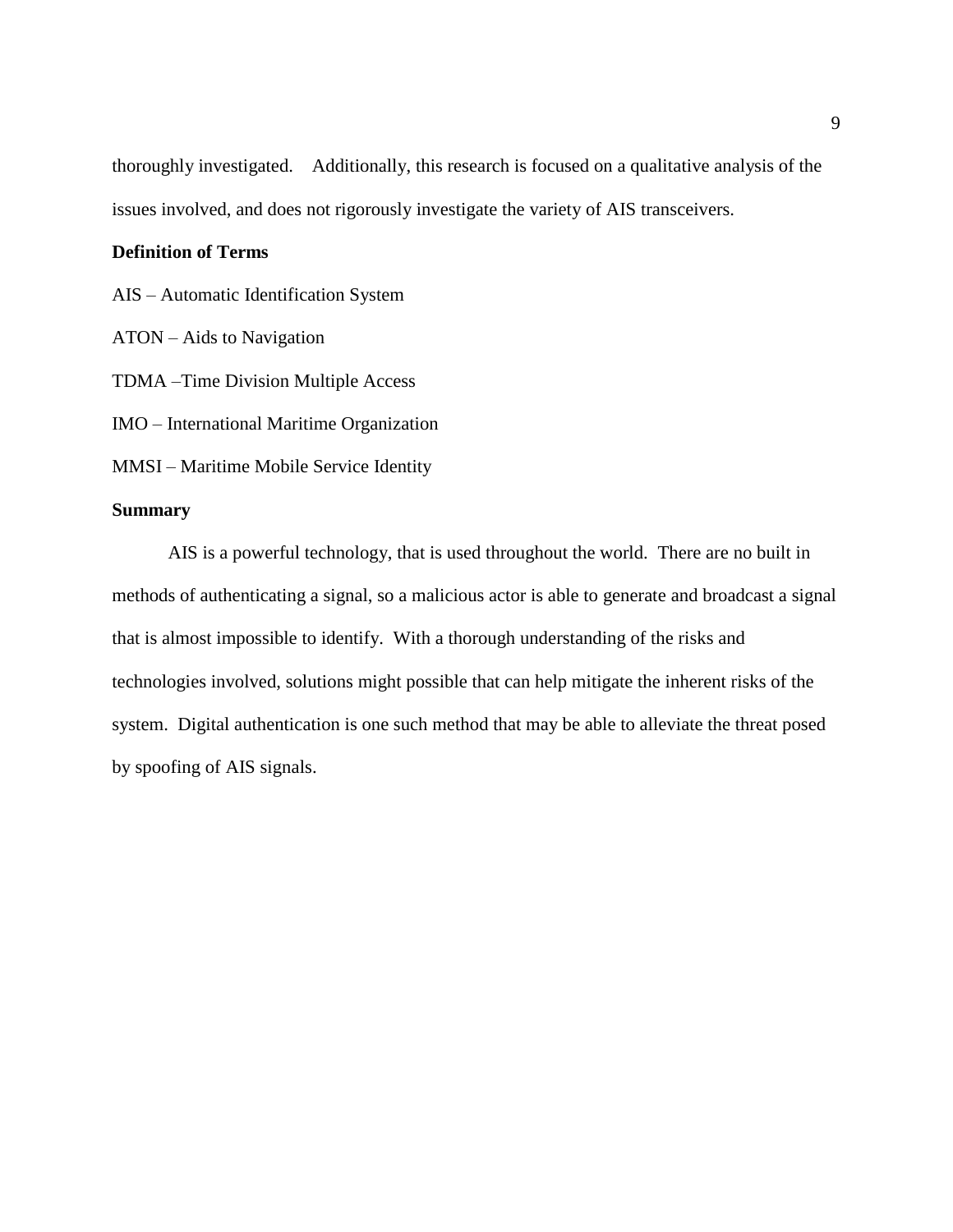thoroughly investigated. Additionally, this research is focused on a qualitative analysis of the issues involved, and does not rigorously investigate the variety of AIS transceivers.

#### **Definition of Terms**

AIS – Automatic Identification System

ATON – Aids to Navigation

TDMA –Time Division Multiple Access

IMO – International Maritime Organization

MMSI – Maritime Mobile Service Identity

#### **Summary**

AIS is a powerful technology, that is used throughout the world. There are no built in methods of authenticating a signal, so a malicious actor is able to generate and broadcast a signal that is almost impossible to identify. With a thorough understanding of the risks and technologies involved, solutions might possible that can help mitigate the inherent risks of the system. Digital authentication is one such method that may be able to alleviate the threat posed by spoofing of AIS signals.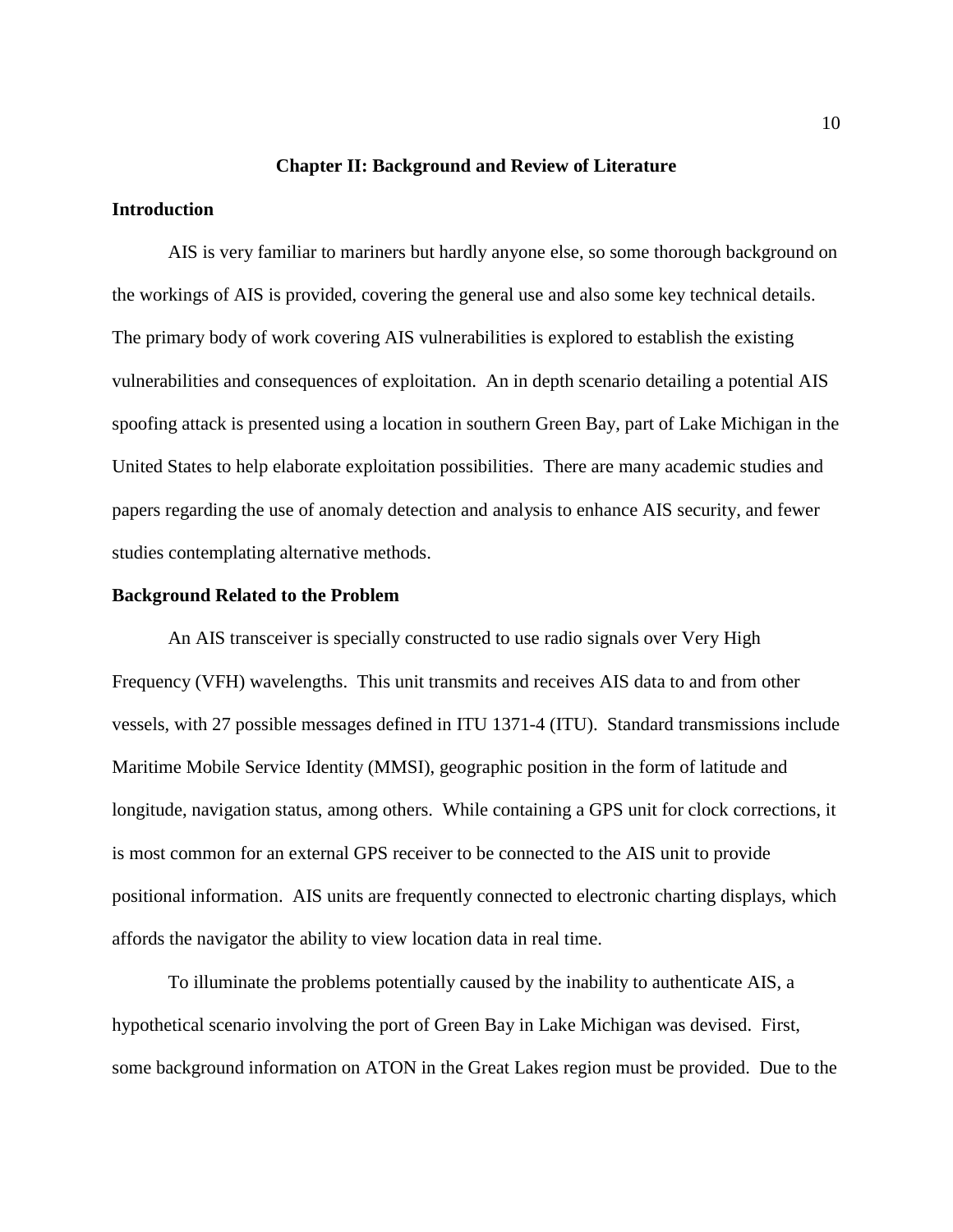#### **Chapter II: Background and Review of Literature**

#### **Introduction**

AIS is very familiar to mariners but hardly anyone else, so some thorough background on the workings of AIS is provided, covering the general use and also some key technical details. The primary body of work covering AIS vulnerabilities is explored to establish the existing vulnerabilities and consequences of exploitation. An in depth scenario detailing a potential AIS spoofing attack is presented using a location in southern Green Bay, part of Lake Michigan in the United States to help elaborate exploitation possibilities. There are many academic studies and papers regarding the use of anomaly detection and analysis to enhance AIS security, and fewer studies contemplating alternative methods.

#### **Background Related to the Problem**

An AIS transceiver is specially constructed to use radio signals over Very High Frequency (VFH) wavelengths. This unit transmits and receives AIS data to and from other vessels, with 27 possible messages defined in ITU 1371-4 (ITU). Standard transmissions include Maritime Mobile Service Identity (MMSI), geographic position in the form of latitude and longitude, navigation status, among others. While containing a GPS unit for clock corrections, it is most common for an external GPS receiver to be connected to the AIS unit to provide positional information. AIS units are frequently connected to electronic charting displays, which affords the navigator the ability to view location data in real time.

To illuminate the problems potentially caused by the inability to authenticate AIS, a hypothetical scenario involving the port of Green Bay in Lake Michigan was devised. First, some background information on ATON in the Great Lakes region must be provided. Due to the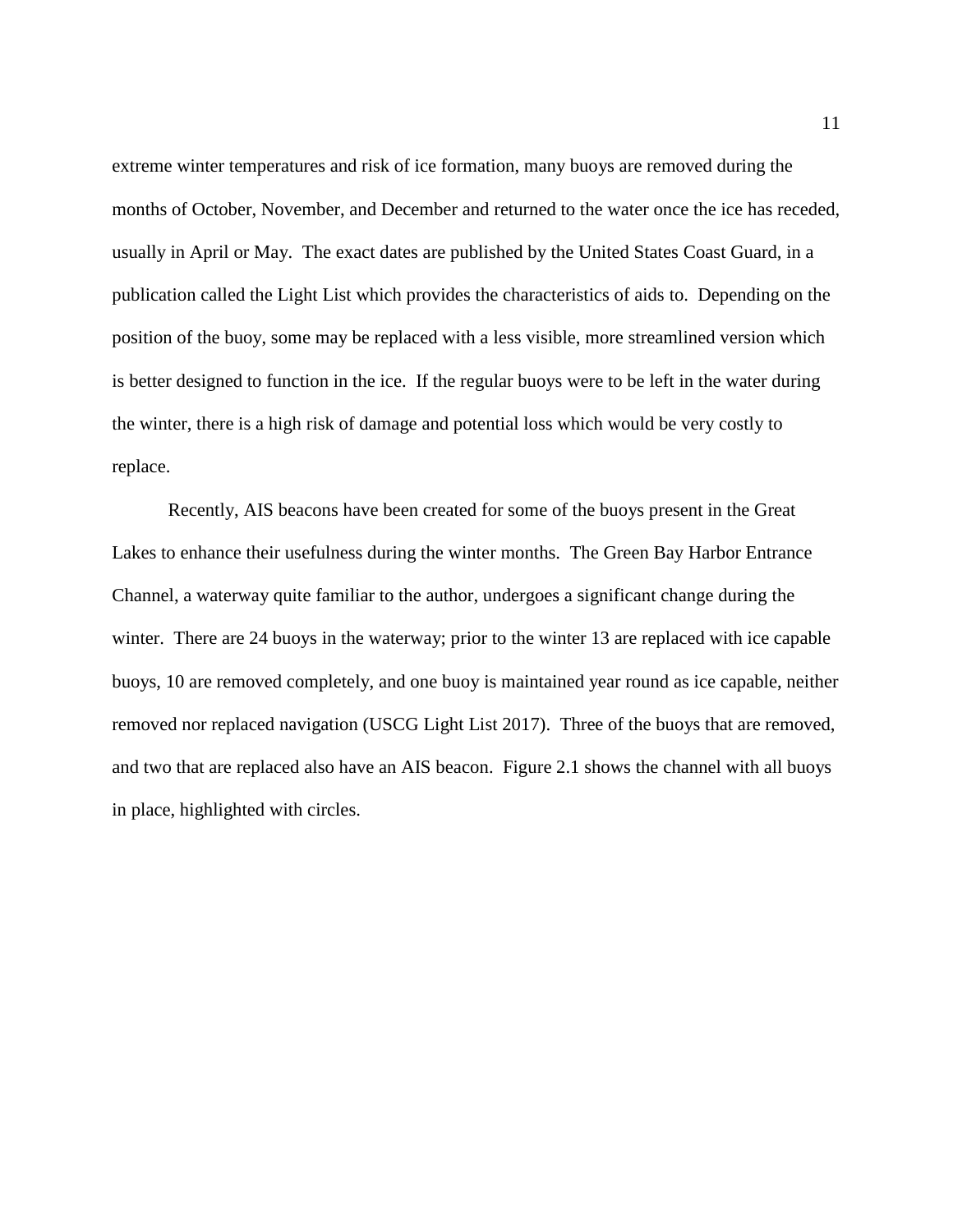extreme winter temperatures and risk of ice formation, many buoys are removed during the months of October, November, and December and returned to the water once the ice has receded, usually in April or May. The exact dates are published by the United States Coast Guard, in a publication called the Light List which provides the characteristics of aids to. Depending on the position of the buoy, some may be replaced with a less visible, more streamlined version which is better designed to function in the ice. If the regular buoys were to be left in the water during the winter, there is a high risk of damage and potential loss which would be very costly to replace.

Recently, AIS beacons have been created for some of the buoys present in the Great Lakes to enhance their usefulness during the winter months. The Green Bay Harbor Entrance Channel, a waterway quite familiar to the author, undergoes a significant change during the winter. There are 24 buoys in the waterway; prior to the winter 13 are replaced with ice capable buoys, 10 are removed completely, and one buoy is maintained year round as ice capable, neither removed nor replaced navigation (USCG Light List 2017). Three of the buoys that are removed, and two that are replaced also have an AIS beacon. Figure 2.1 shows the channel with all buoys in place, highlighted with circles.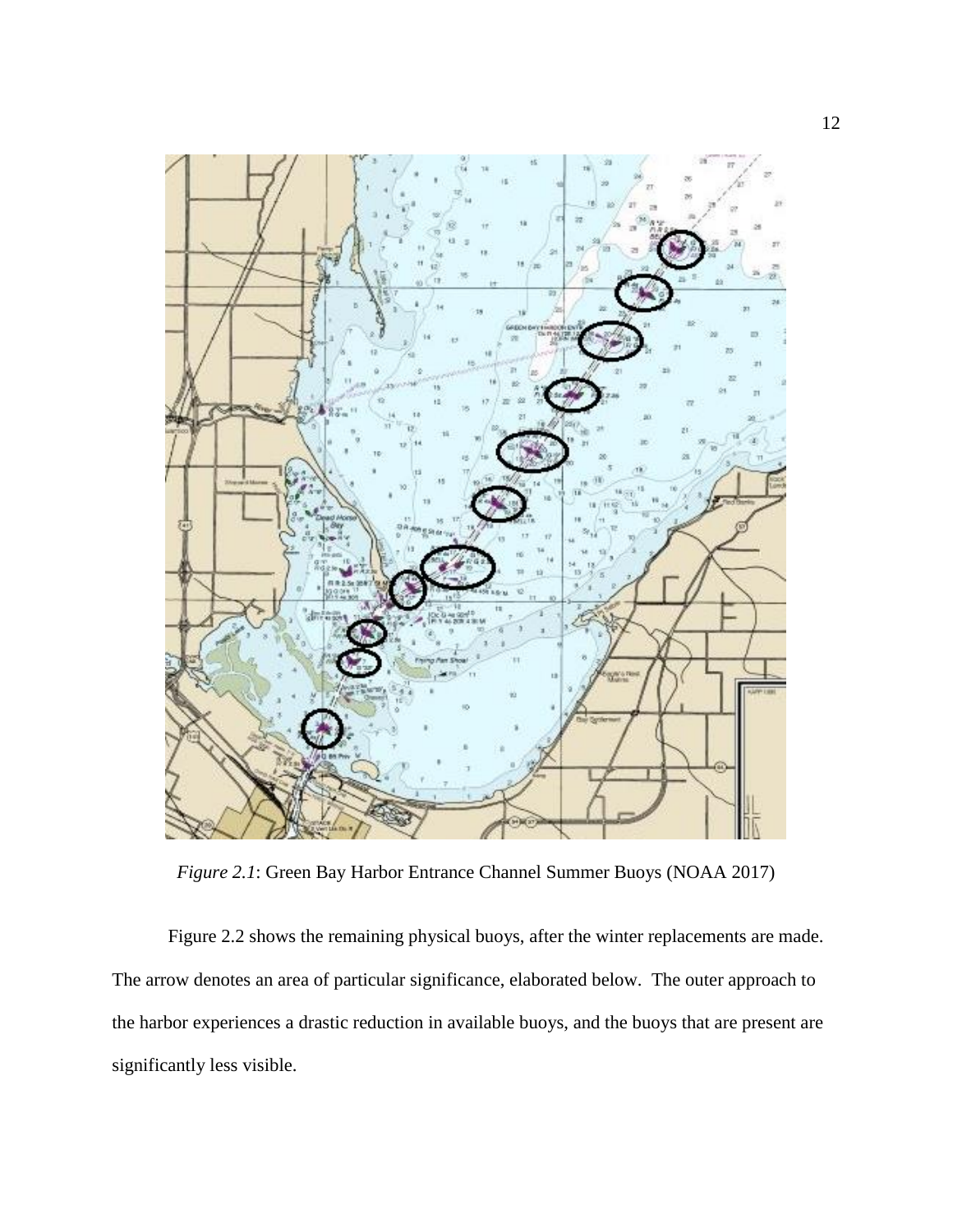

*Figure 2.1*: Green Bay Harbor Entrance Channel Summer Buoys (NOAA 2017)

Figure 2.2 shows the remaining physical buoys, after the winter replacements are made. The arrow denotes an area of particular significance, elaborated below. The outer approach to the harbor experiences a drastic reduction in available buoys, and the buoys that are present are significantly less visible.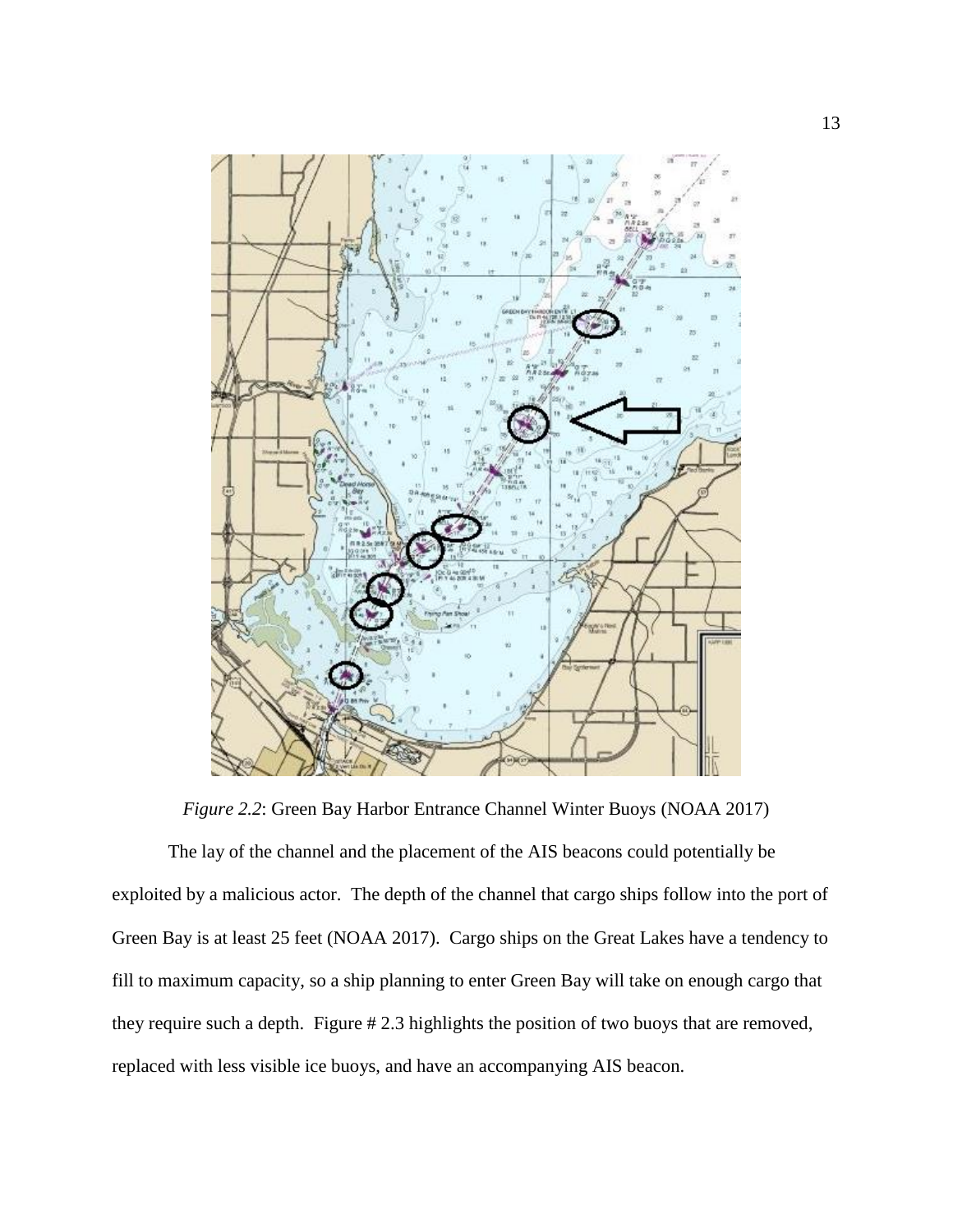

*Figure 2.2*: Green Bay Harbor Entrance Channel Winter Buoys (NOAA 2017)

The lay of the channel and the placement of the AIS beacons could potentially be exploited by a malicious actor. The depth of the channel that cargo ships follow into the port of Green Bay is at least 25 feet (NOAA 2017). Cargo ships on the Great Lakes have a tendency to fill to maximum capacity, so a ship planning to enter Green Bay will take on enough cargo that they require such a depth. Figure # 2.3 highlights the position of two buoys that are removed, replaced with less visible ice buoys, and have an accompanying AIS beacon.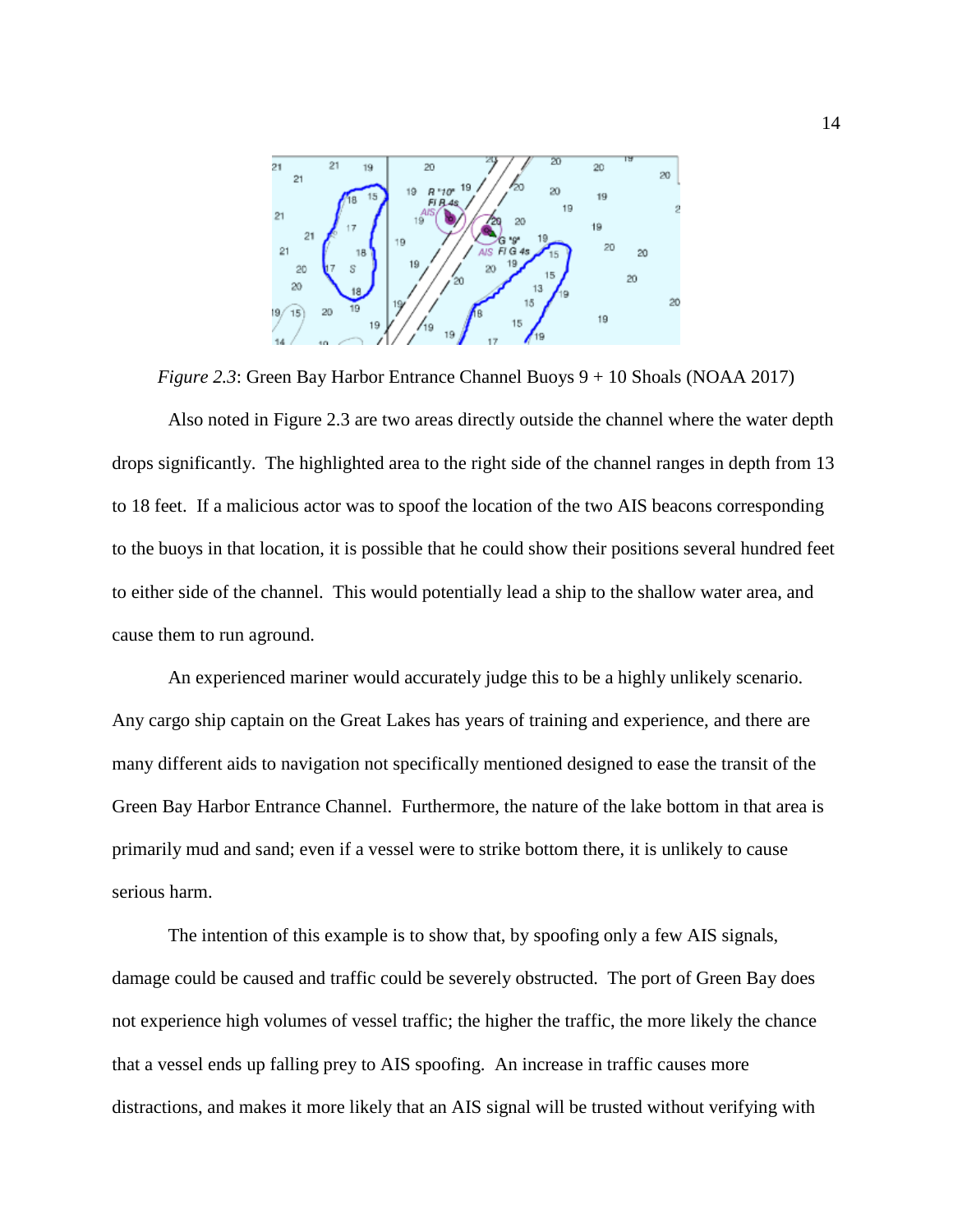

*Figure 2.3*: Green Bay Harbor Entrance Channel Buoys 9 + 10 Shoals (NOAA 2017)

Also noted in Figure 2.3 are two areas directly outside the channel where the water depth drops significantly. The highlighted area to the right side of the channel ranges in depth from 13 to 18 feet. If a malicious actor was to spoof the location of the two AIS beacons corresponding to the buoys in that location, it is possible that he could show their positions several hundred feet to either side of the channel. This would potentially lead a ship to the shallow water area, and cause them to run aground.

An experienced mariner would accurately judge this to be a highly unlikely scenario. Any cargo ship captain on the Great Lakes has years of training and experience, and there are many different aids to navigation not specifically mentioned designed to ease the transit of the Green Bay Harbor Entrance Channel. Furthermore, the nature of the lake bottom in that area is primarily mud and sand; even if a vessel were to strike bottom there, it is unlikely to cause serious harm.

The intention of this example is to show that, by spoofing only a few AIS signals, damage could be caused and traffic could be severely obstructed. The port of Green Bay does not experience high volumes of vessel traffic; the higher the traffic, the more likely the chance that a vessel ends up falling prey to AIS spoofing. An increase in traffic causes more distractions, and makes it more likely that an AIS signal will be trusted without verifying with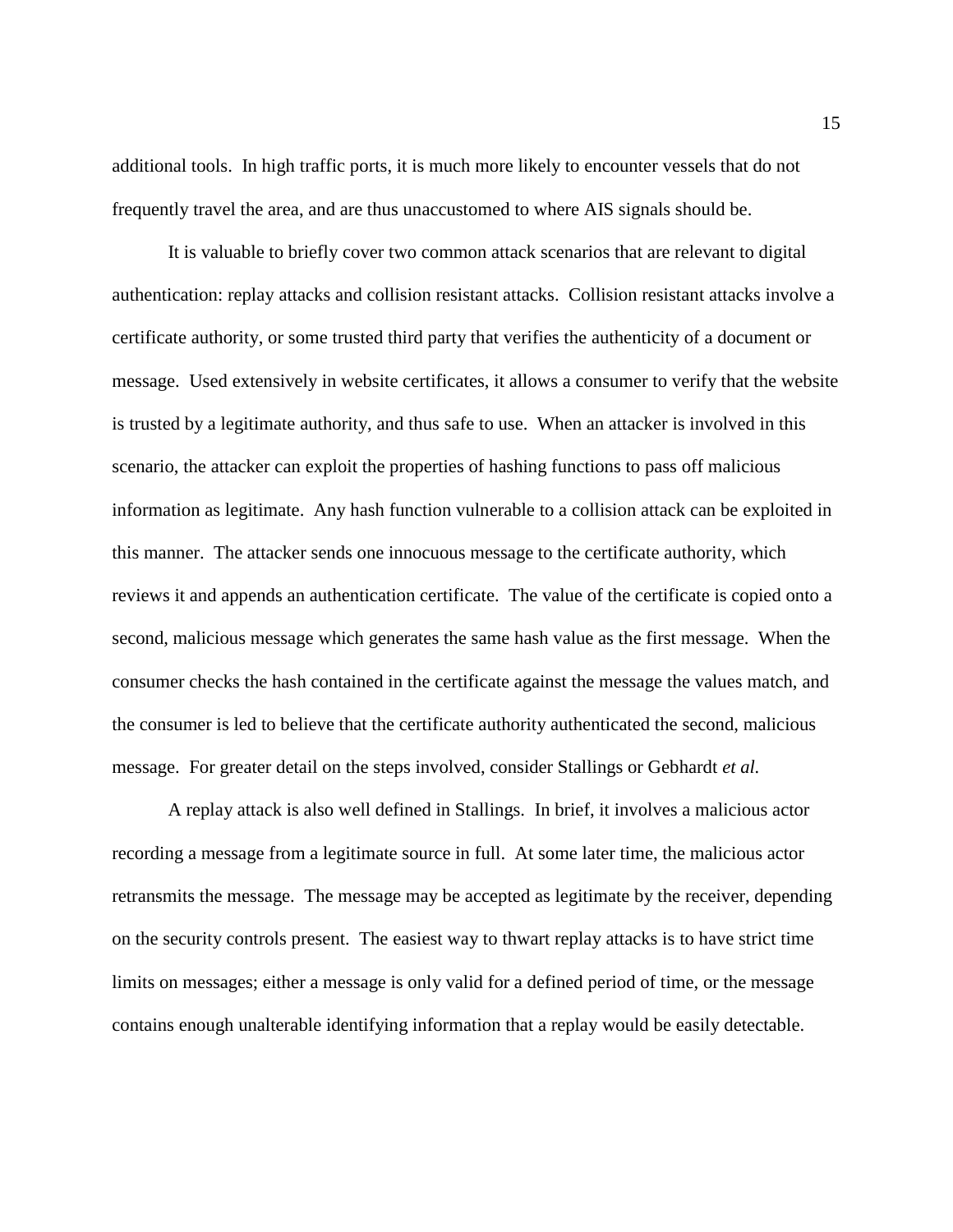additional tools. In high traffic ports, it is much more likely to encounter vessels that do not frequently travel the area, and are thus unaccustomed to where AIS signals should be.

It is valuable to briefly cover two common attack scenarios that are relevant to digital authentication: replay attacks and collision resistant attacks. Collision resistant attacks involve a certificate authority, or some trusted third party that verifies the authenticity of a document or message. Used extensively in website certificates, it allows a consumer to verify that the website is trusted by a legitimate authority, and thus safe to use. When an attacker is involved in this scenario, the attacker can exploit the properties of hashing functions to pass off malicious information as legitimate. Any hash function vulnerable to a collision attack can be exploited in this manner. The attacker sends one innocuous message to the certificate authority, which reviews it and appends an authentication certificate. The value of the certificate is copied onto a second, malicious message which generates the same hash value as the first message. When the consumer checks the hash contained in the certificate against the message the values match, and the consumer is led to believe that the certificate authority authenticated the second, malicious message. For greater detail on the steps involved, consider Stallings or Gebhardt *et al.*

A replay attack is also well defined in Stallings. In brief, it involves a malicious actor recording a message from a legitimate source in full. At some later time, the malicious actor retransmits the message. The message may be accepted as legitimate by the receiver, depending on the security controls present. The easiest way to thwart replay attacks is to have strict time limits on messages; either a message is only valid for a defined period of time, or the message contains enough unalterable identifying information that a replay would be easily detectable.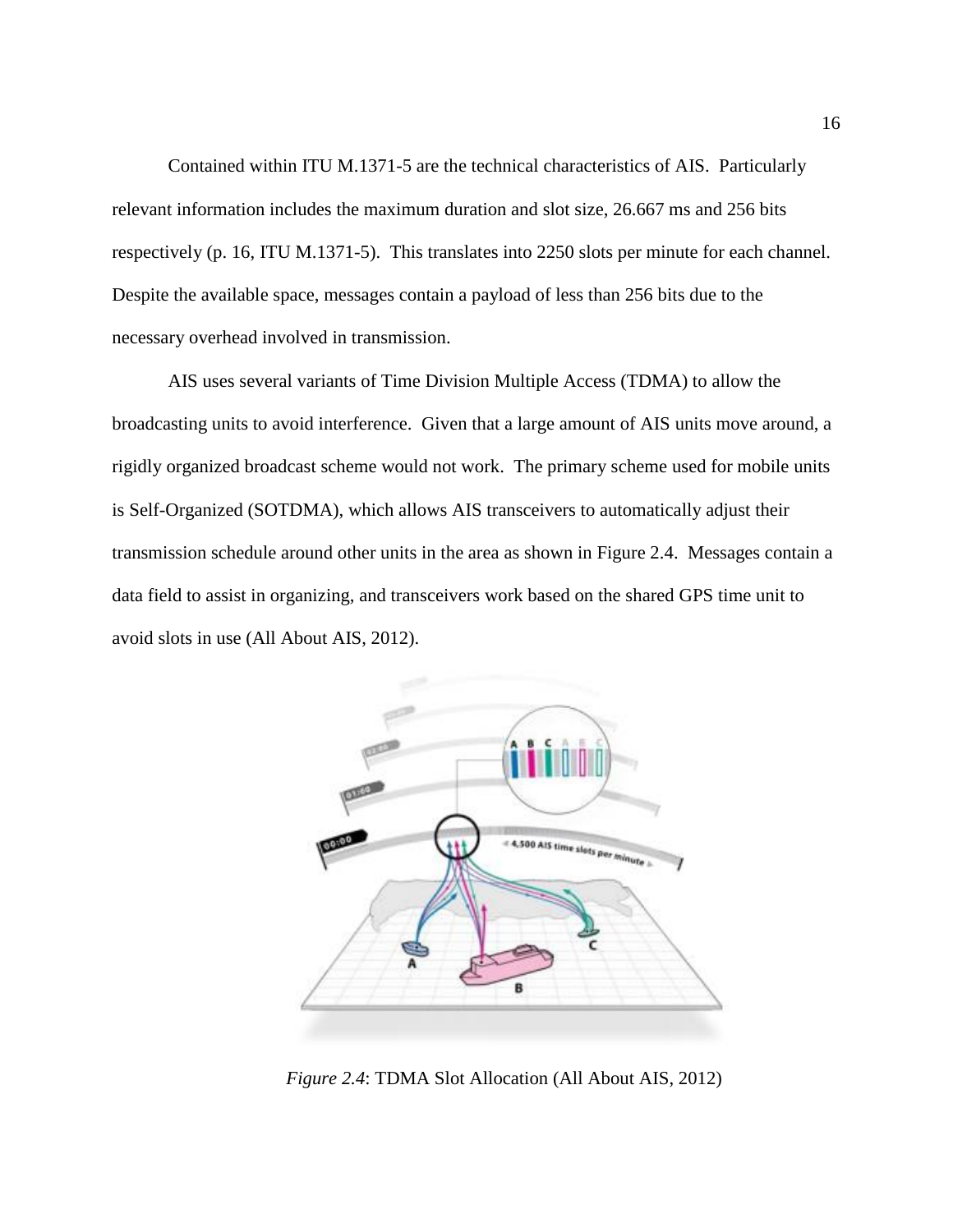Contained within ITU M.1371-5 are the technical characteristics of AIS. Particularly relevant information includes the maximum duration and slot size, 26.667 ms and 256 bits respectively (p. 16, ITU M.1371-5). This translates into 2250 slots per minute for each channel. Despite the available space, messages contain a payload of less than 256 bits due to the necessary overhead involved in transmission.

AIS uses several variants of Time Division Multiple Access (TDMA) to allow the broadcasting units to avoid interference. Given that a large amount of AIS units move around, a rigidly organized broadcast scheme would not work. The primary scheme used for mobile units is Self-Organized (SOTDMA), which allows AIS transceivers to automatically adjust their transmission schedule around other units in the area as shown in Figure 2.4. Messages contain a data field to assist in organizing, and transceivers work based on the shared GPS time unit to avoid slots in use (All About AIS, 2012).



*Figure 2.4*: TDMA Slot Allocation (All About AIS, 2012)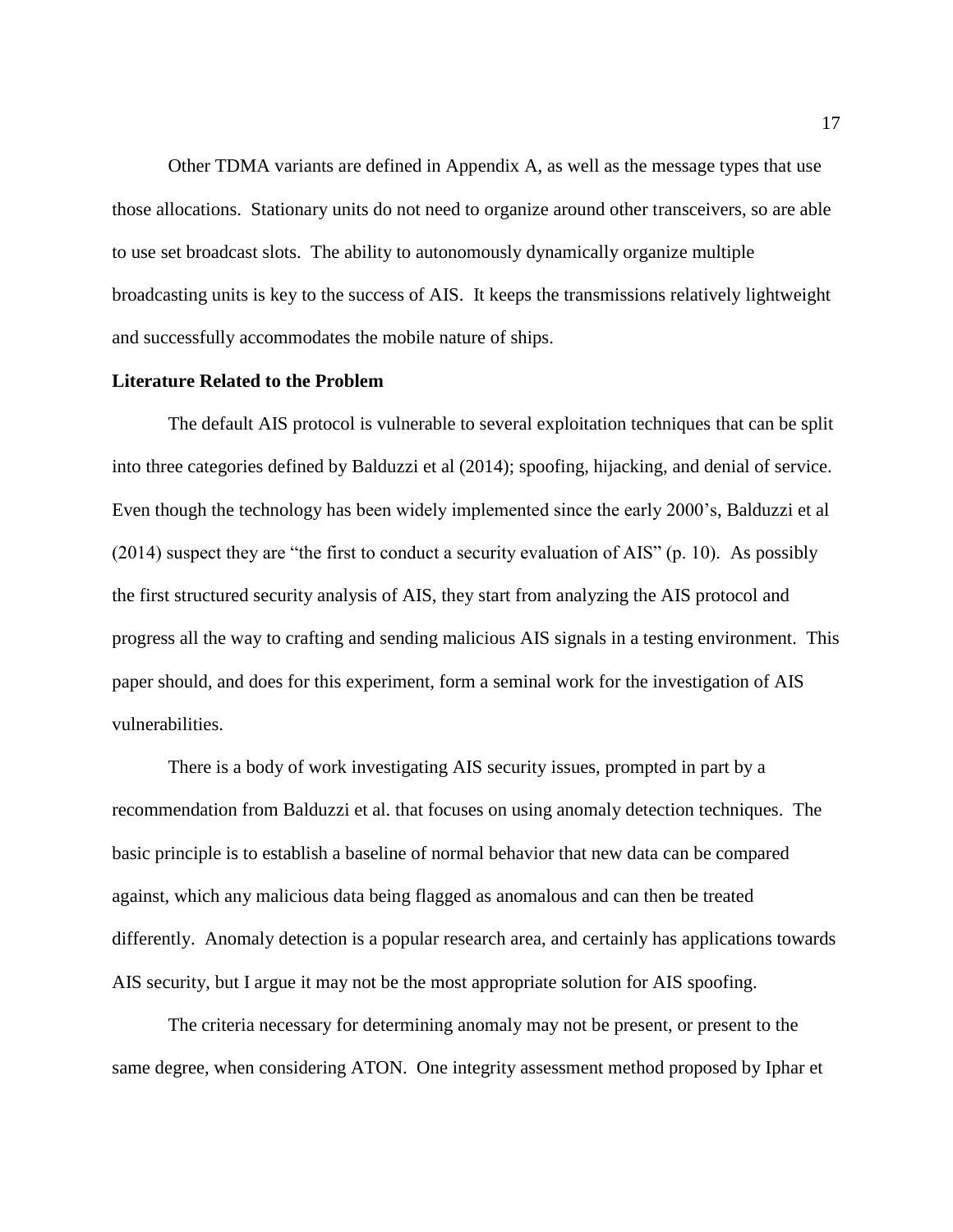Other TDMA variants are defined in Appendix A, as well as the message types that use those allocations. Stationary units do not need to organize around other transceivers, so are able to use set broadcast slots. The ability to autonomously dynamically organize multiple broadcasting units is key to the success of AIS. It keeps the transmissions relatively lightweight and successfully accommodates the mobile nature of ships.

#### **Literature Related to the Problem**

The default AIS protocol is vulnerable to several exploitation techniques that can be split into three categories defined by Balduzzi et al (2014); spoofing, hijacking, and denial of service. Even though the technology has been widely implemented since the early 2000's, Balduzzi et al (2014) suspect they are "the first to conduct a security evaluation of AIS" (p. 10). As possibly the first structured security analysis of AIS, they start from analyzing the AIS protocol and progress all the way to crafting and sending malicious AIS signals in a testing environment. This paper should, and does for this experiment, form a seminal work for the investigation of AIS vulnerabilities.

There is a body of work investigating AIS security issues, prompted in part by a recommendation from Balduzzi et al. that focuses on using anomaly detection techniques. The basic principle is to establish a baseline of normal behavior that new data can be compared against, which any malicious data being flagged as anomalous and can then be treated differently. Anomaly detection is a popular research area, and certainly has applications towards AIS security, but I argue it may not be the most appropriate solution for AIS spoofing.

The criteria necessary for determining anomaly may not be present, or present to the same degree, when considering ATON. One integrity assessment method proposed by Iphar et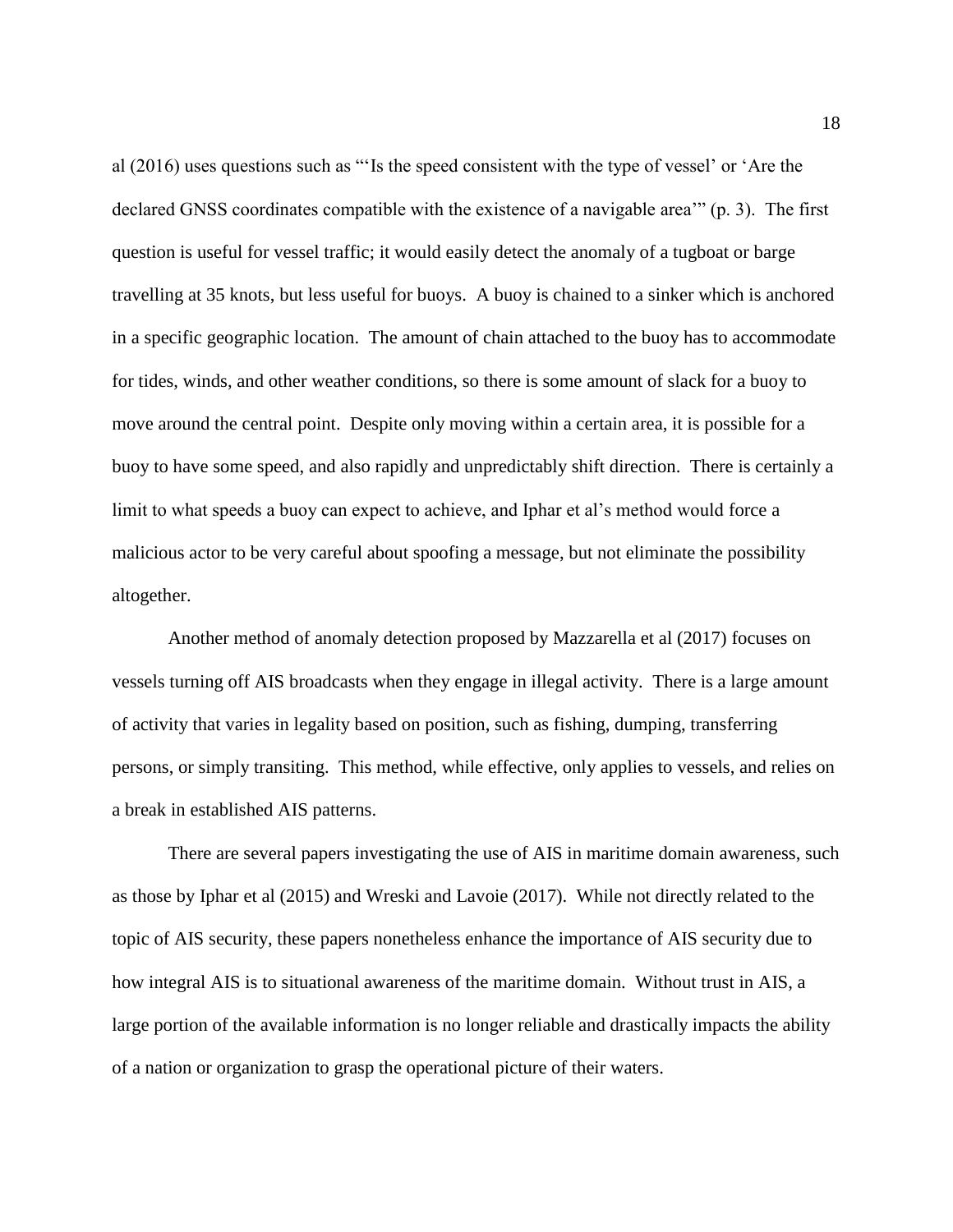al (2016) uses questions such as "'Is the speed consistent with the type of vessel' or 'Are the declared GNSS coordinates compatible with the existence of a navigable area'" (p. 3). The first question is useful for vessel traffic; it would easily detect the anomaly of a tugboat or barge travelling at 35 knots, but less useful for buoys. A buoy is chained to a sinker which is anchored in a specific geographic location. The amount of chain attached to the buoy has to accommodate for tides, winds, and other weather conditions, so there is some amount of slack for a buoy to move around the central point. Despite only moving within a certain area, it is possible for a buoy to have some speed, and also rapidly and unpredictably shift direction. There is certainly a limit to what speeds a buoy can expect to achieve, and Iphar et al's method would force a malicious actor to be very careful about spoofing a message, but not eliminate the possibility altogether.

Another method of anomaly detection proposed by Mazzarella et al (2017) focuses on vessels turning off AIS broadcasts when they engage in illegal activity. There is a large amount of activity that varies in legality based on position, such as fishing, dumping, transferring persons, or simply transiting. This method, while effective, only applies to vessels, and relies on a break in established AIS patterns.

There are several papers investigating the use of AIS in maritime domain awareness, such as those by Iphar et al (2015) and Wreski and Lavoie (2017). While not directly related to the topic of AIS security, these papers nonetheless enhance the importance of AIS security due to how integral AIS is to situational awareness of the maritime domain. Without trust in AIS, a large portion of the available information is no longer reliable and drastically impacts the ability of a nation or organization to grasp the operational picture of their waters.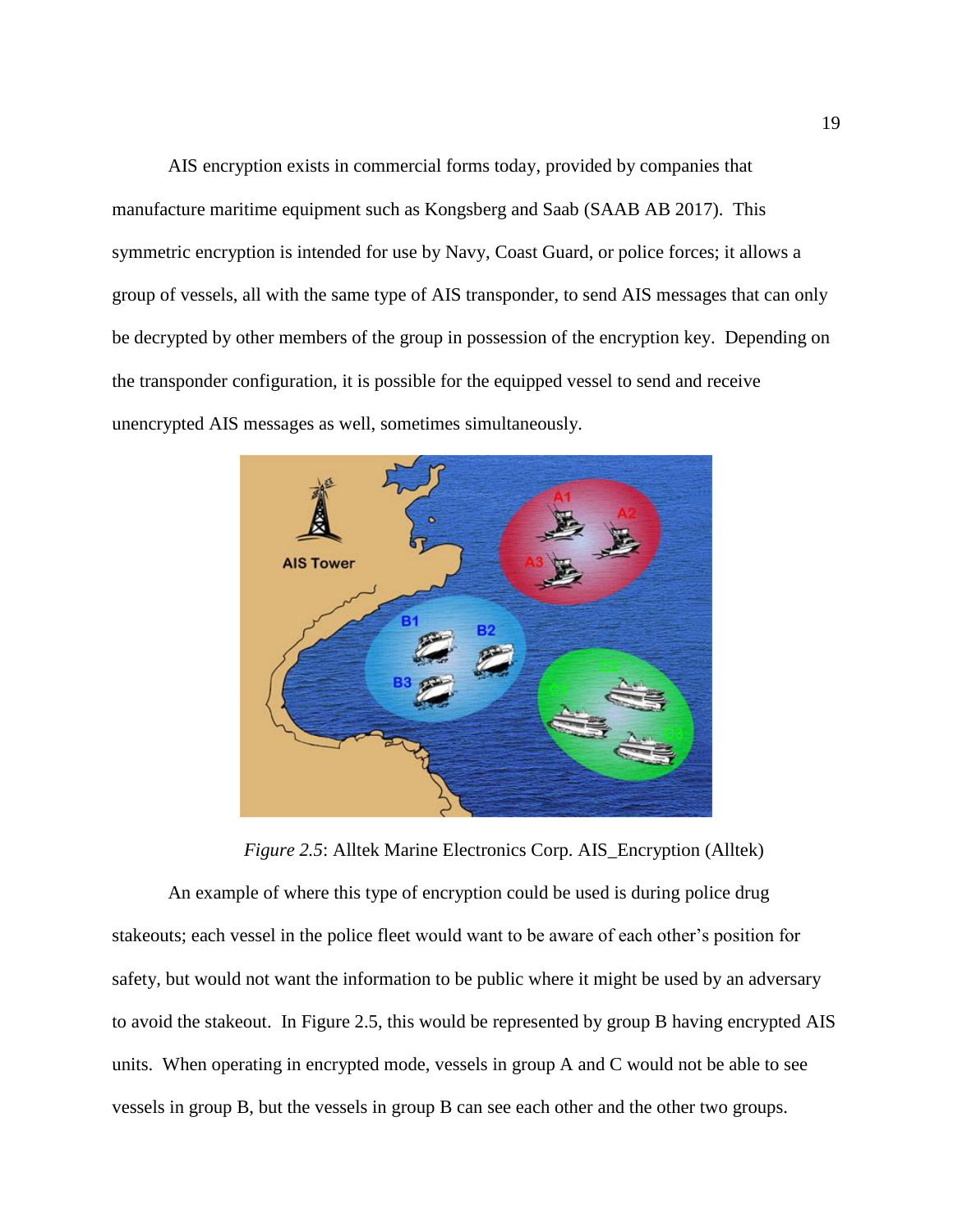AIS encryption exists in commercial forms today, provided by companies that manufacture maritime equipment such as Kongsberg and Saab (SAAB AB 2017). This symmetric encryption is intended for use by Navy, Coast Guard, or police forces; it allows a group of vessels, all with the same type of AIS transponder, to send AIS messages that can only be decrypted by other members of the group in possession of the encryption key. Depending on the transponder configuration, it is possible for the equipped vessel to send and receive unencrypted AIS messages as well, sometimes simultaneously.



*Figure 2.5*: Alltek Marine Electronics Corp. AIS\_Encryption (Alltek)

An example of where this type of encryption could be used is during police drug stakeouts; each vessel in the police fleet would want to be aware of each other's position for safety, but would not want the information to be public where it might be used by an adversary to avoid the stakeout. In Figure 2.5, this would be represented by group B having encrypted AIS units. When operating in encrypted mode, vessels in group A and C would not be able to see vessels in group B, but the vessels in group B can see each other and the other two groups.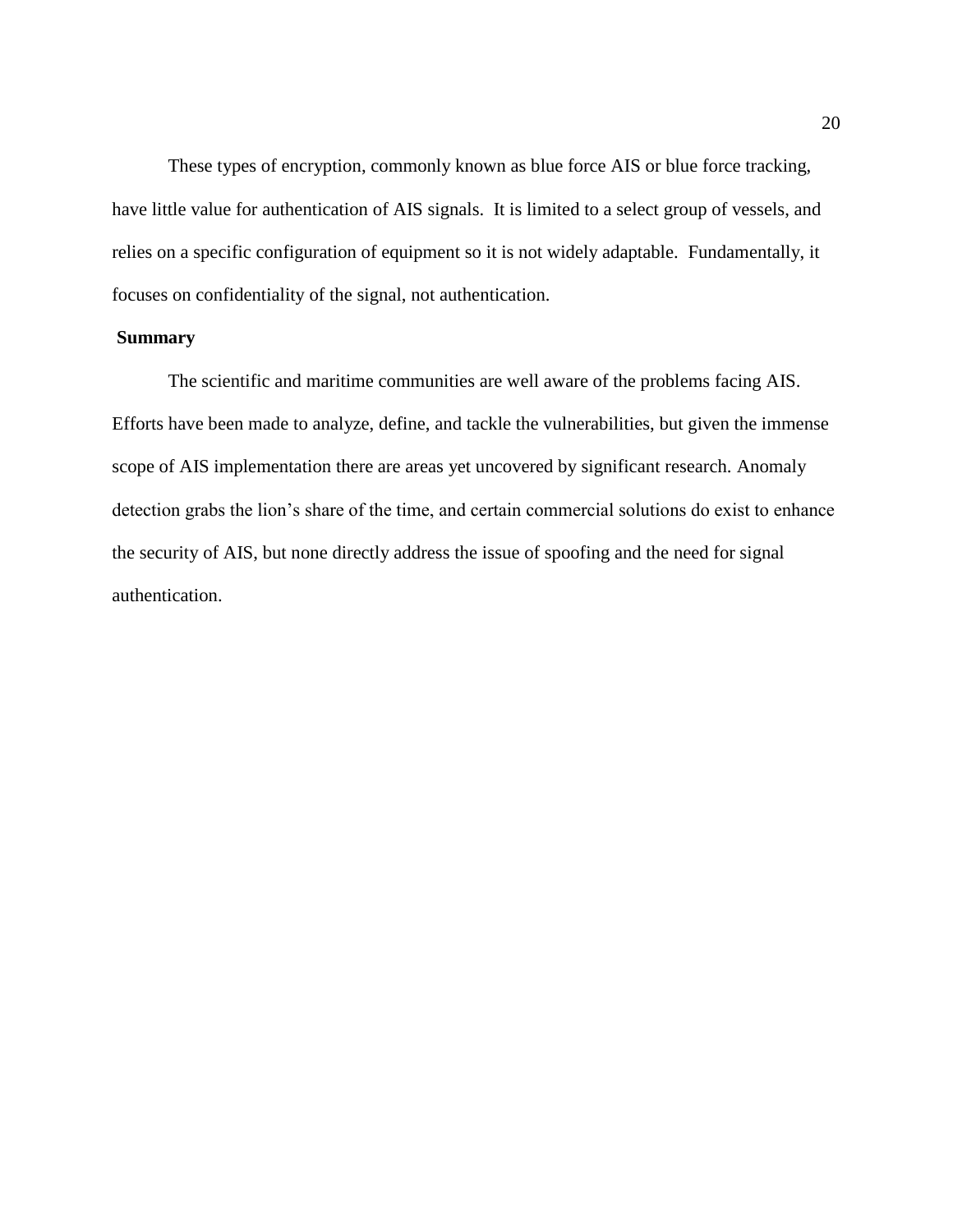These types of encryption, commonly known as blue force AIS or blue force tracking, have little value for authentication of AIS signals. It is limited to a select group of vessels, and relies on a specific configuration of equipment so it is not widely adaptable. Fundamentally, it focuses on confidentiality of the signal, not authentication.

#### **Summary**

The scientific and maritime communities are well aware of the problems facing AIS. Efforts have been made to analyze, define, and tackle the vulnerabilities, but given the immense scope of AIS implementation there are areas yet uncovered by significant research. Anomaly detection grabs the lion's share of the time, and certain commercial solutions do exist to enhance the security of AIS, but none directly address the issue of spoofing and the need for signal authentication.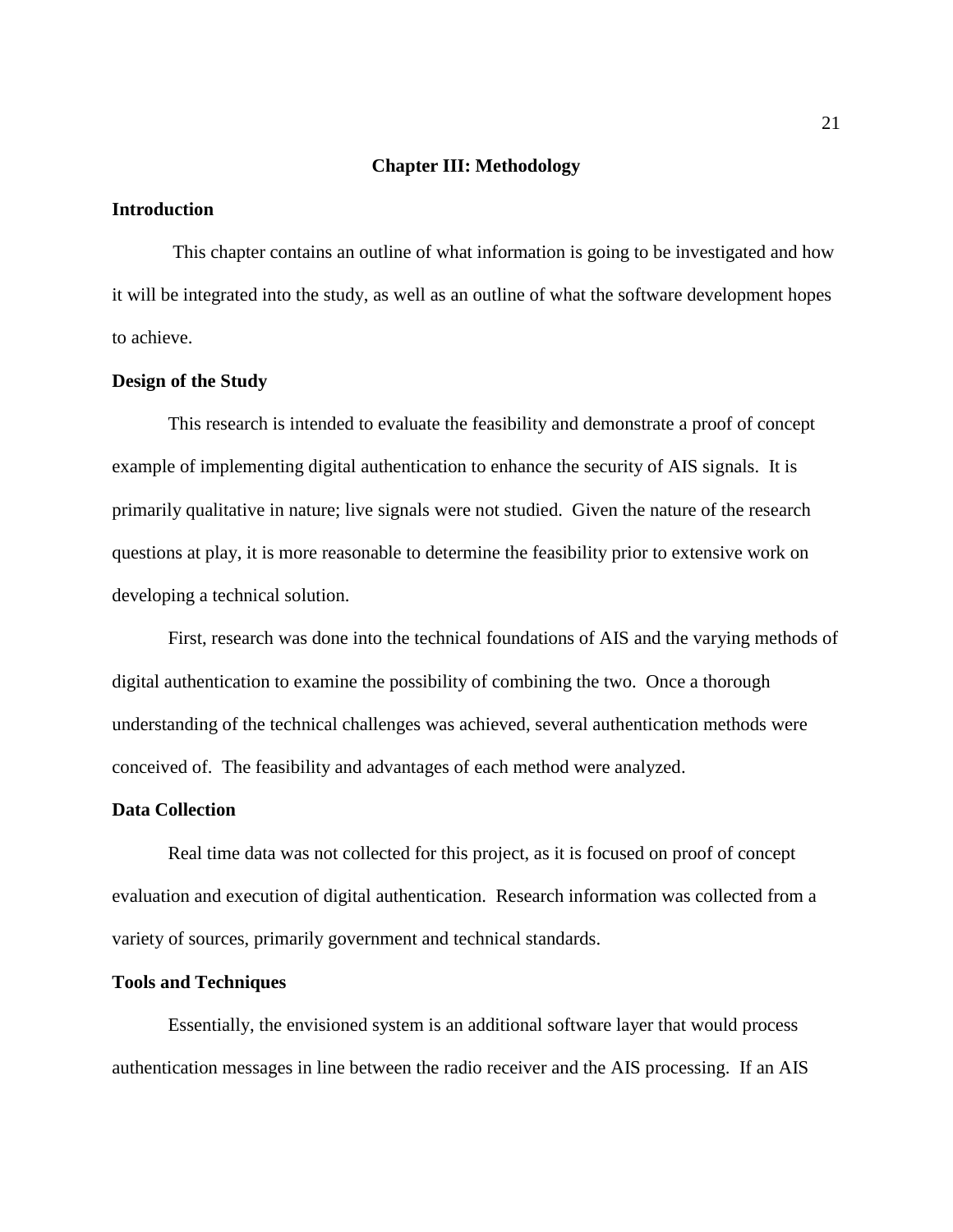#### **Chapter III: Methodology**

#### **Introduction**

This chapter contains an outline of what information is going to be investigated and how it will be integrated into the study, as well as an outline of what the software development hopes to achieve.

#### **Design of the Study**

This research is intended to evaluate the feasibility and demonstrate a proof of concept example of implementing digital authentication to enhance the security of AIS signals. It is primarily qualitative in nature; live signals were not studied. Given the nature of the research questions at play, it is more reasonable to determine the feasibility prior to extensive work on developing a technical solution.

First, research was done into the technical foundations of AIS and the varying methods of digital authentication to examine the possibility of combining the two. Once a thorough understanding of the technical challenges was achieved, several authentication methods were conceived of. The feasibility and advantages of each method were analyzed.

#### **Data Collection**

Real time data was not collected for this project, as it is focused on proof of concept evaluation and execution of digital authentication. Research information was collected from a variety of sources, primarily government and technical standards.

#### **Tools and Techniques**

Essentially, the envisioned system is an additional software layer that would process authentication messages in line between the radio receiver and the AIS processing. If an AIS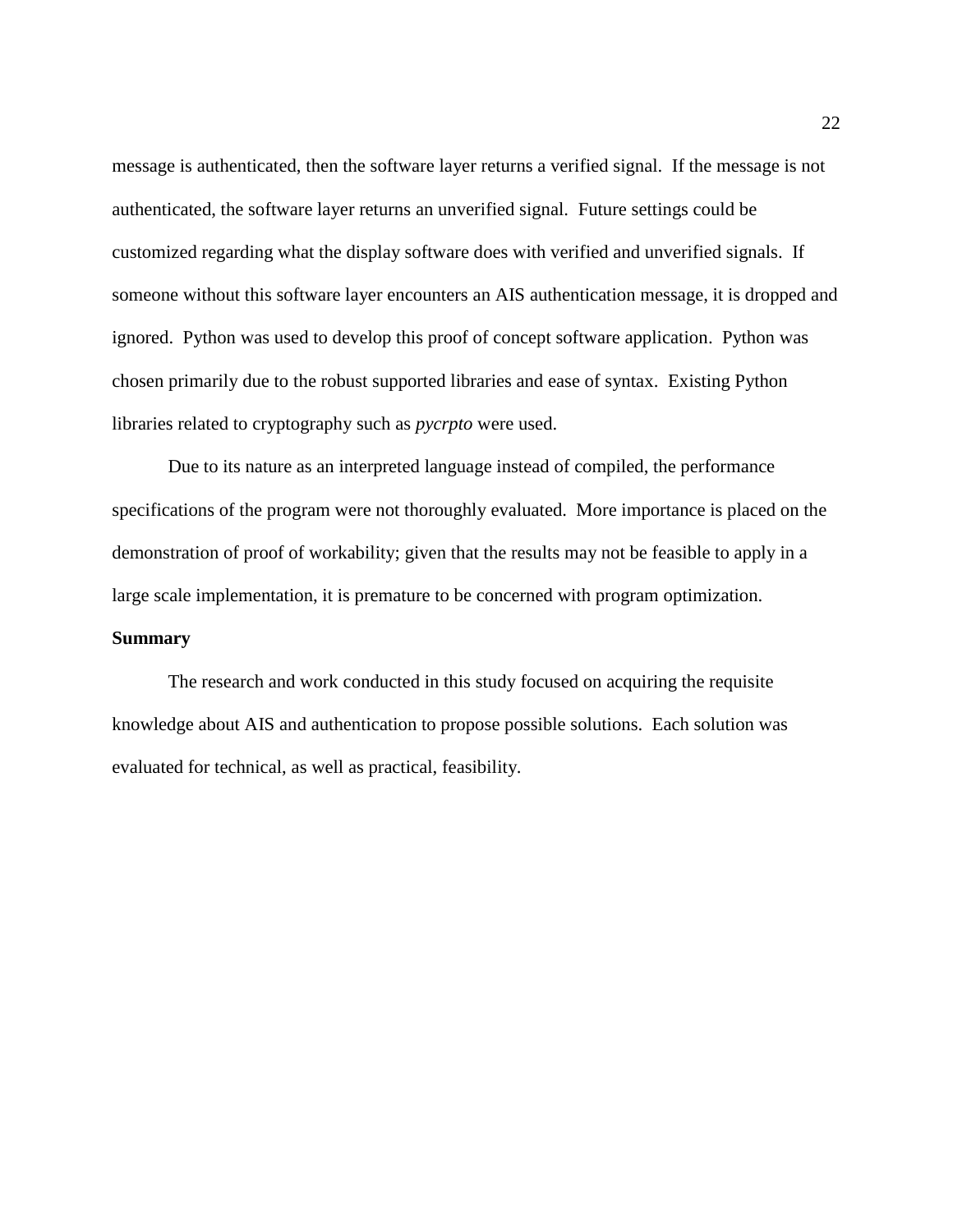message is authenticated, then the software layer returns a verified signal. If the message is not authenticated, the software layer returns an unverified signal. Future settings could be customized regarding what the display software does with verified and unverified signals. If someone without this software layer encounters an AIS authentication message, it is dropped and ignored. Python was used to develop this proof of concept software application. Python was chosen primarily due to the robust supported libraries and ease of syntax. Existing Python libraries related to cryptography such as *pycrpto* were used.

Due to its nature as an interpreted language instead of compiled, the performance specifications of the program were not thoroughly evaluated. More importance is placed on the demonstration of proof of workability; given that the results may not be feasible to apply in a large scale implementation, it is premature to be concerned with program optimization.

#### **Summary**

The research and work conducted in this study focused on acquiring the requisite knowledge about AIS and authentication to propose possible solutions. Each solution was evaluated for technical, as well as practical, feasibility.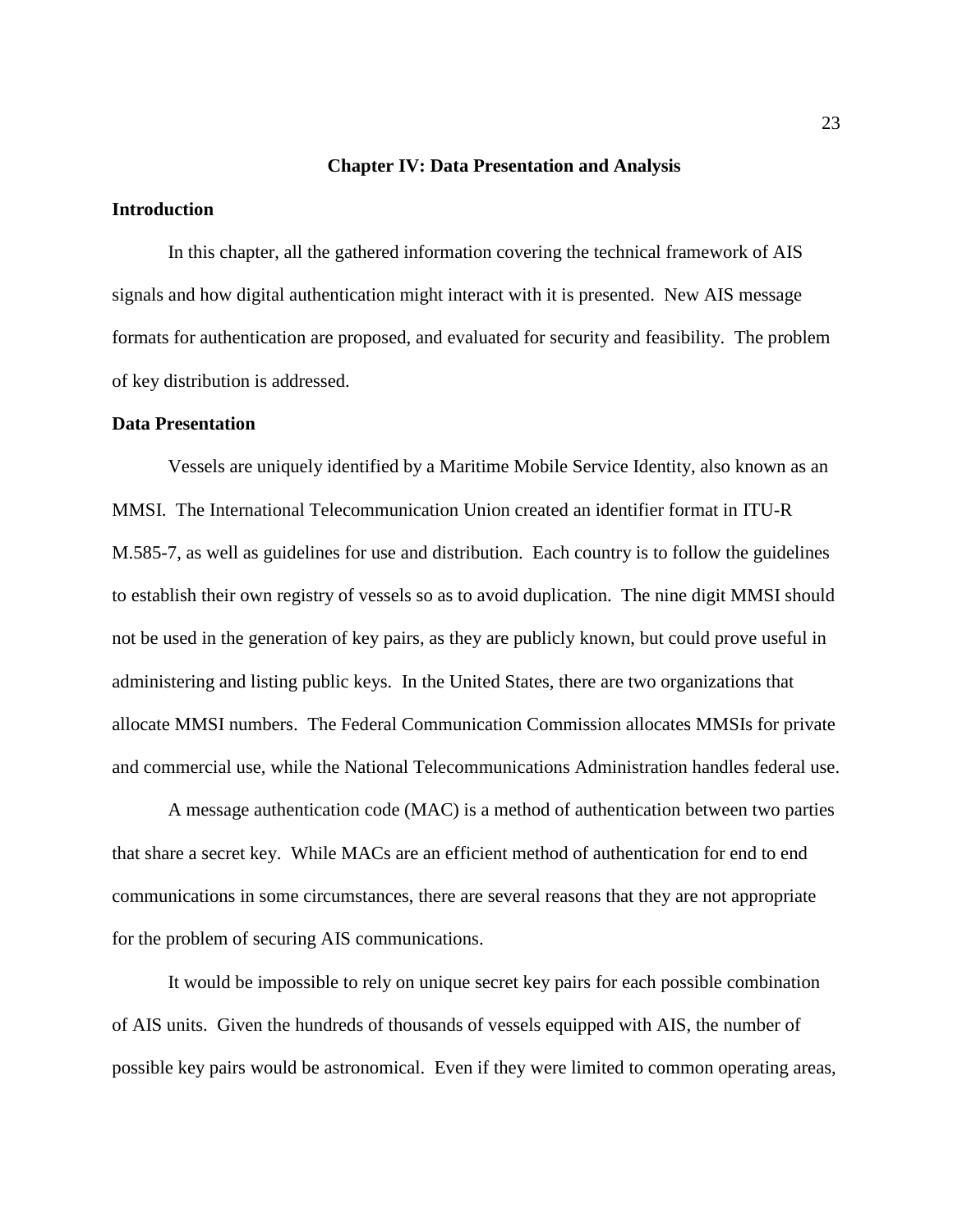#### **Chapter IV: Data Presentation and Analysis**

#### **Introduction**

In this chapter, all the gathered information covering the technical framework of AIS signals and how digital authentication might interact with it is presented. New AIS message formats for authentication are proposed, and evaluated for security and feasibility. The problem of key distribution is addressed.

#### **Data Presentation**

Vessels are uniquely identified by a Maritime Mobile Service Identity, also known as an MMSI. The International Telecommunication Union created an identifier format in ITU-R M.585-7, as well as guidelines for use and distribution. Each country is to follow the guidelines to establish their own registry of vessels so as to avoid duplication. The nine digit MMSI should not be used in the generation of key pairs, as they are publicly known, but could prove useful in administering and listing public keys. In the United States, there are two organizations that allocate MMSI numbers. The Federal Communication Commission allocates MMSIs for private and commercial use, while the National Telecommunications Administration handles federal use.

A message authentication code (MAC) is a method of authentication between two parties that share a secret key. While MACs are an efficient method of authentication for end to end communications in some circumstances, there are several reasons that they are not appropriate for the problem of securing AIS communications.

It would be impossible to rely on unique secret key pairs for each possible combination of AIS units. Given the hundreds of thousands of vessels equipped with AIS, the number of possible key pairs would be astronomical. Even if they were limited to common operating areas,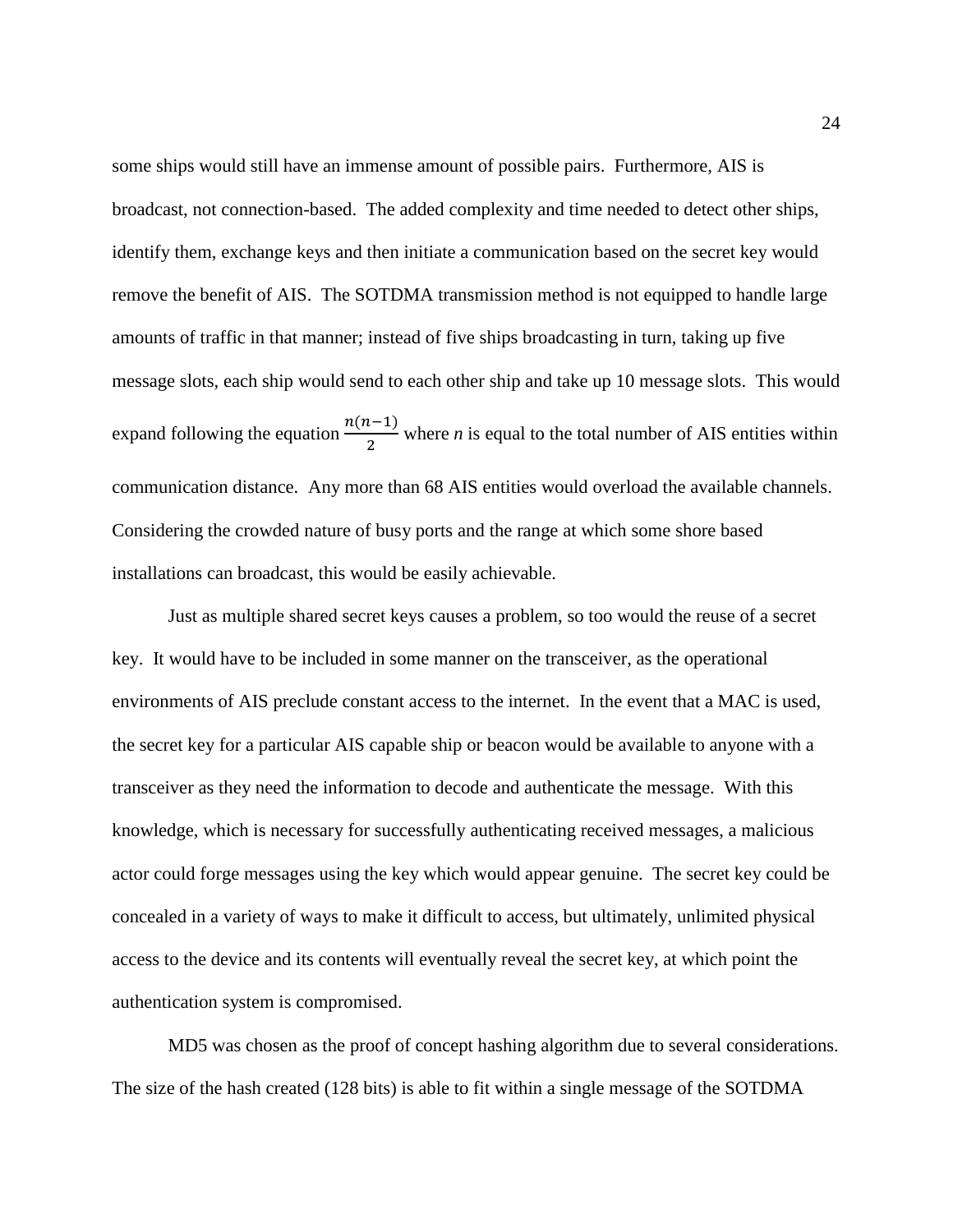some ships would still have an immense amount of possible pairs. Furthermore, AIS is broadcast, not connection-based. The added complexity and time needed to detect other ships, identify them, exchange keys and then initiate a communication based on the secret key would remove the benefit of AIS. The SOTDMA transmission method is not equipped to handle large amounts of traffic in that manner; instead of five ships broadcasting in turn, taking up five message slots, each ship would send to each other ship and take up 10 message slots. This would expand following the equation  $\frac{n(n-1)}{2}$  $\frac{2}{2}$  where *n* is equal to the total number of AIS entities within communication distance. Any more than 68 AIS entities would overload the available channels. Considering the crowded nature of busy ports and the range at which some shore based installations can broadcast, this would be easily achievable.

Just as multiple shared secret keys causes a problem, so too would the reuse of a secret key. It would have to be included in some manner on the transceiver, as the operational environments of AIS preclude constant access to the internet. In the event that a MAC is used, the secret key for a particular AIS capable ship or beacon would be available to anyone with a transceiver as they need the information to decode and authenticate the message. With this knowledge, which is necessary for successfully authenticating received messages, a malicious actor could forge messages using the key which would appear genuine. The secret key could be concealed in a variety of ways to make it difficult to access, but ultimately, unlimited physical access to the device and its contents will eventually reveal the secret key, at which point the authentication system is compromised.

MD5 was chosen as the proof of concept hashing algorithm due to several considerations. The size of the hash created (128 bits) is able to fit within a single message of the SOTDMA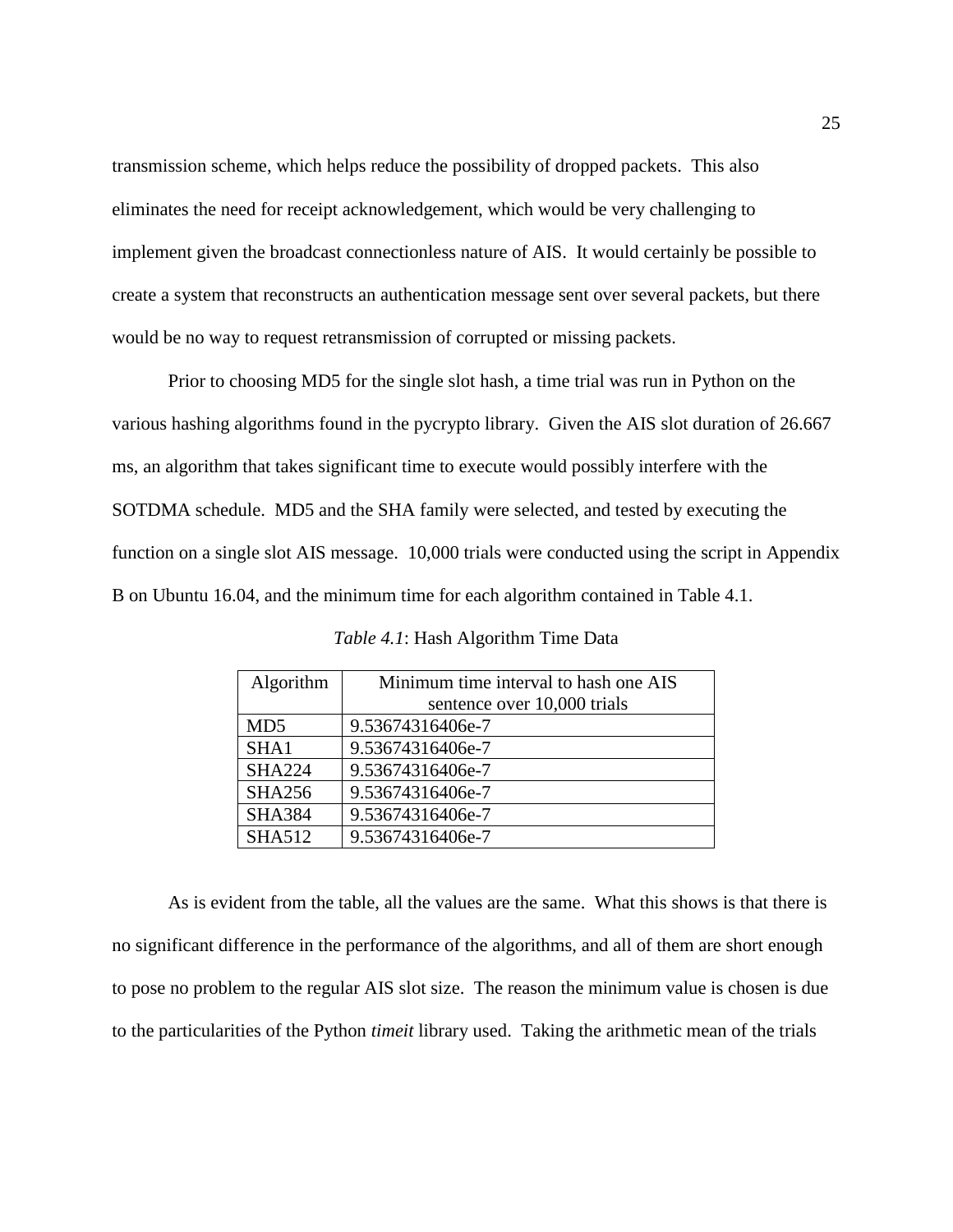transmission scheme, which helps reduce the possibility of dropped packets. This also eliminates the need for receipt acknowledgement, which would be very challenging to implement given the broadcast connectionless nature of AIS. It would certainly be possible to create a system that reconstructs an authentication message sent over several packets, but there would be no way to request retransmission of corrupted or missing packets.

Prior to choosing MD5 for the single slot hash, a time trial was run in Python on the various hashing algorithms found in the pycrypto library. Given the AIS slot duration of 26.667 ms, an algorithm that takes significant time to execute would possibly interfere with the SOTDMA schedule. MD5 and the SHA family were selected, and tested by executing the function on a single slot AIS message. 10,000 trials were conducted using the script in Appendix B on Ubuntu 16.04, and the minimum time for each algorithm contained in Table 4.1.

| Algorithm       | Minimum time interval to hash one AIS |  |  |
|-----------------|---------------------------------------|--|--|
|                 | sentence over 10,000 trials           |  |  |
| MD <sub>5</sub> | 9.53674316406e-7                      |  |  |
| SHA1            | 9.53674316406e-7                      |  |  |
| <b>SHA224</b>   | 9.53674316406e-7                      |  |  |
| <b>SHA256</b>   | 9.53674316406e-7                      |  |  |
| <b>SHA384</b>   | 9.53674316406e-7                      |  |  |
| <b>SHA512</b>   | 9.53674316406e-7                      |  |  |

*Table 4.1*: Hash Algorithm Time Data

As is evident from the table, all the values are the same. What this shows is that there is no significant difference in the performance of the algorithms, and all of them are short enough to pose no problem to the regular AIS slot size. The reason the minimum value is chosen is due to the particularities of the Python *timeit* library used. Taking the arithmetic mean of the trials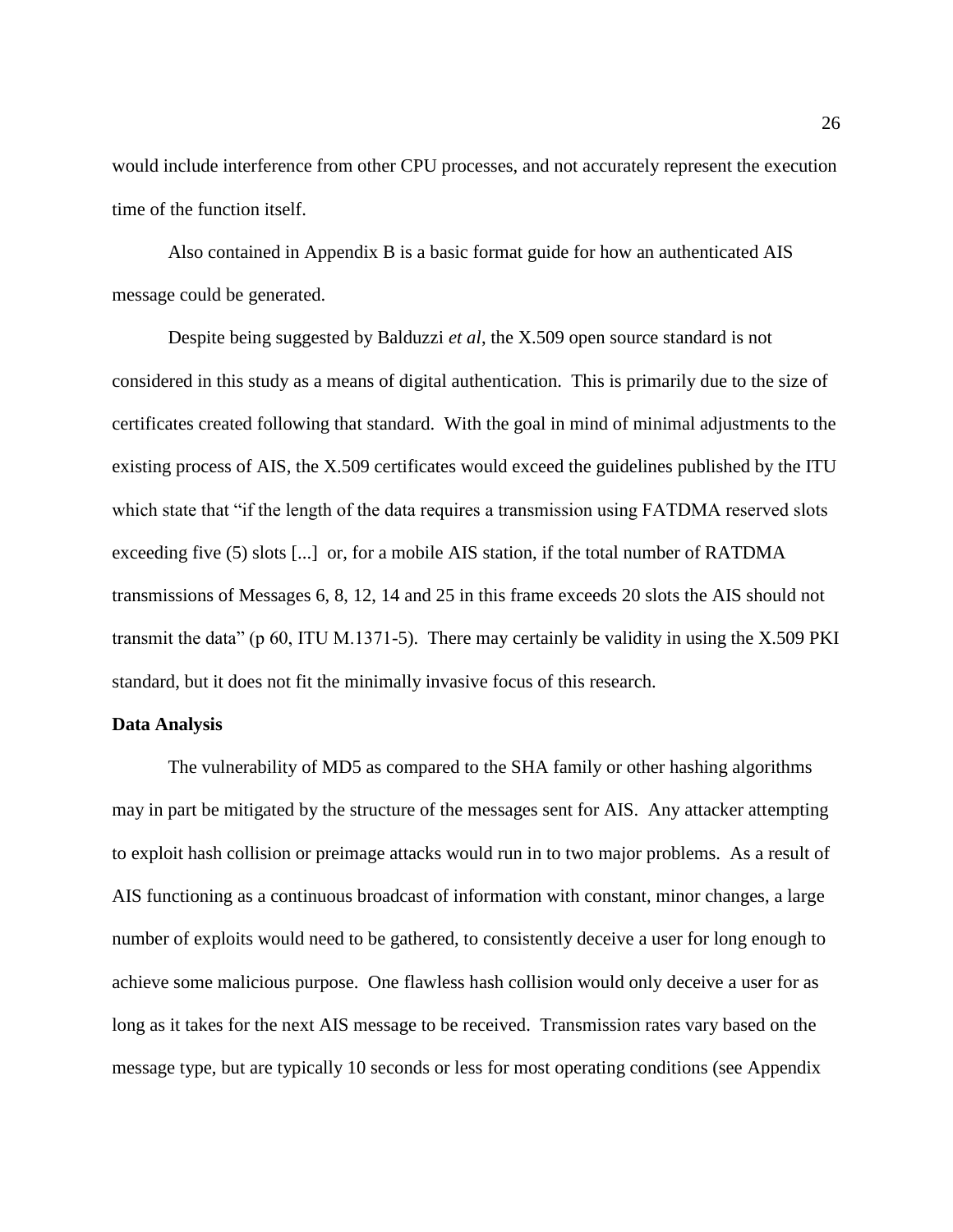would include interference from other CPU processes, and not accurately represent the execution time of the function itself.

Also contained in Appendix B is a basic format guide for how an authenticated AIS message could be generated.

Despite being suggested by Balduzzi *et al*, the X.509 open source standard is not considered in this study as a means of digital authentication. This is primarily due to the size of certificates created following that standard. With the goal in mind of minimal adjustments to the existing process of AIS, the X.509 certificates would exceed the guidelines published by the ITU which state that "if the length of the data requires a transmission using FATDMA reserved slots exceeding five (5) slots [...] or, for a mobile AIS station, if the total number of RATDMA transmissions of Messages 6, 8, 12, 14 and 25 in this frame exceeds 20 slots the AIS should not transmit the data" (p 60, ITU M.1371-5). There may certainly be validity in using the X.509 PKI standard, but it does not fit the minimally invasive focus of this research.

#### **Data Analysis**

The vulnerability of MD5 as compared to the SHA family or other hashing algorithms may in part be mitigated by the structure of the messages sent for AIS. Any attacker attempting to exploit hash collision or preimage attacks would run in to two major problems. As a result of AIS functioning as a continuous broadcast of information with constant, minor changes, a large number of exploits would need to be gathered, to consistently deceive a user for long enough to achieve some malicious purpose. One flawless hash collision would only deceive a user for as long as it takes for the next AIS message to be received. Transmission rates vary based on the message type, but are typically 10 seconds or less for most operating conditions (see Appendix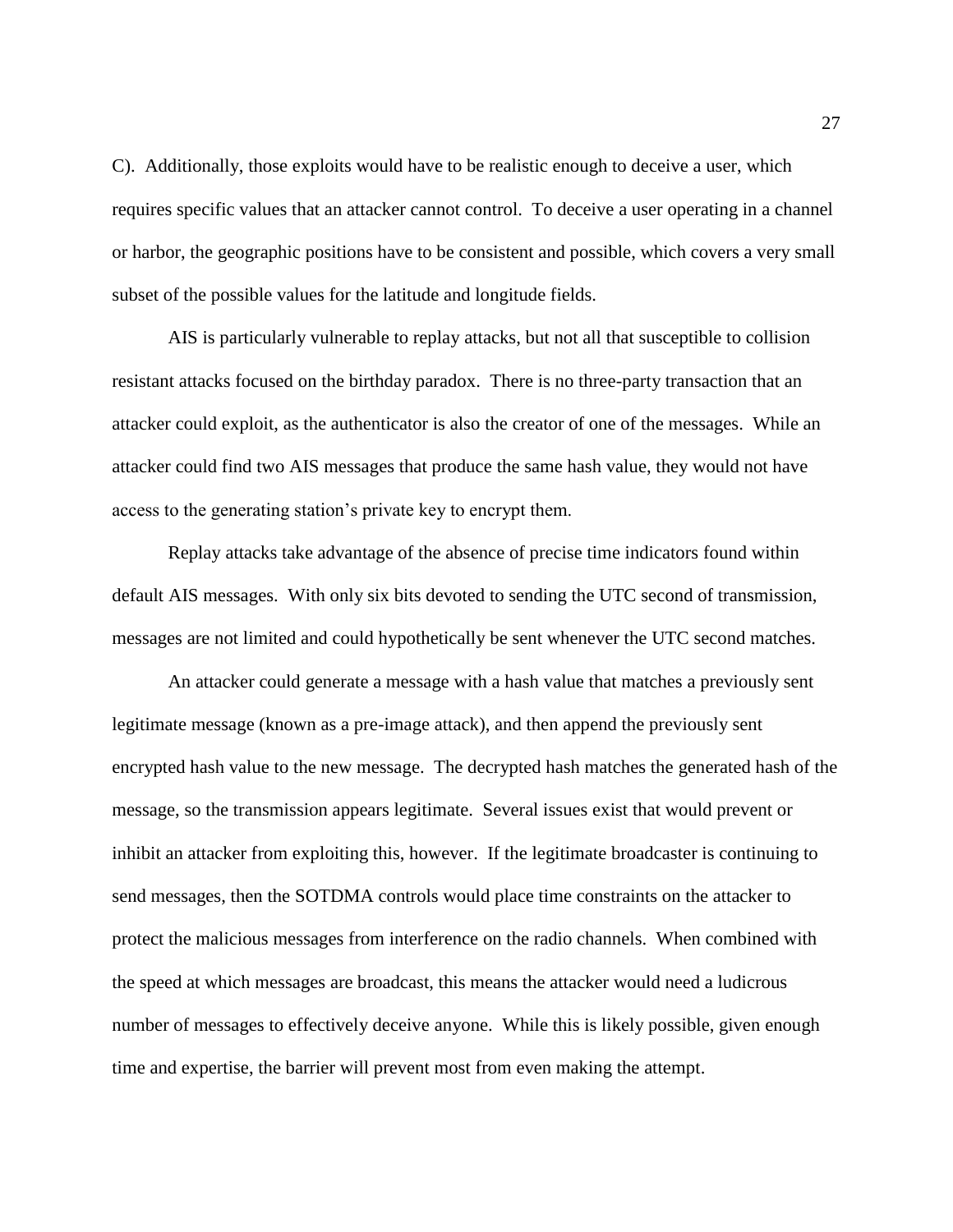C). Additionally, those exploits would have to be realistic enough to deceive a user, which requires specific values that an attacker cannot control. To deceive a user operating in a channel or harbor, the geographic positions have to be consistent and possible, which covers a very small subset of the possible values for the latitude and longitude fields.

AIS is particularly vulnerable to replay attacks, but not all that susceptible to collision resistant attacks focused on the birthday paradox. There is no three-party transaction that an attacker could exploit, as the authenticator is also the creator of one of the messages. While an attacker could find two AIS messages that produce the same hash value, they would not have access to the generating station's private key to encrypt them.

Replay attacks take advantage of the absence of precise time indicators found within default AIS messages. With only six bits devoted to sending the UTC second of transmission, messages are not limited and could hypothetically be sent whenever the UTC second matches.

An attacker could generate a message with a hash value that matches a previously sent legitimate message (known as a pre-image attack), and then append the previously sent encrypted hash value to the new message. The decrypted hash matches the generated hash of the message, so the transmission appears legitimate. Several issues exist that would prevent or inhibit an attacker from exploiting this, however. If the legitimate broadcaster is continuing to send messages, then the SOTDMA controls would place time constraints on the attacker to protect the malicious messages from interference on the radio channels. When combined with the speed at which messages are broadcast, this means the attacker would need a ludicrous number of messages to effectively deceive anyone. While this is likely possible, given enough time and expertise, the barrier will prevent most from even making the attempt.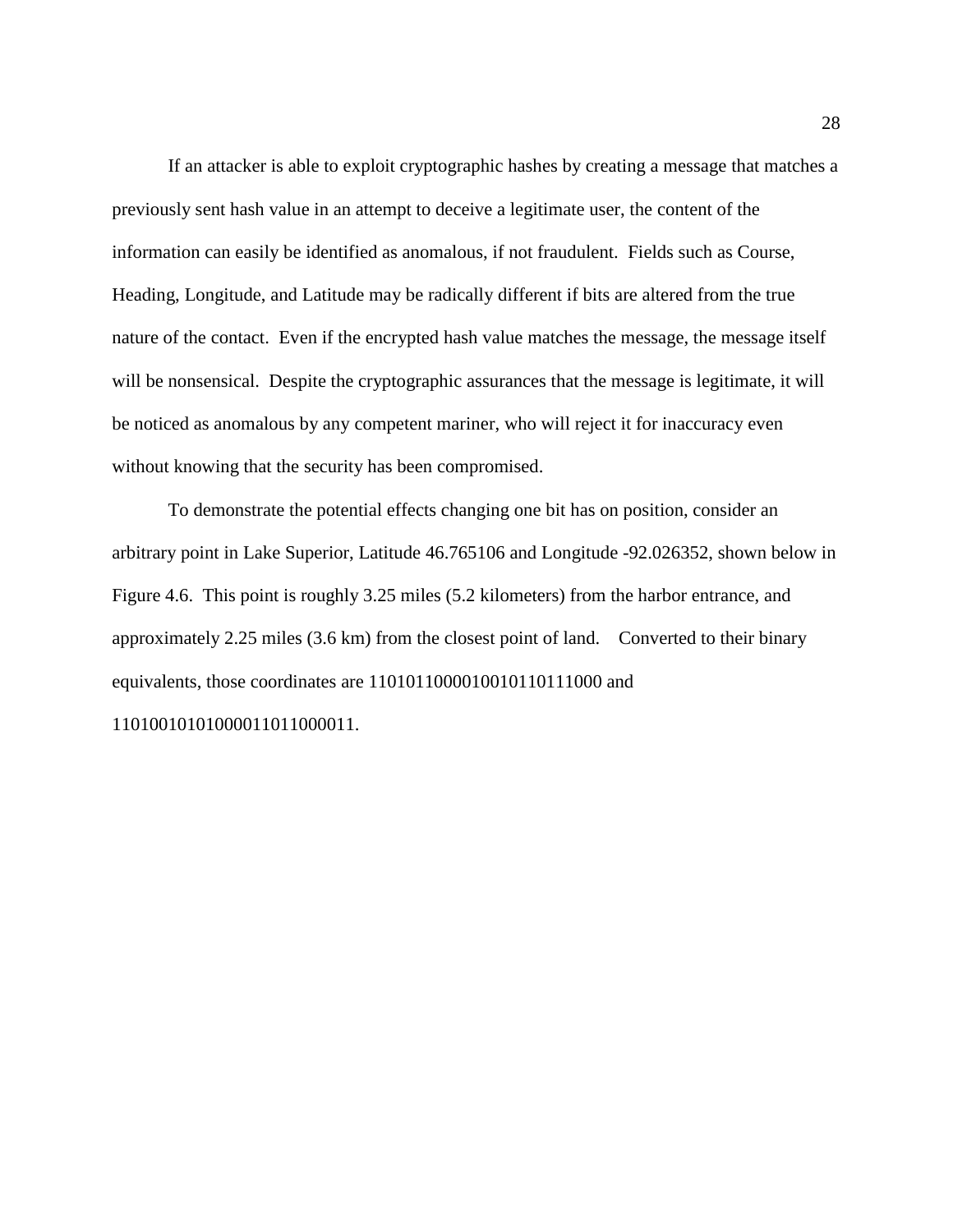If an attacker is able to exploit cryptographic hashes by creating a message that matches a previously sent hash value in an attempt to deceive a legitimate user, the content of the information can easily be identified as anomalous, if not fraudulent. Fields such as Course, Heading, Longitude, and Latitude may be radically different if bits are altered from the true nature of the contact. Even if the encrypted hash value matches the message, the message itself will be nonsensical. Despite the cryptographic assurances that the message is legitimate, it will be noticed as anomalous by any competent mariner, who will reject it for inaccuracy even without knowing that the security has been compromised.

To demonstrate the potential effects changing one bit has on position, consider an arbitrary point in Lake Superior, Latitude 46.765106 and Longitude -92.026352, shown below in Figure 4.6. This point is roughly 3.25 miles (5.2 kilometers) from the harbor entrance, and approximately 2.25 miles (3.6 km) from the closest point of land. Converted to their binary equivalents, those coordinates are 1101011000010010110111000 and 11010010101000011011000011.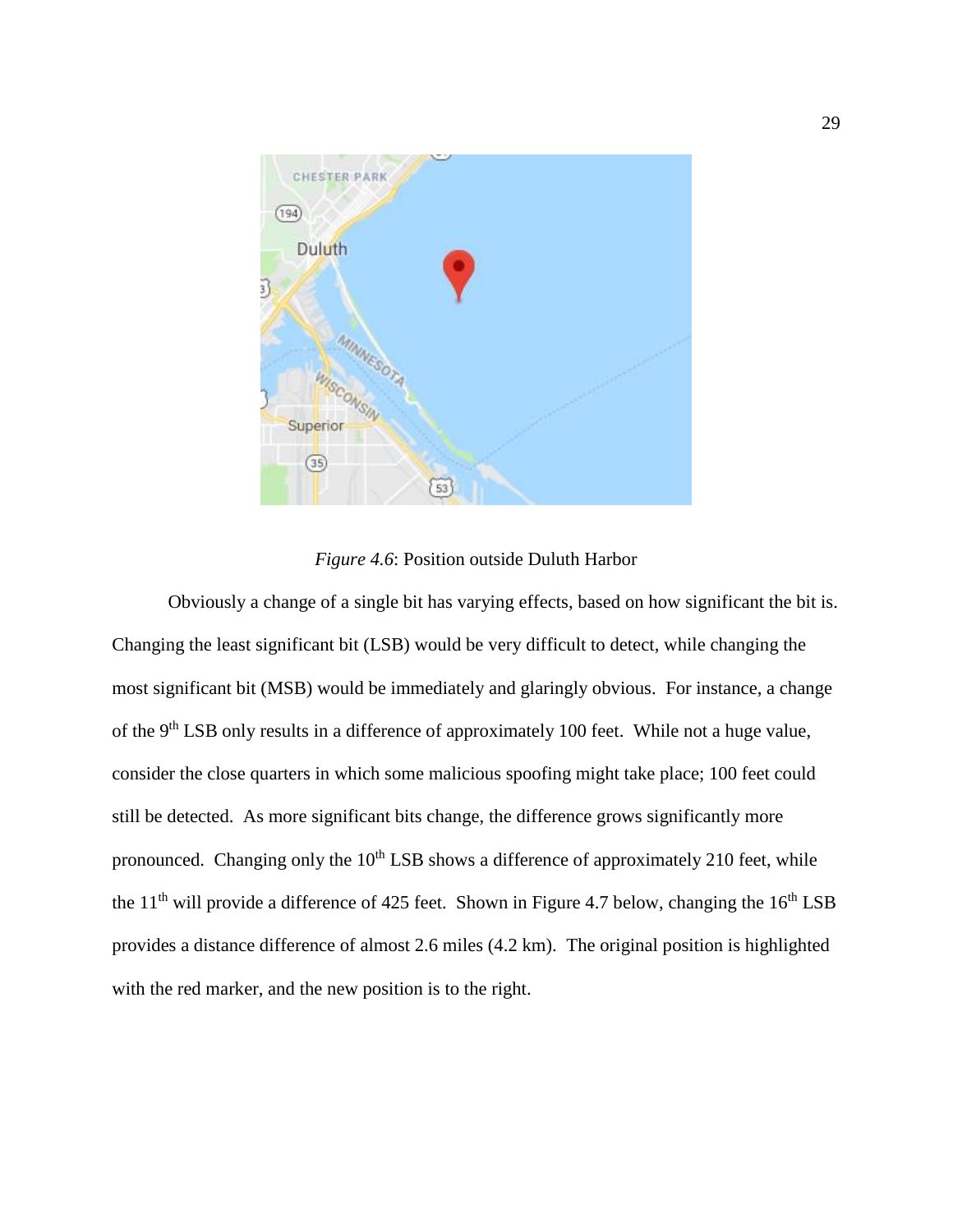

*Figure 4.6*: Position outside Duluth Harbor

Obviously a change of a single bit has varying effects, based on how significant the bit is. Changing the least significant bit (LSB) would be very difficult to detect, while changing the most significant bit (MSB) would be immediately and glaringly obvious. For instance, a change of the 9<sup>th</sup> LSB only results in a difference of approximately 100 feet. While not a huge value, consider the close quarters in which some malicious spoofing might take place; 100 feet could still be detected. As more significant bits change, the difference grows significantly more pronounced. Changing only the  $10<sup>th</sup>$  LSB shows a difference of approximately 210 feet, while the 11<sup>th</sup> will provide a difference of 425 feet. Shown in Figure 4.7 below, changing the 16<sup>th</sup> LSB provides a distance difference of almost 2.6 miles (4.2 km). The original position is highlighted with the red marker, and the new position is to the right.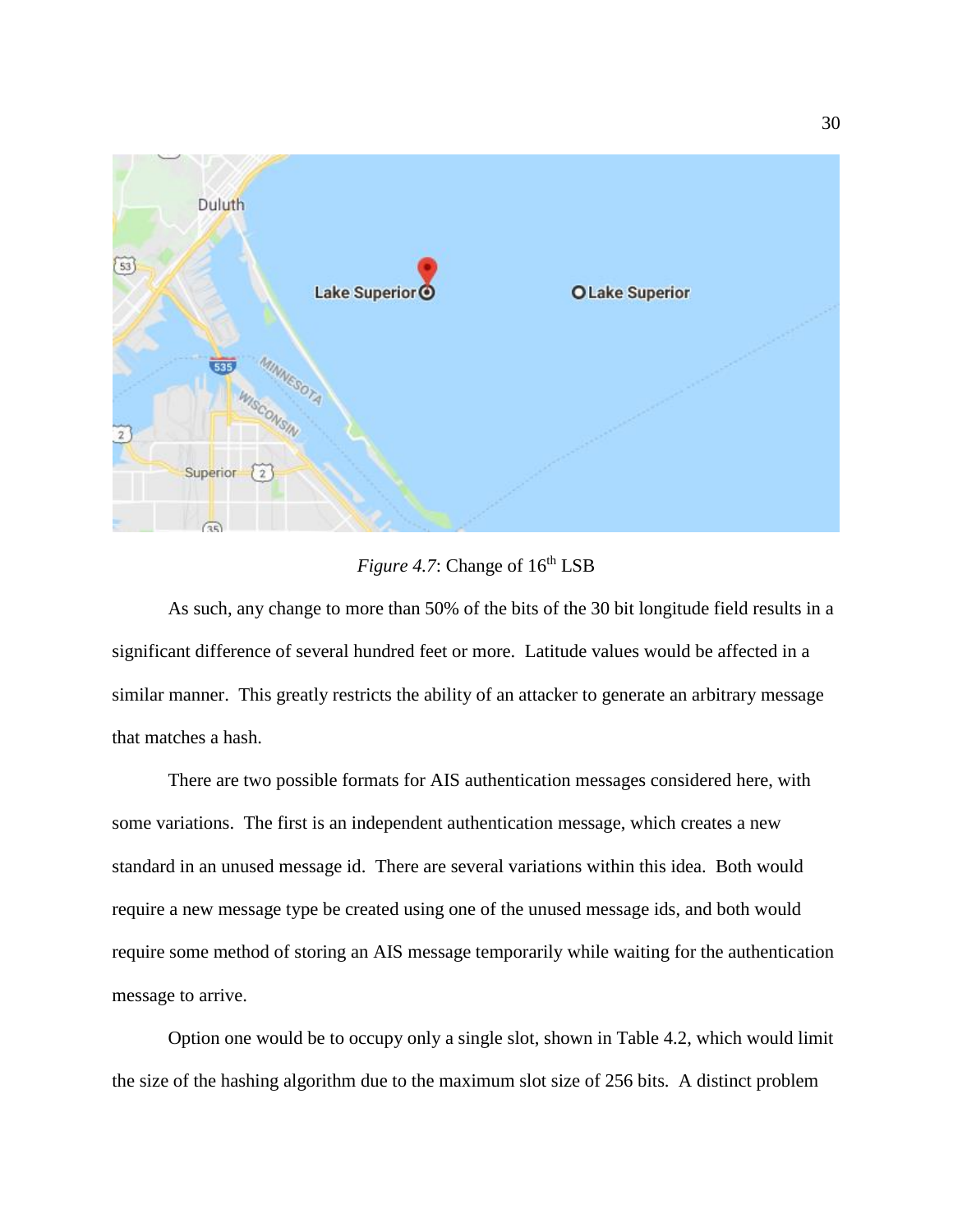

*Figure 4.7*: Change of  $16<sup>th</sup>$  LSB

As such, any change to more than 50% of the bits of the 30 bit longitude field results in a significant difference of several hundred feet or more. Latitude values would be affected in a similar manner. This greatly restricts the ability of an attacker to generate an arbitrary message that matches a hash.

There are two possible formats for AIS authentication messages considered here, with some variations. The first is an independent authentication message, which creates a new standard in an unused message id. There are several variations within this idea. Both would require a new message type be created using one of the unused message ids, and both would require some method of storing an AIS message temporarily while waiting for the authentication message to arrive.

Option one would be to occupy only a single slot, shown in Table 4.2, which would limit the size of the hashing algorithm due to the maximum slot size of 256 bits. A distinct problem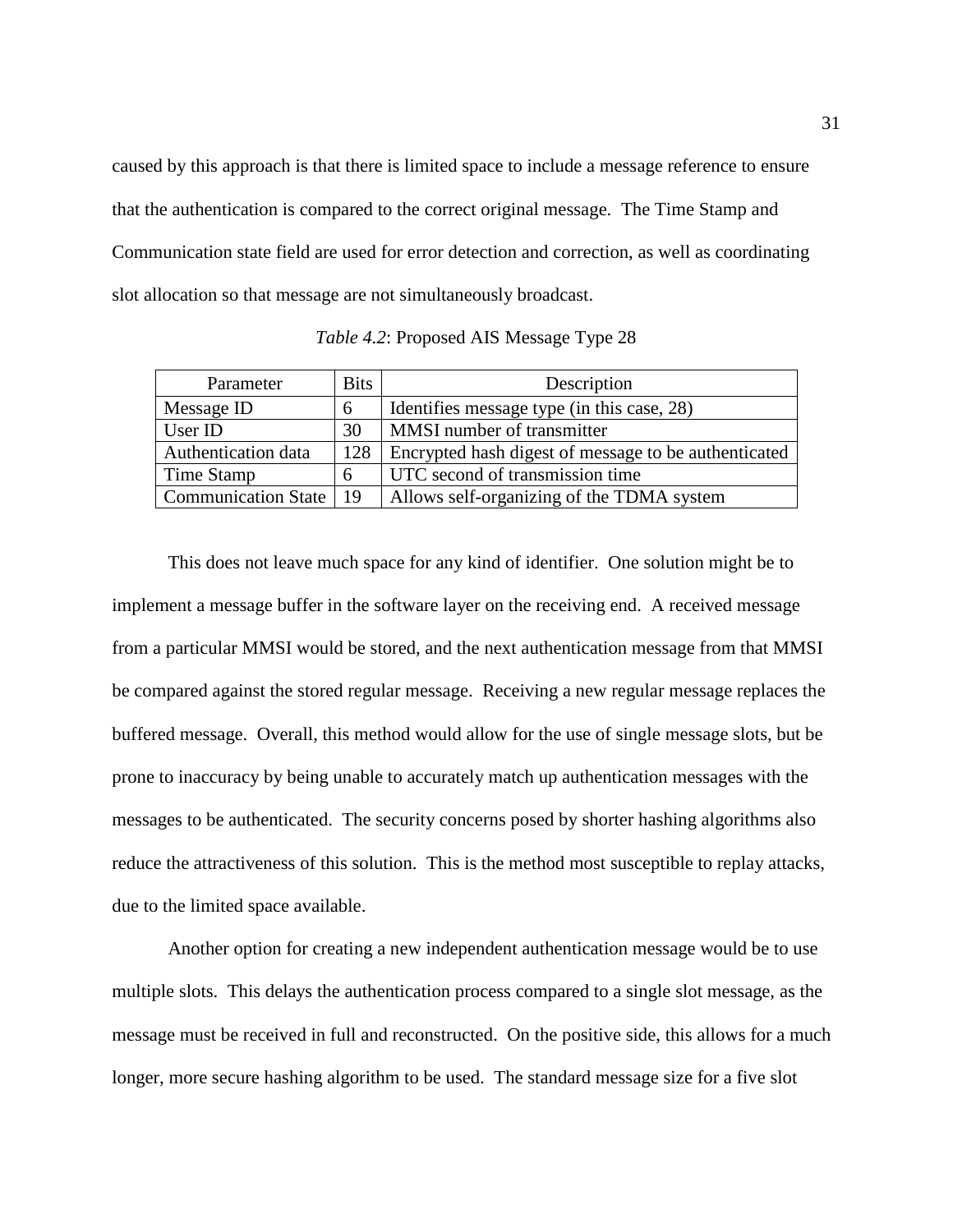caused by this approach is that there is limited space to include a message reference to ensure that the authentication is compared to the correct original message. The Time Stamp and Communication state field are used for error detection and correction, as well as coordinating slot allocation so that message are not simultaneously broadcast.

| Parameter                | <b>Bits</b> | Description                                          |
|--------------------------|-------------|------------------------------------------------------|
| Message ID               | 6           | Identifies message type (in this case, 28)           |
| User ID                  | 30          | MMSI number of transmitter                           |
| Authentication data      | 128         | Encrypted hash digest of message to be authenticated |
| Time Stamp               | 6           | UTC second of transmission time                      |
| Communication State   19 |             | Allows self-organizing of the TDMA system            |

*Table 4.2*: Proposed AIS Message Type 28

This does not leave much space for any kind of identifier. One solution might be to implement a message buffer in the software layer on the receiving end. A received message from a particular MMSI would be stored, and the next authentication message from that MMSI be compared against the stored regular message. Receiving a new regular message replaces the buffered message. Overall, this method would allow for the use of single message slots, but be prone to inaccuracy by being unable to accurately match up authentication messages with the messages to be authenticated. The security concerns posed by shorter hashing algorithms also reduce the attractiveness of this solution. This is the method most susceptible to replay attacks, due to the limited space available.

Another option for creating a new independent authentication message would be to use multiple slots. This delays the authentication process compared to a single slot message, as the message must be received in full and reconstructed. On the positive side, this allows for a much longer, more secure hashing algorithm to be used. The standard message size for a five slot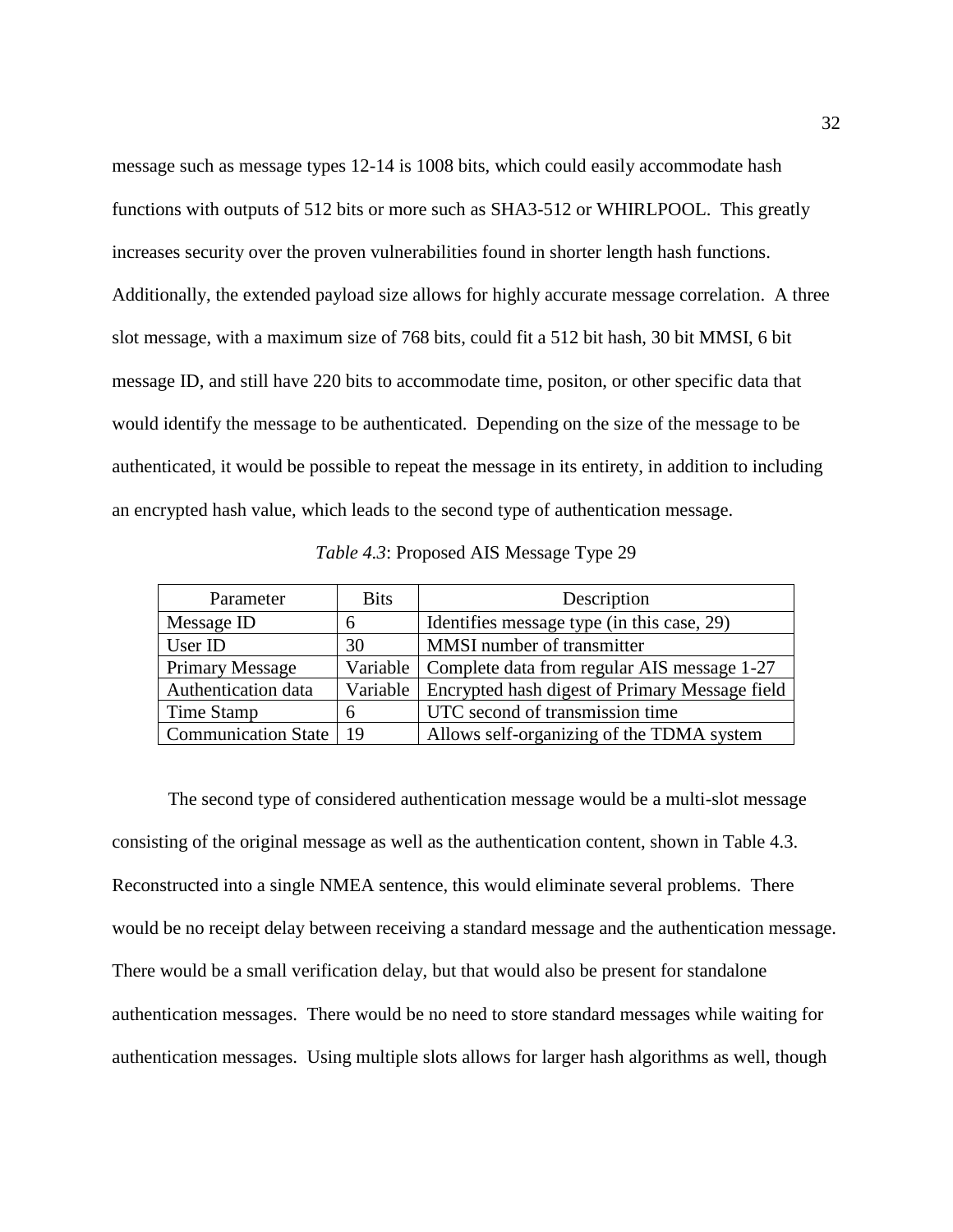message such as message types 12-14 is 1008 bits, which could easily accommodate hash functions with outputs of 512 bits or more such as SHA3-512 or WHIRLPOOL. This greatly increases security over the proven vulnerabilities found in shorter length hash functions. Additionally, the extended payload size allows for highly accurate message correlation. A three slot message, with a maximum size of 768 bits, could fit a 512 bit hash, 30 bit MMSI, 6 bit message ID, and still have 220 bits to accommodate time, positon, or other specific data that would identify the message to be authenticated. Depending on the size of the message to be authenticated, it would be possible to repeat the message in its entirety, in addition to including an encrypted hash value, which leads to the second type of authentication message.

| Parameter              | <b>Bits</b> | Description                                    |
|------------------------|-------------|------------------------------------------------|
| Message ID             | h           | Identifies message type (in this case, 29)     |
| User ID                | 30          | MMSI number of transmitter                     |
| <b>Primary Message</b> | Variable    | Complete data from regular AIS message 1-27    |
| Authentication data    | Variable    | Encrypted hash digest of Primary Message field |
| Time Stamp             | h           | UTC second of transmission time                |
| Communication State    | -19         | Allows self-organizing of the TDMA system      |

| Table 4.3: Proposed AIS Message Type 29 |  |  |  |
|-----------------------------------------|--|--|--|
|                                         |  |  |  |

The second type of considered authentication message would be a multi-slot message consisting of the original message as well as the authentication content, shown in Table 4.3. Reconstructed into a single NMEA sentence, this would eliminate several problems. There would be no receipt delay between receiving a standard message and the authentication message. There would be a small verification delay, but that would also be present for standalone authentication messages. There would be no need to store standard messages while waiting for authentication messages. Using multiple slots allows for larger hash algorithms as well, though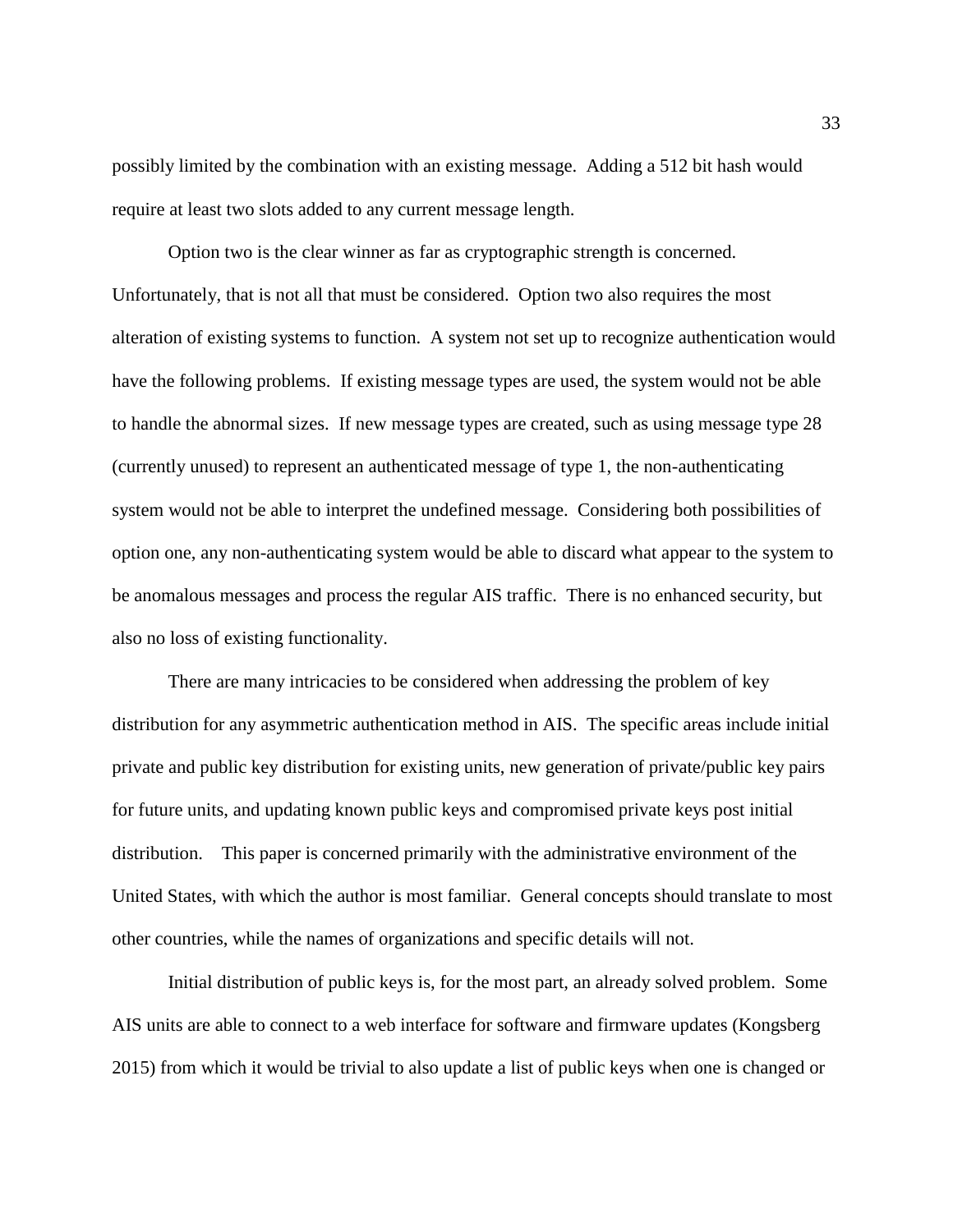possibly limited by the combination with an existing message. Adding a 512 bit hash would require at least two slots added to any current message length.

Option two is the clear winner as far as cryptographic strength is concerned. Unfortunately, that is not all that must be considered. Option two also requires the most alteration of existing systems to function. A system not set up to recognize authentication would have the following problems. If existing message types are used, the system would not be able to handle the abnormal sizes. If new message types are created, such as using message type 28 (currently unused) to represent an authenticated message of type 1, the non-authenticating system would not be able to interpret the undefined message. Considering both possibilities of option one, any non-authenticating system would be able to discard what appear to the system to be anomalous messages and process the regular AIS traffic. There is no enhanced security, but also no loss of existing functionality.

There are many intricacies to be considered when addressing the problem of key distribution for any asymmetric authentication method in AIS. The specific areas include initial private and public key distribution for existing units, new generation of private/public key pairs for future units, and updating known public keys and compromised private keys post initial distribution. This paper is concerned primarily with the administrative environment of the United States, with which the author is most familiar. General concepts should translate to most other countries, while the names of organizations and specific details will not.

Initial distribution of public keys is, for the most part, an already solved problem. Some AIS units are able to connect to a web interface for software and firmware updates (Kongsberg 2015) from which it would be trivial to also update a list of public keys when one is changed or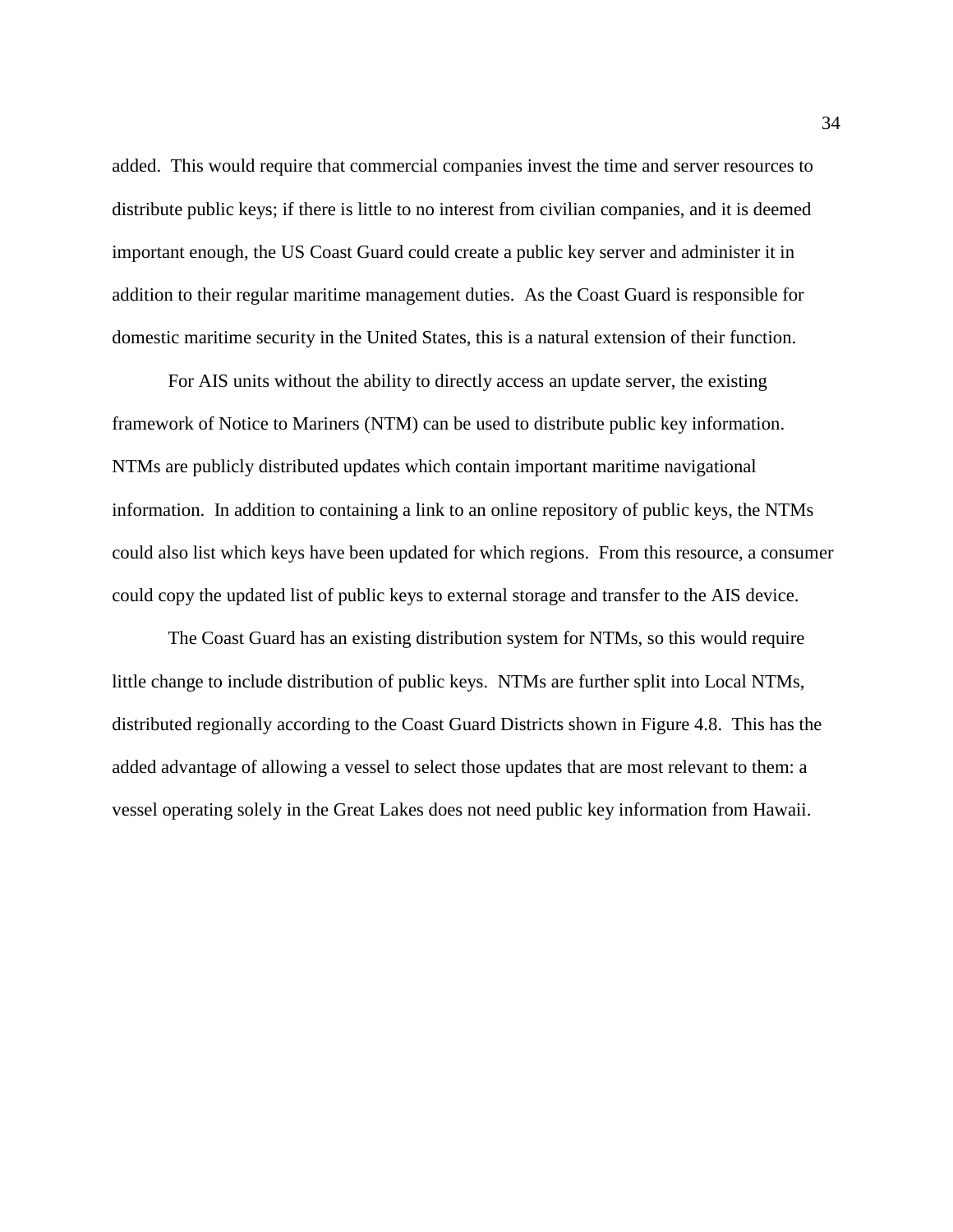added. This would require that commercial companies invest the time and server resources to distribute public keys; if there is little to no interest from civilian companies, and it is deemed important enough, the US Coast Guard could create a public key server and administer it in addition to their regular maritime management duties. As the Coast Guard is responsible for domestic maritime security in the United States, this is a natural extension of their function.

For AIS units without the ability to directly access an update server, the existing framework of Notice to Mariners (NTM) can be used to distribute public key information. NTMs are publicly distributed updates which contain important maritime navigational information. In addition to containing a link to an online repository of public keys, the NTMs could also list which keys have been updated for which regions. From this resource, a consumer could copy the updated list of public keys to external storage and transfer to the AIS device.

The Coast Guard has an existing distribution system for NTMs, so this would require little change to include distribution of public keys. NTMs are further split into Local NTMs, distributed regionally according to the Coast Guard Districts shown in Figure 4.8. This has the added advantage of allowing a vessel to select those updates that are most relevant to them: a vessel operating solely in the Great Lakes does not need public key information from Hawaii.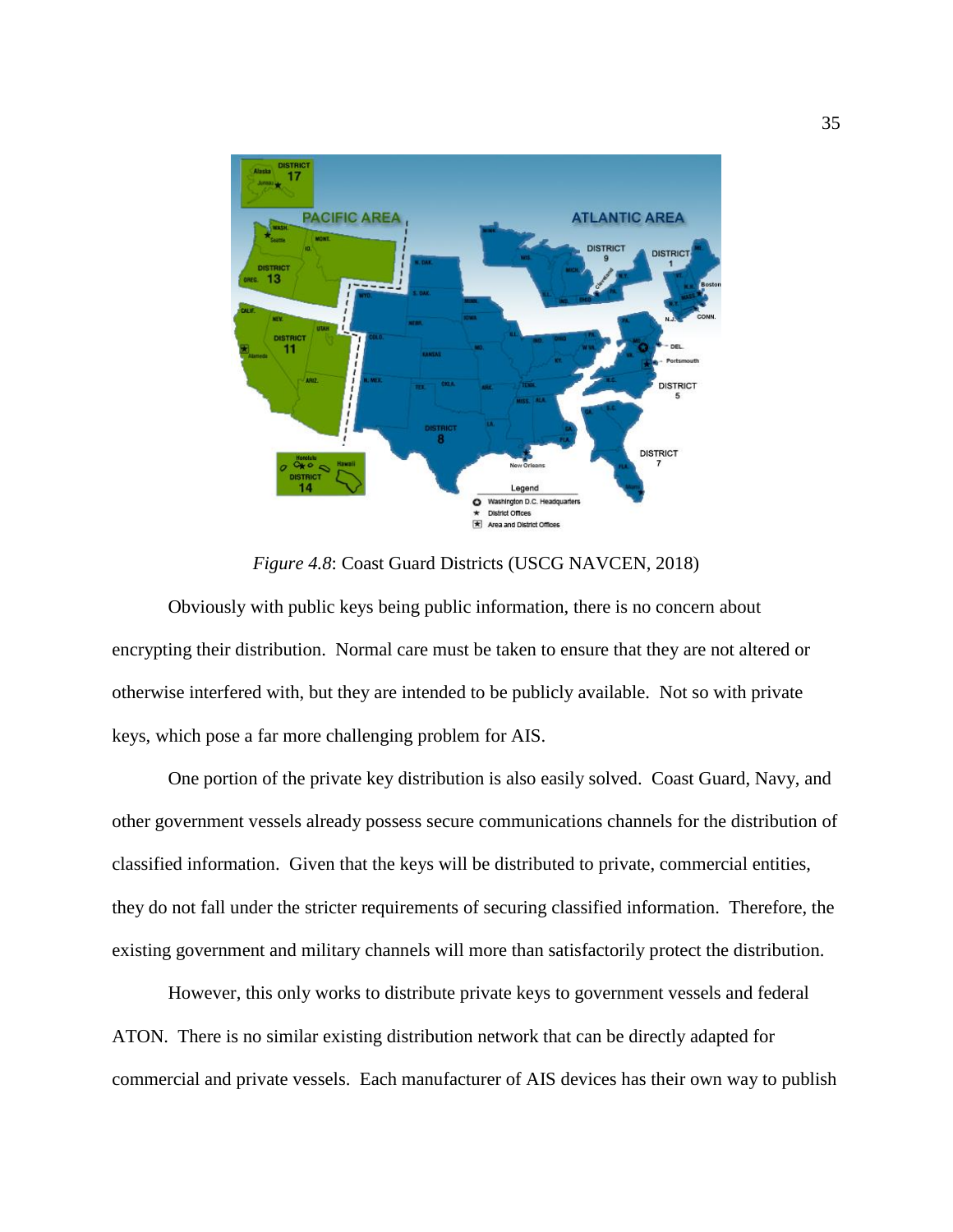

*Figure 4.8*: Coast Guard Districts (USCG NAVCEN, 2018)

Obviously with public keys being public information, there is no concern about encrypting their distribution. Normal care must be taken to ensure that they are not altered or otherwise interfered with, but they are intended to be publicly available. Not so with private keys, which pose a far more challenging problem for AIS.

One portion of the private key distribution is also easily solved. Coast Guard, Navy, and other government vessels already possess secure communications channels for the distribution of classified information. Given that the keys will be distributed to private, commercial entities, they do not fall under the stricter requirements of securing classified information. Therefore, the existing government and military channels will more than satisfactorily protect the distribution.

However, this only works to distribute private keys to government vessels and federal ATON. There is no similar existing distribution network that can be directly adapted for commercial and private vessels. Each manufacturer of AIS devices has their own way to publish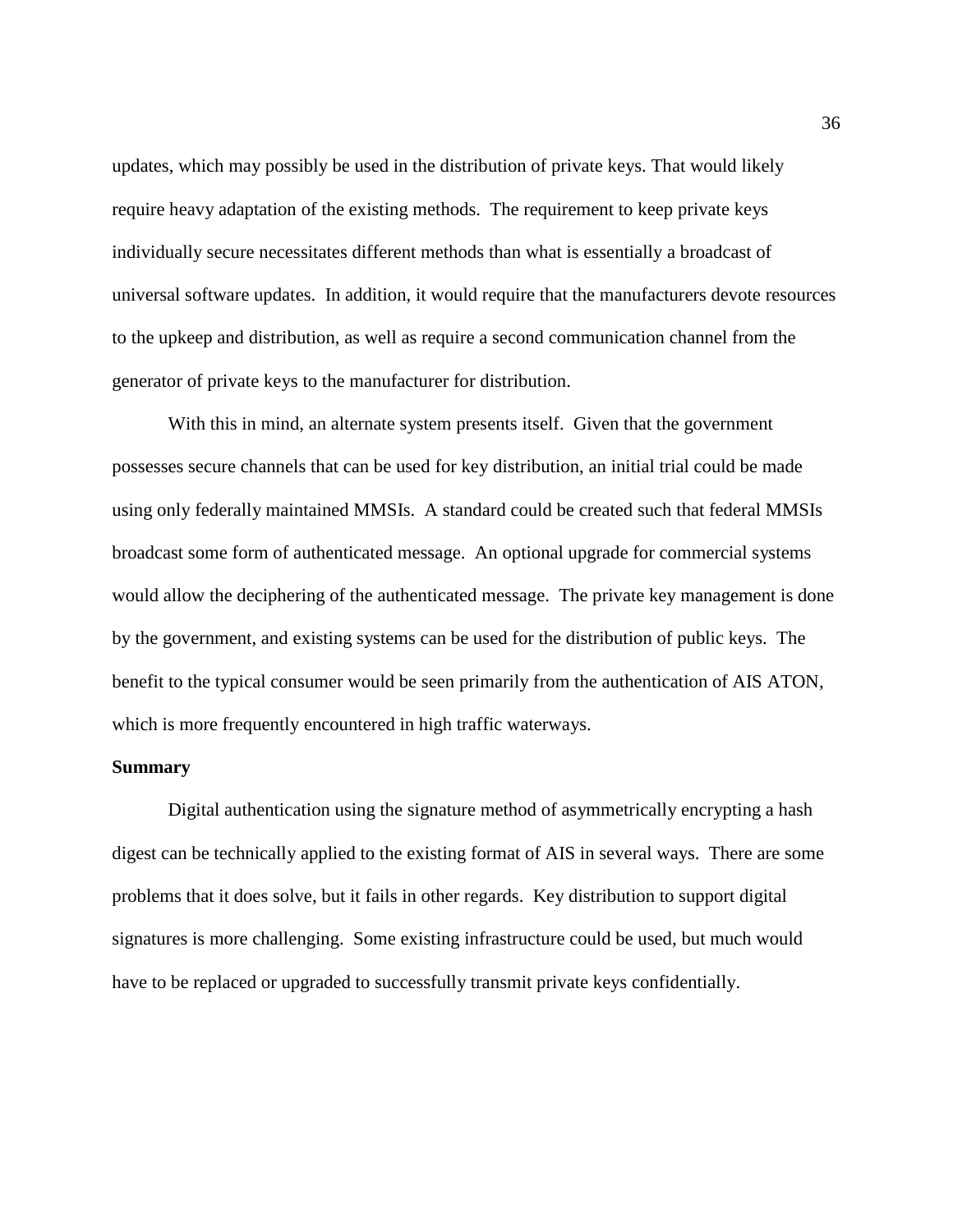updates, which may possibly be used in the distribution of private keys. That would likely require heavy adaptation of the existing methods. The requirement to keep private keys individually secure necessitates different methods than what is essentially a broadcast of universal software updates. In addition, it would require that the manufacturers devote resources to the upkeep and distribution, as well as require a second communication channel from the generator of private keys to the manufacturer for distribution.

With this in mind, an alternate system presents itself. Given that the government possesses secure channels that can be used for key distribution, an initial trial could be made using only federally maintained MMSIs. A standard could be created such that federal MMSIs broadcast some form of authenticated message. An optional upgrade for commercial systems would allow the deciphering of the authenticated message. The private key management is done by the government, and existing systems can be used for the distribution of public keys. The benefit to the typical consumer would be seen primarily from the authentication of AIS ATON, which is more frequently encountered in high traffic waterways.

#### **Summary**

Digital authentication using the signature method of asymmetrically encrypting a hash digest can be technically applied to the existing format of AIS in several ways. There are some problems that it does solve, but it fails in other regards. Key distribution to support digital signatures is more challenging. Some existing infrastructure could be used, but much would have to be replaced or upgraded to successfully transmit private keys confidentially.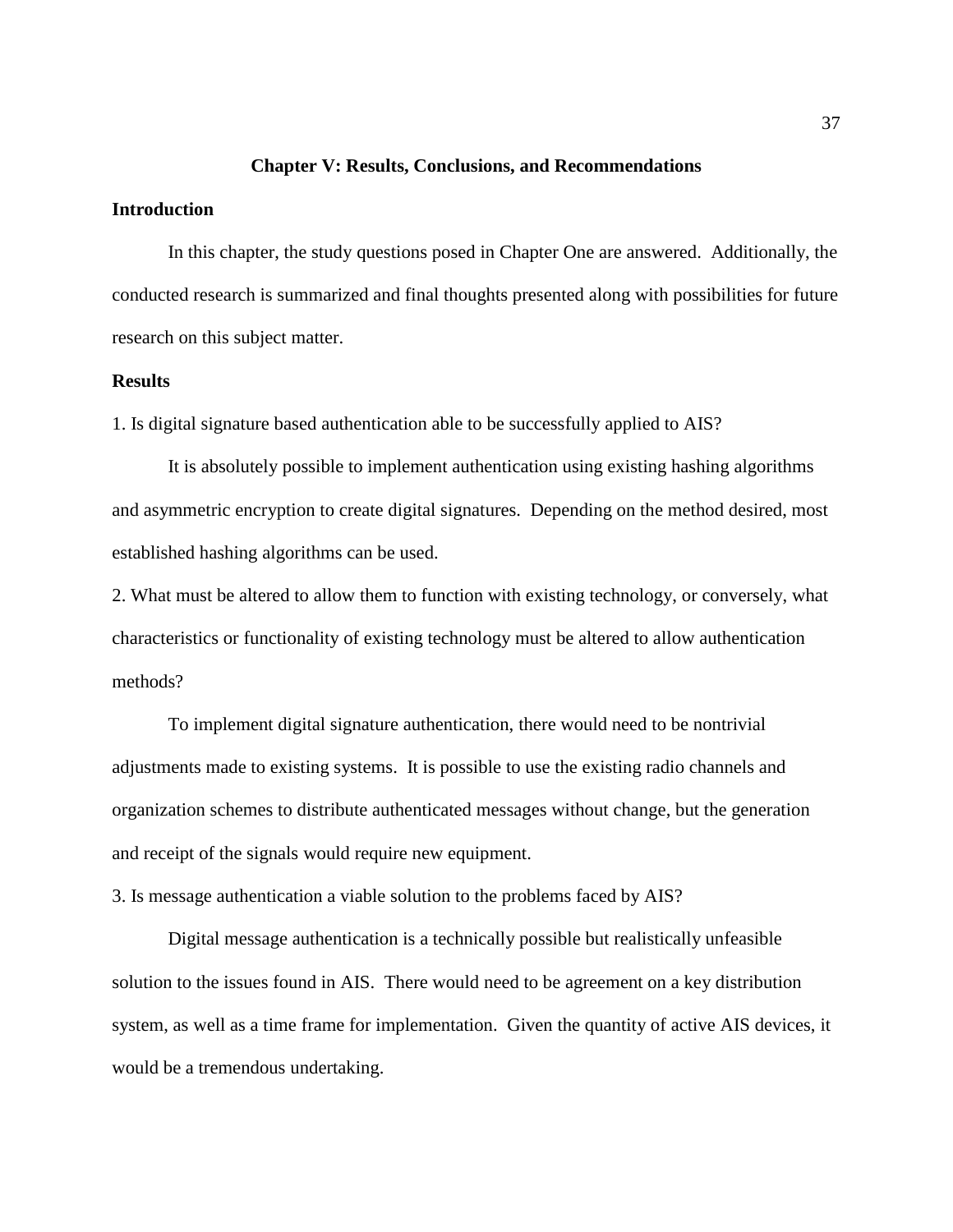#### **Chapter V: Results, Conclusions, and Recommendations**

#### **Introduction**

In this chapter, the study questions posed in Chapter One are answered. Additionally, the conducted research is summarized and final thoughts presented along with possibilities for future research on this subject matter.

#### **Results**

1. Is digital signature based authentication able to be successfully applied to AIS?

It is absolutely possible to implement authentication using existing hashing algorithms and asymmetric encryption to create digital signatures. Depending on the method desired, most established hashing algorithms can be used.

2. What must be altered to allow them to function with existing technology, or conversely, what characteristics or functionality of existing technology must be altered to allow authentication methods?

To implement digital signature authentication, there would need to be nontrivial adjustments made to existing systems. It is possible to use the existing radio channels and organization schemes to distribute authenticated messages without change, but the generation and receipt of the signals would require new equipment.

3. Is message authentication a viable solution to the problems faced by AIS?

Digital message authentication is a technically possible but realistically unfeasible solution to the issues found in AIS. There would need to be agreement on a key distribution system, as well as a time frame for implementation. Given the quantity of active AIS devices, it would be a tremendous undertaking.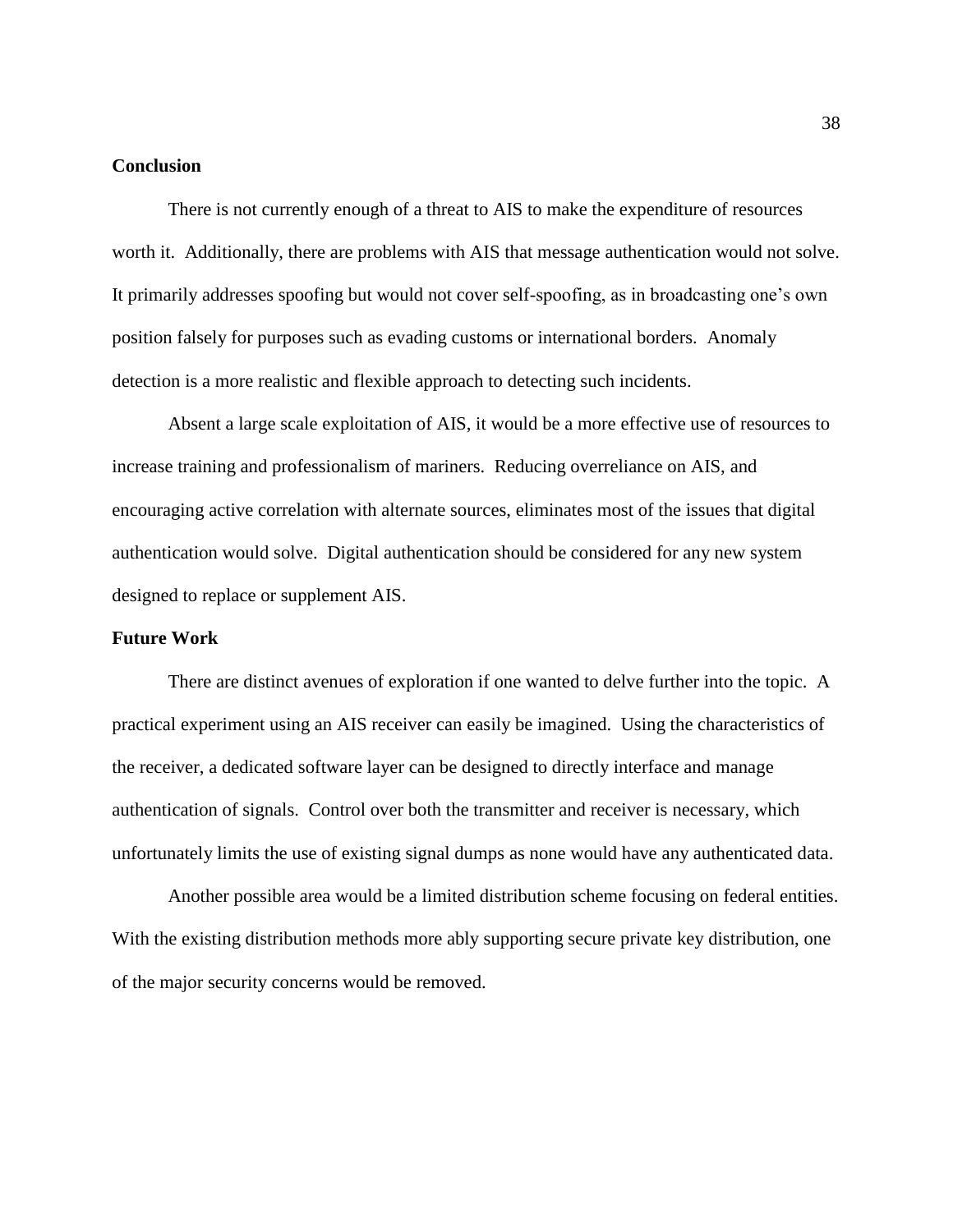#### **Conclusion**

There is not currently enough of a threat to AIS to make the expenditure of resources worth it. Additionally, there are problems with AIS that message authentication would not solve. It primarily addresses spoofing but would not cover self-spoofing, as in broadcasting one's own position falsely for purposes such as evading customs or international borders. Anomaly detection is a more realistic and flexible approach to detecting such incidents.

Absent a large scale exploitation of AIS, it would be a more effective use of resources to increase training and professionalism of mariners. Reducing overreliance on AIS, and encouraging active correlation with alternate sources, eliminates most of the issues that digital authentication would solve. Digital authentication should be considered for any new system designed to replace or supplement AIS.

#### **Future Work**

There are distinct avenues of exploration if one wanted to delve further into the topic. A practical experiment using an AIS receiver can easily be imagined. Using the characteristics of the receiver, a dedicated software layer can be designed to directly interface and manage authentication of signals. Control over both the transmitter and receiver is necessary, which unfortunately limits the use of existing signal dumps as none would have any authenticated data.

Another possible area would be a limited distribution scheme focusing on federal entities. With the existing distribution methods more ably supporting secure private key distribution, one of the major security concerns would be removed.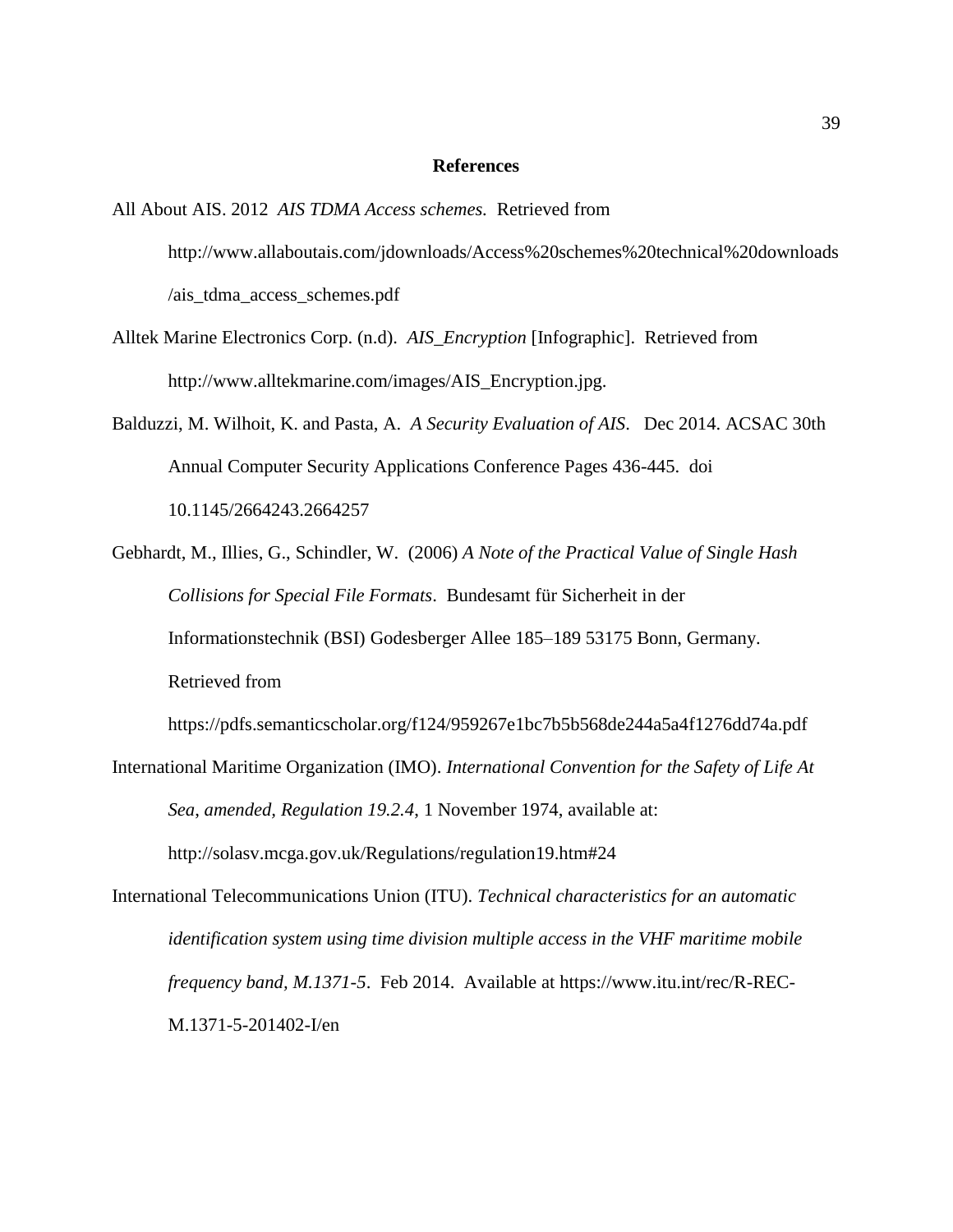#### **References**

- All About AIS. 2012 *AIS TDMA Access schemes.* Retrieved from http://www.allaboutais.com/jdownloads/Access%20schemes%20technical%20downloads /ais\_tdma\_access\_schemes.pdf
- Alltek Marine Electronics Corp. (n.d). *AIS\_Encryption* [Infographic]. Retrieved from http://www.alltekmarine.com/images/AIS\_Encryption.jpg.
- Balduzzi, M. Wilhoit, K. and Pasta, A. *A Security Evaluation of AIS*. Dec 2014. ACSAC 30th Annual Computer Security Applications Conference Pages 436-445. doi 10.1145/2664243.2664257
- Gebhardt, M., Illies, G., Schindler, W. (2006) *A Note of the Practical Value of Single Hash Collisions for Special File Formats*. Bundesamt für Sicherheit in der Informationstechnik (BSI) Godesberger Allee 185–189 53175 Bonn, Germany. Retrieved from

https://pdfs.semanticscholar.org/f124/959267e1bc7b5b568de244a5a4f1276dd74a.pdf

- International Maritime Organization (IMO). *International Convention for the Safety of Life At Sea*, *amended, Regulation 19.2.4*, 1 November 1974, available at: http://solasv.mcga.gov.uk/Regulations/regulation19.htm#24
- International Telecommunications Union (ITU). *Technical characteristics for an automatic identification system using time division multiple access in the VHF maritime mobile frequency band, M.1371-5*. Feb 2014. Available at https://www.itu.int/rec/R-REC-M.1371-5-201402-I/en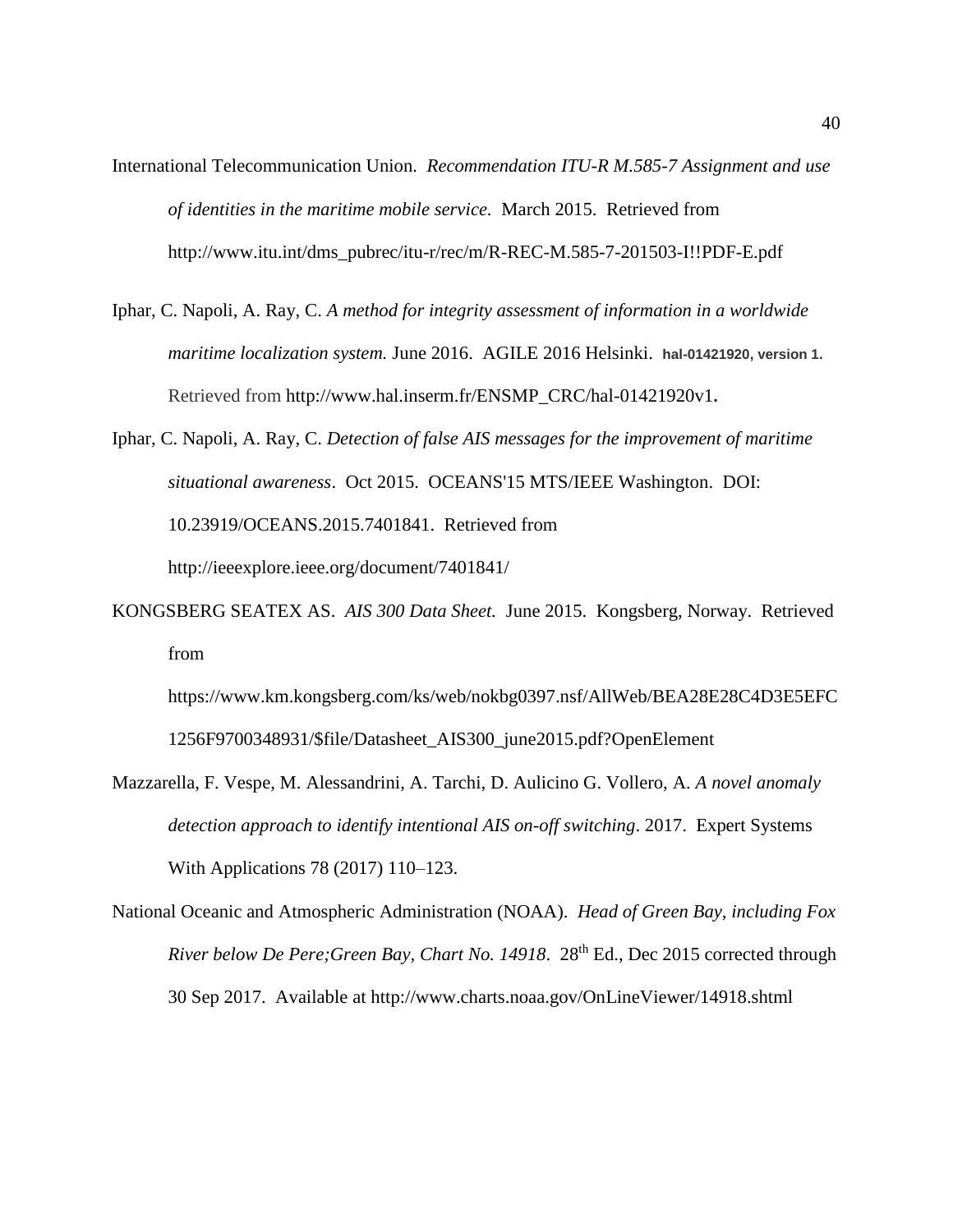- International Telecommunication Union. *Recommendation ITU-R M.585-7 Assignment and use of identities in the maritime mobile service.* March 2015.Retrieved from http://www.itu.int/dms\_pubrec/itu-r/rec/m/R-REC-M.585-7-201503-I!!PDF-E.pdf
- Iphar, C. Napoli, A. Ray, C. *A method for integrity assessment of information in a worldwide maritime localization system.* June 2016. AGILE 2016 Helsinki. **hal-01421920, version 1.**  Retrieved from http://www.hal.inserm.fr/ENSMP\_CRC/hal-01421920v1**.**
- Iphar, C. Napoli, A. Ray, C. *Detection of false AIS messages for the improvement of maritime situational awareness*. Oct 2015. OCEANS'15 MTS/IEEE Washington. DOI: 10.23919/OCEANS.2015.7401841. Retrieved from http://ieeexplore.ieee.org/document/7401841/
- KONGSBERG SEATEX AS. *AIS 300 Data Sheet.* June 2015. Kongsberg, Norway. Retrieved from

https://www.km.kongsberg.com/ks/web/nokbg0397.nsf/AllWeb/BEA28E28C4D3E5EFC 1256F9700348931/\$file/Datasheet\_AIS300\_june2015.pdf?OpenElement

- Mazzarella, F. Vespe, M. Alessandrini, A. Tarchi, D. Aulicino G. Vollero, A. *A novel anomaly detection approach to identify intentional AIS on-off switching*. 2017. Expert Systems With Applications 78 (2017) 110–123.
- National Oceanic and Atmospheric Administration (NOAA). *Head of Green Bay, including Fox River below De Pere;Green Bay, Chart No. 14918*. 28th Ed., Dec 2015 corrected through 30 Sep 2017. Available at http://www.charts.noaa.gov/OnLineViewer/14918.shtml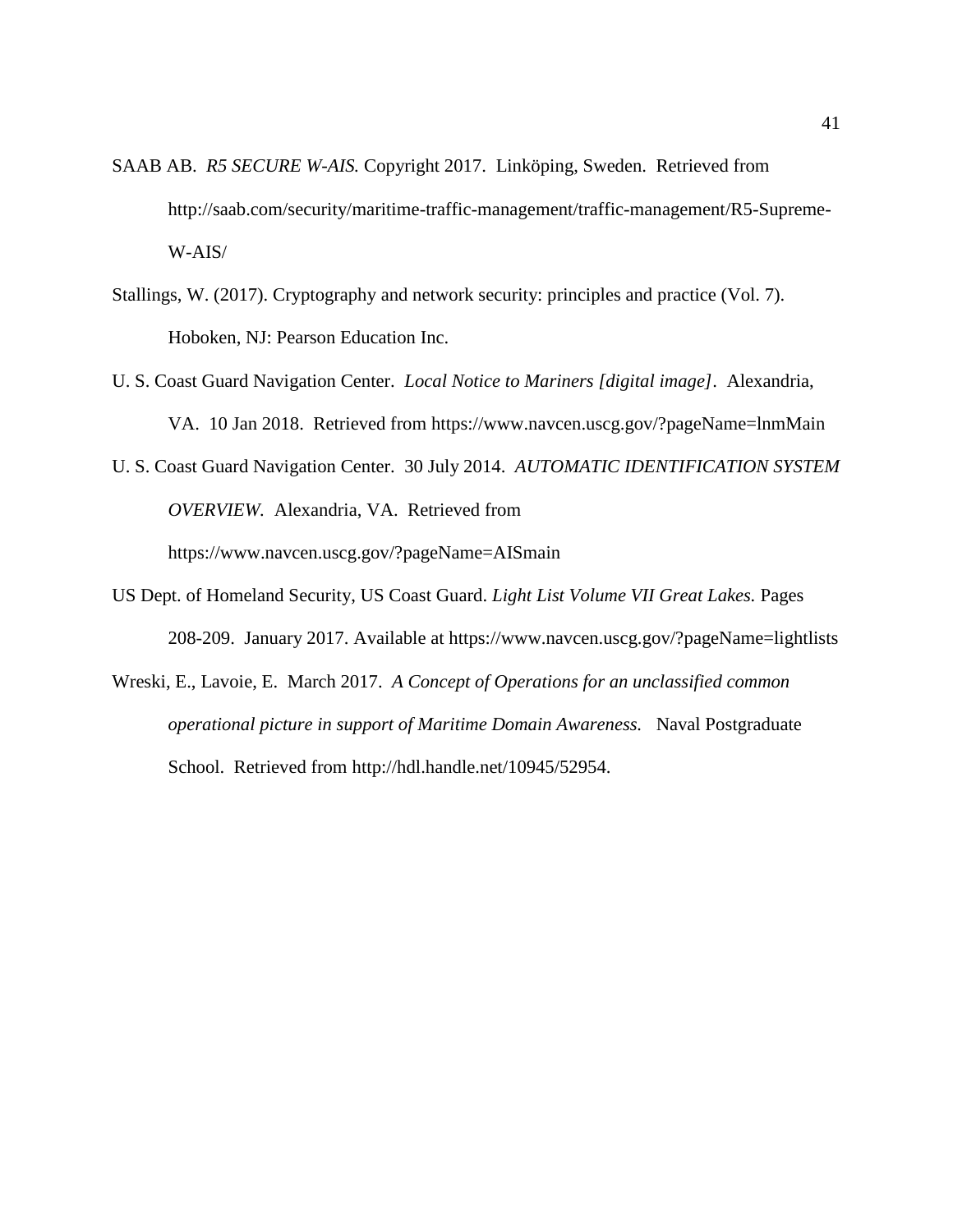- SAAB AB. *R5 SECURE W-AIS.* Copyright 2017.Linköping, Sweden. Retrieved from http://saab.com/security/maritime-traffic-management/traffic-management/R5-Supreme-W-AIS/
- Stallings, W. (2017). Cryptography and network security: principles and practice (Vol. 7). Hoboken, NJ: Pearson Education Inc.
- U. S. Coast Guard Navigation Center. *Local Notice to Mariners [digital image]*. Alexandria, VA. 10 Jan 2018. Retrieved from https://www.navcen.uscg.gov/?pageName=lnmMain
- U. S. Coast Guard Navigation Center. 30 July 2014. *AUTOMATIC IDENTIFICATION SYSTEM OVERVIEW.* Alexandria, VA. Retrieved from https://www.navcen.uscg.gov/?pageName=AISmain
- US Dept. of Homeland Security, US Coast Guard. *Light List Volume VII Great Lakes.* Pages 208-209. January 2017. Available at https://www.navcen.uscg.gov/?pageName=lightlists
- Wreski, E., Lavoie, E. March 2017. *A Concept of Operations for an unclassified common operational picture in support of Maritime Domain Awareness.* Naval Postgraduate School. Retrieved from http://hdl.handle.net/10945/52954.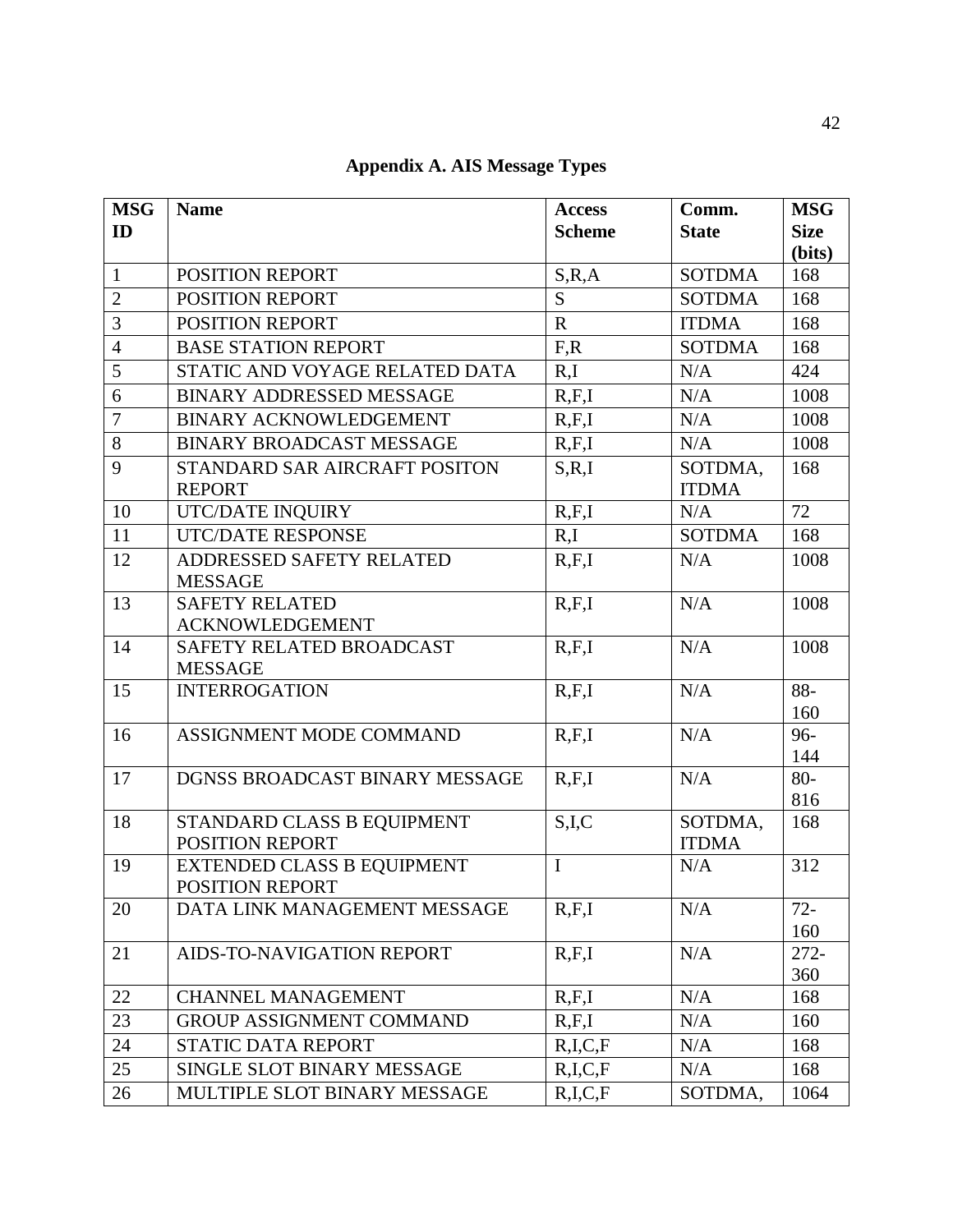| <b>MSG</b>     | <b>Name</b>                       | <b>Access</b>  | Comm.         | <b>MSG</b>  |
|----------------|-----------------------------------|----------------|---------------|-------------|
| ID             |                                   | <b>Scheme</b>  | <b>State</b>  | <b>Size</b> |
|                |                                   |                |               | (bits)      |
| $\mathbf{1}$   | POSITION REPORT                   | S, R, A        | <b>SOTDMA</b> | 168         |
| $\overline{2}$ | POSITION REPORT                   | S              | <b>SOTDMA</b> | 168         |
| 3              | POSITION REPORT                   | $\overline{R}$ | <b>ITDMA</b>  | 168         |
| $\overline{4}$ | <b>BASE STATION REPORT</b>        | F, R           | <b>SOTDMA</b> | 168         |
| 5              | STATIC AND VOYAGE RELATED DATA    | R,I            | N/A           | 424         |
| 6              | <b>BINARY ADDRESSED MESSAGE</b>   | R, F, I        | N/A           | 1008        |
| $\overline{7}$ | BINARY ACKNOWLEDGEMENT            | R, F, I        | N/A           | 1008        |
| 8              | <b>BINARY BROADCAST MESSAGE</b>   | R, F, I        | N/A           | 1008        |
| 9              | STANDARD SAR AIRCRAFT POSITON     | S, R, I        | SOTDMA,       | 168         |
|                | <b>REPORT</b>                     |                | <b>ITDMA</b>  |             |
| 10             | UTC/DATE INQUIRY                  | R, F, I        | N/A           | 72          |
| 11             | <b>UTC/DATE RESPONSE</b>          | R,I            | <b>SOTDMA</b> | 168         |
| 12             | ADDRESSED SAFETY RELATED          | R, F, I        | N/A           | 1008        |
|                | <b>MESSAGE</b>                    |                |               |             |
| 13             | <b>SAFETY RELATED</b>             | R, F, I        | N/A           | 1008        |
|                | <b>ACKNOWLEDGEMENT</b>            |                |               |             |
| 14             | SAFETY RELATED BROADCAST          | R, F, I        | N/A           | 1008        |
|                | <b>MESSAGE</b>                    |                |               |             |
| 15             | <b>INTERROGATION</b>              | R.F.I          | N/A           | 88-         |
| 16             | ASSIGNMENT MODE COMMAND           | R, F, I        | N/A           | 160<br>96-  |
|                |                                   |                |               | 144         |
| 17             | DGNSS BROADCAST BINARY MESSAGE    | R, F, I        | N/A           | $80-$       |
|                |                                   |                |               | 816         |
| 18             | STANDARD CLASS B EQUIPMENT        | S,I,C          | SOTDMA,       | 168         |
|                | POSITION REPORT                   |                | <b>ITDMA</b>  |             |
| 19             | <b>EXTENDED CLASS B EQUIPMENT</b> | $\mathbf I$    | N/A           | 312         |
|                | POSITION REPORT                   |                |               |             |
| 20             | DATA LINK MANAGEMENT MESSAGE      | R.F.I          | N/A           | $72 -$      |
|                |                                   |                |               | 160         |
| 21             | AIDS-TO-NAVIGATION REPORT         | R, F, I        | N/A           | $272 -$     |
|                |                                   |                |               | 360         |
| 22             | <b>CHANNEL MANAGEMENT</b>         | R, F, I        | N/A           | 168         |
| 23             | <b>GROUP ASSIGNMENT COMMAND</b>   | R, F, I        | N/A           | 160         |
| 24             | <b>STATIC DATA REPORT</b>         | R,I,C,F        | N/A           | 168         |
| 25             | SINGLE SLOT BINARY MESSAGE        | R,I,C,F        | N/A           | 168         |
| 26             | MULTIPLE SLOT BINARY MESSAGE      | R,I,C,F        | SOTDMA,       | 1064        |

**Appendix A. AIS Message Types**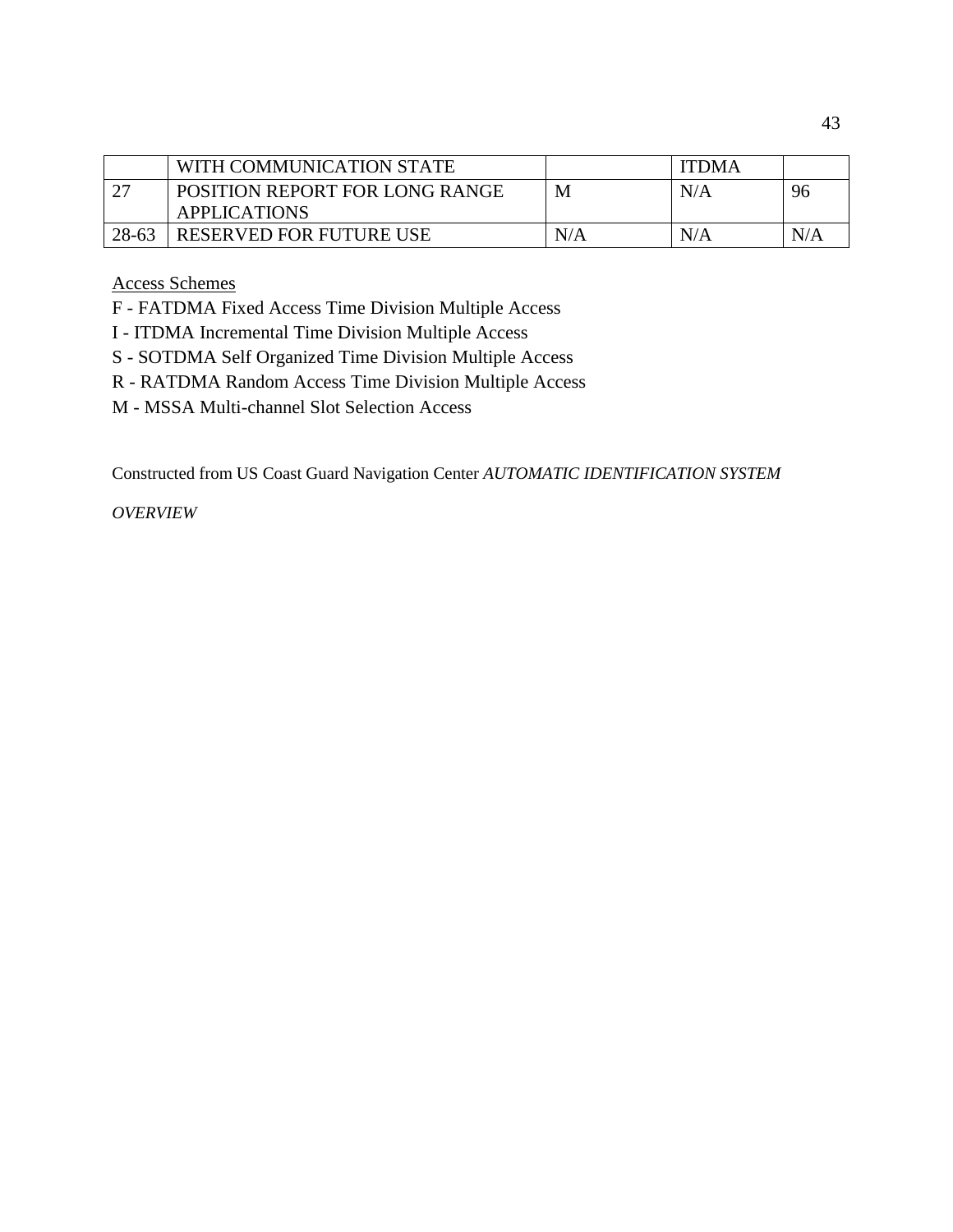|       | WITH COMMUNICATION STATE              |     | <b>ITDMA</b> |     |
|-------|---------------------------------------|-----|--------------|-----|
|       | <b>POSITION REPORT FOR LONG RANGE</b> | M   | N/A          | 96  |
|       | <b>APPLICATIONS</b>                   |     |              |     |
| 28-63 | <b>RESERVED FOR FUTURE USE</b>        | N/A | N/A          | N/A |

Access Schemes

F - FATDMA Fixed Access Time Division Multiple Access

- I ITDMA Incremental Time Division Multiple Access
- S SOTDMA Self Organized Time Division Multiple Access
- R RATDMA Random Access Time Division Multiple Access
- M MSSA Multi-channel Slot Selection Access

Constructed from US Coast Guard Navigation Center *AUTOMATIC IDENTIFICATION SYSTEM* 

*OVERVIEW*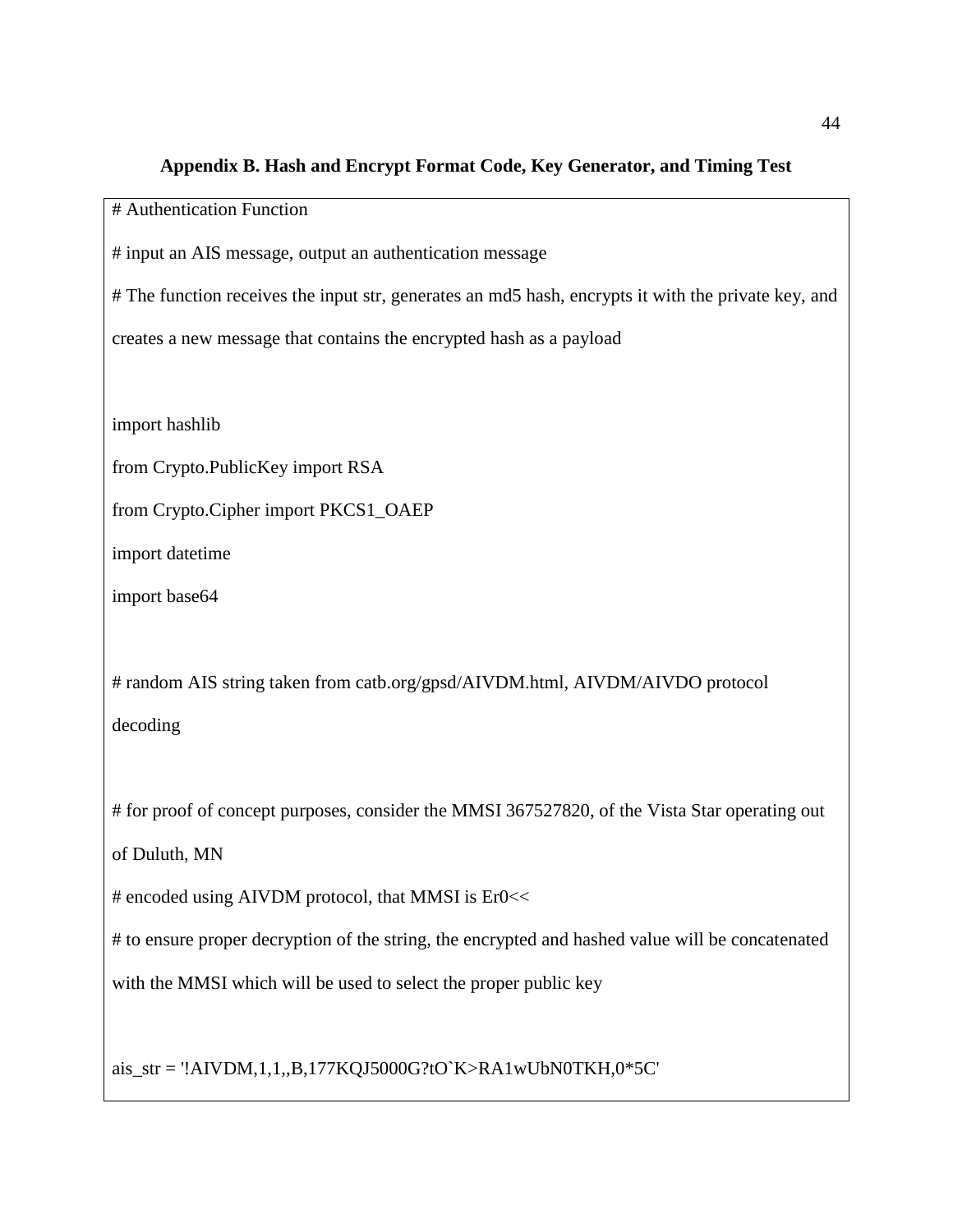#### **Appendix B. Hash and Encrypt Format Code, Key Generator, and Timing Test**

# Authentication Function

# input an AIS message, output an authentication message

# The function receives the input str, generates an md5 hash, encrypts it with the private key, and

creates a new message that contains the encrypted hash as a payload

import hashlib

from Crypto.PublicKey import RSA

from Crypto.Cipher import PKCS1\_OAEP

import datetime

import base64

# random AIS string taken from catb.org/gpsd/AIVDM.html, AIVDM/AIVDO protocol decoding

# for proof of concept purposes, consider the MMSI 367527820, of the Vista Star operating out

of Duluth, MN

# encoded using AIVDM protocol, that MMSI is Er0<<

# to ensure proper decryption of the string, the encrypted and hashed value will be concatenated

with the MMSI which will be used to select the proper public key

ais\_str = '!AIVDM,1,1,,B,177KQJ5000G?tO`K>RA1wUbN0TKH,0\*5C'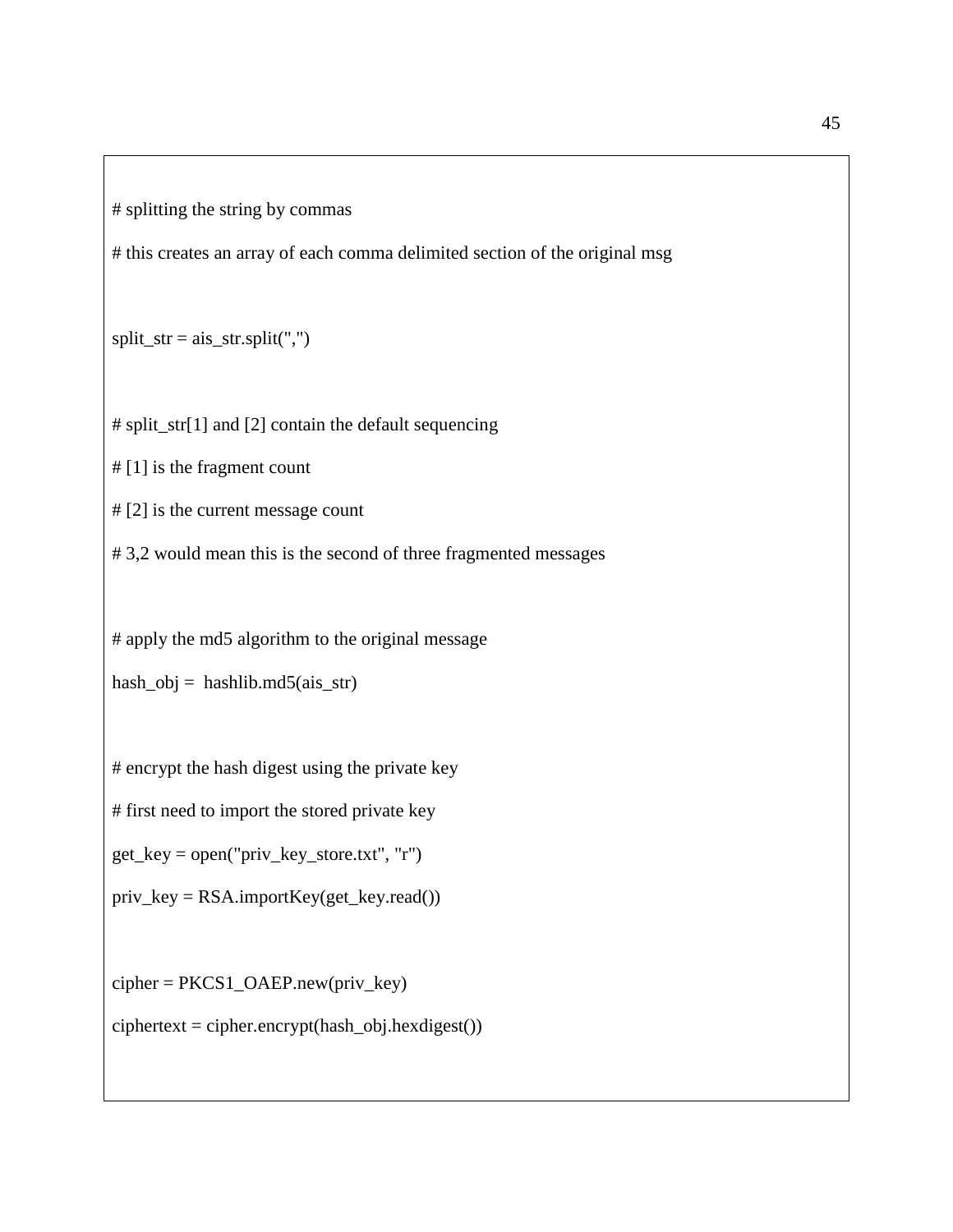# splitting the string by commas

# this creates an array of each comma delimited section of the original msg

 $split\_str = ais\_str.split(",")$ 

# split\_str[1] and [2] contain the default sequencing

# [1] is the fragment count

# [2] is the current message count

# 3,2 would mean this is the second of three fragmented messages

# apply the md5 algorithm to the original message

hash\_obj = hashlib.md5(ais\_str)

# encrypt the hash digest using the private key

# first need to import the stored private key

get\_key = open("priv\_key\_store.txt", "r")

priv\_key = RSA.importKey(get\_key.read())

cipher = PKCS1\_OAEP.new(priv\_key)

 $ciphertext = cipher. encrypt (hash_obj.hexdigest())$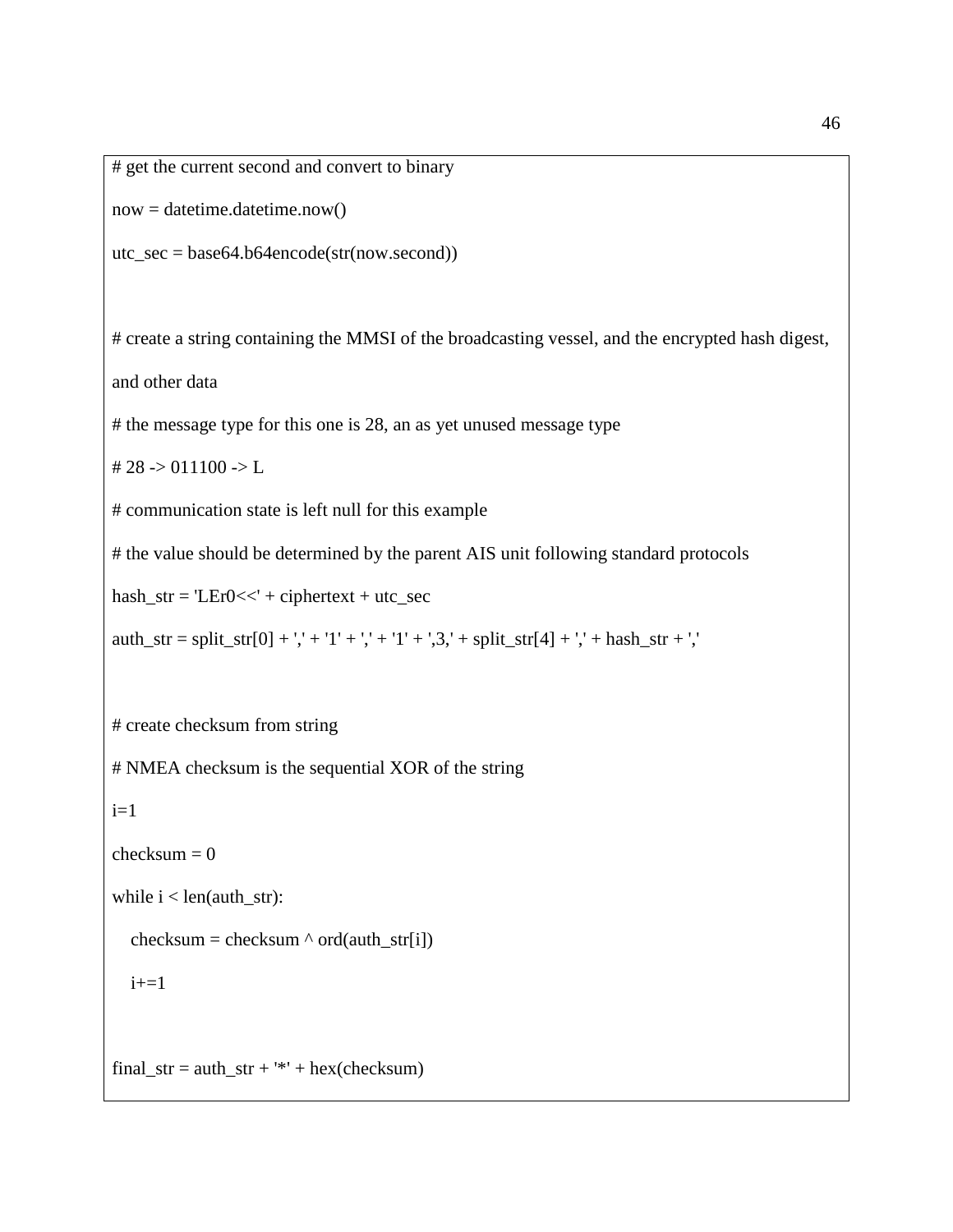```
# get the current second and convert to binary
```
 $now = datetime.datetime.now()$ 

utc\_sec = base64.b64encode(str(now.second))

# create a string containing the MMSI of the broadcasting vessel, and the encrypted hash digest,

and other data

# the message type for this one is 28, an as yet unused message type

# 28  $\rightarrow$  011100  $\rightarrow$  L

# communication state is left null for this example

# the value should be determined by the parent AIS unit following standard protocols

 $hash\_str = 'LEr0 <<' + ciphertext + utc\_sec$ 

```
auth_str = split_str[0] + ',' + '1' + ',' + '1' + ',3,' + split_str[4] + ',' + hash_str + ','
```
# create checksum from string

# NMEA checksum is the sequential XOR of the string

 $i=1$ 

```
checksum = 0
```
while  $i$  < len(auth\_str):

checksum = checksum  $\land$  ord(auth\_str[i])

 $i+=1$ 

final\_str =  $\text{auth\_str} +$  '\*' + hex(checksum)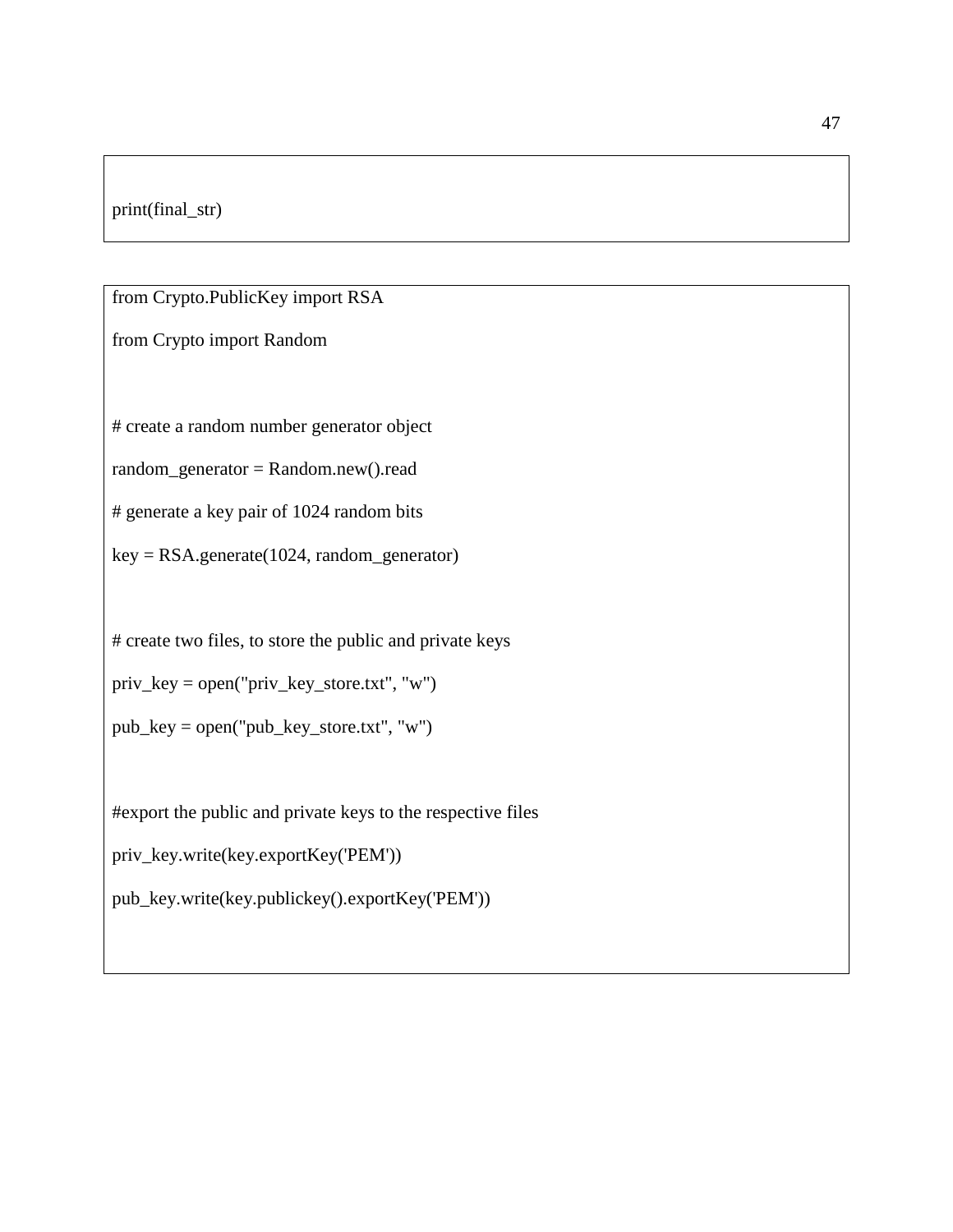## print(final\_str)

from Crypto.PublicKey import RSA

from Crypto import Random

# create a random number generator object

random\_generator = Random.new().read

# generate a key pair of 1024 random bits

key = RSA.generate(1024, random\_generator)

# create two files, to store the public and private keys

priv\_key = open("priv\_key\_store.txt", "w")

 $pub\_key = open("pub\_key\_store.txt", "w")$ 

#export the public and private keys to the respective files

```
priv_key.write(key.exportKey('PEM'))
```
pub\_key.write(key.publickey().exportKey('PEM'))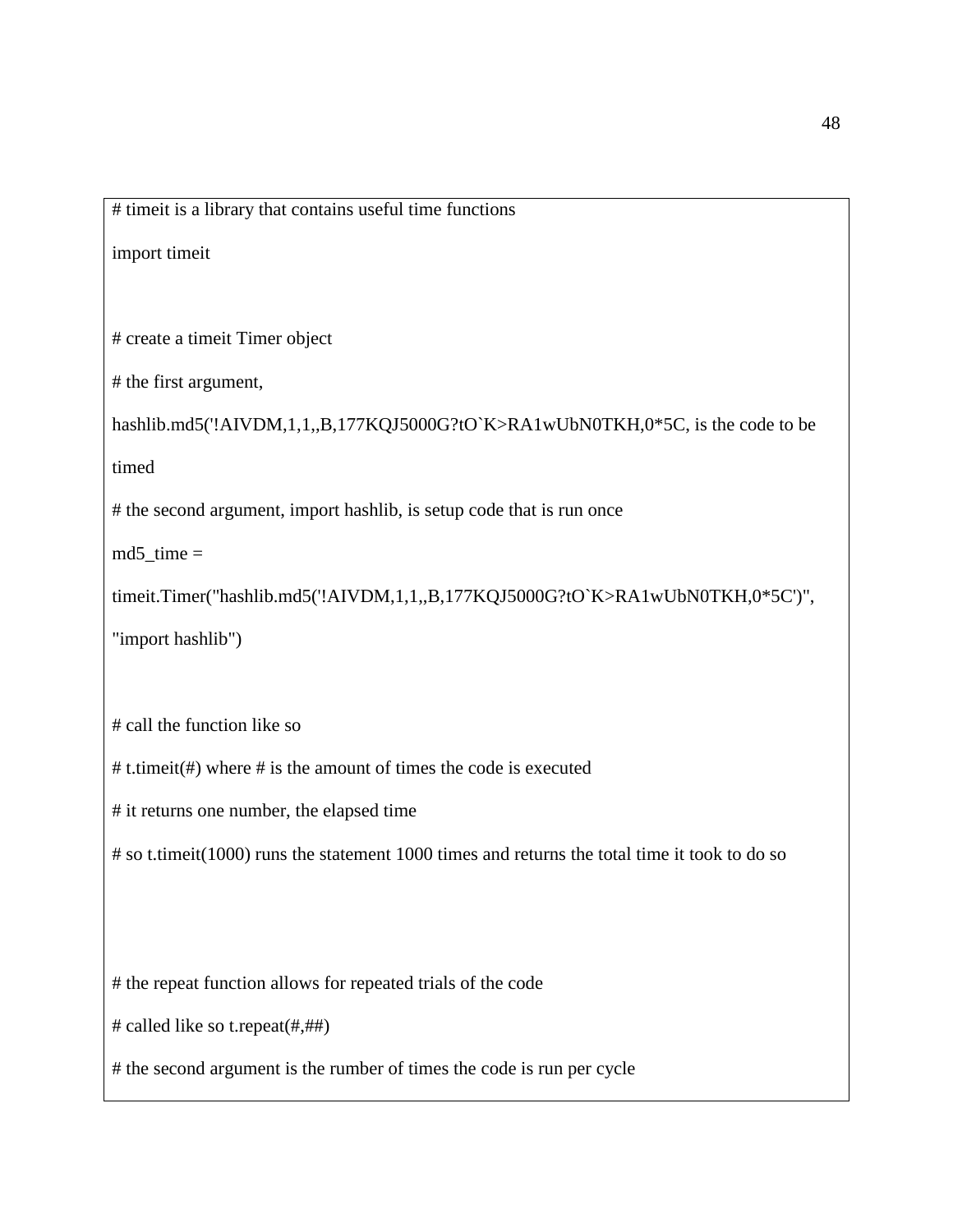# timeit is a library that contains useful time functions

import timeit

# create a timeit Timer object

# the first argument,

hashlib.md5('!AIVDM,1,1,,B,177KQJ5000G?tO`K>RA1wUbN0TKH,0\*5C, is the code to be

timed

# the second argument, import hashlib, is setup code that is run once

 $md5_time =$ 

timeit.Timer("hashlib.md5('!AIVDM,1,1,,B,177KQJ5000G?tO`K>RA1wUbN0TKH,0\*5C')",

"import hashlib")

# call the function like so

# t.timeit(#) where # is the amount of times the code is executed

# it returns one number, the elapsed time

# so t.timeit(1000) runs the statement 1000 times and returns the total time it took to do so

# the repeat function allows for repeated trials of the code

# called like so t.repeat(#,##)

# the second argument is the rumber of times the code is run per cycle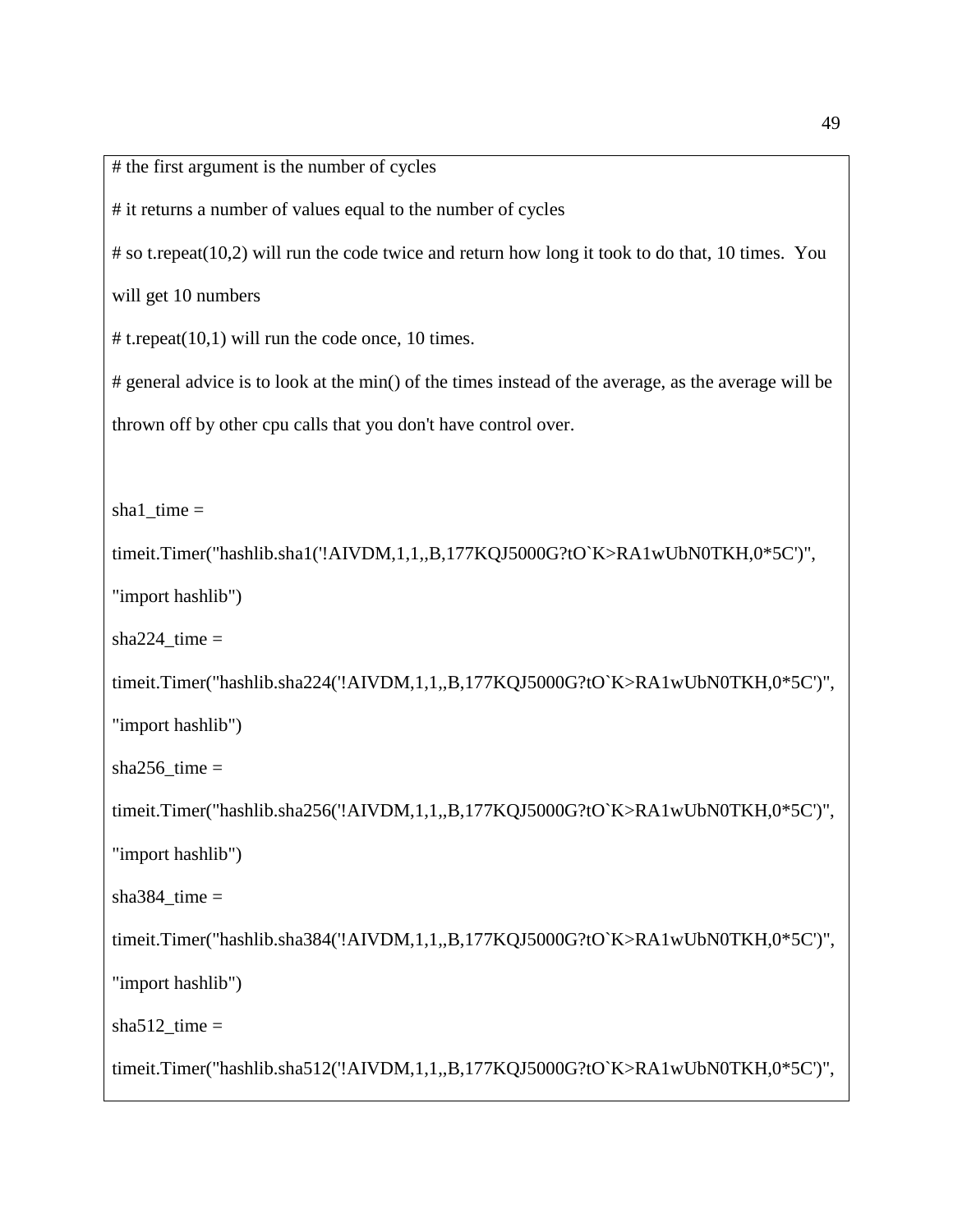# the first argument is the number of cycles

# it returns a number of values equal to the number of cycles

# so t.repeat(10,2) will run the code twice and return how long it took to do that, 10 times. You

will get 10 numbers

# t.repeat(10,1) will run the code once, 10 times.

# general advice is to look at the min() of the times instead of the average, as the average will be thrown off by other cpu calls that you don't have control over.

 $shal_time =$ 

timeit.Timer("hashlib.sha1('!AIVDM,1,1,,B,177KQJ5000G?tO`K>RA1wUbN0TKH,0\*5C')",

"import hashlib")

sha $224$ \_time =

timeit.Timer("hashlib.sha224('!AIVDM,1,1,,B,177KQJ5000G?tO`K>RA1wUbN0TKH,0\*5C')",

"import hashlib")

sha $256$ \_time =

timeit.Timer("hashlib.sha256('!AIVDM,1,1,,B,177KQJ5000G?tO`K>RA1wUbN0TKH,0\*5C')",

"import hashlib")

sha $384$ \_time =

timeit.Timer("hashlib.sha384('!AIVDM,1,1,,B,177KQJ5000G?tO`K>RA1wUbN0TKH,0\*5C')",

"import hashlib")

sha $512$ \_time =

timeit.Timer("hashlib.sha512('!AIVDM,1,1,,B,177KQJ5000G?tO`K>RA1wUbN0TKH,0\*5C')",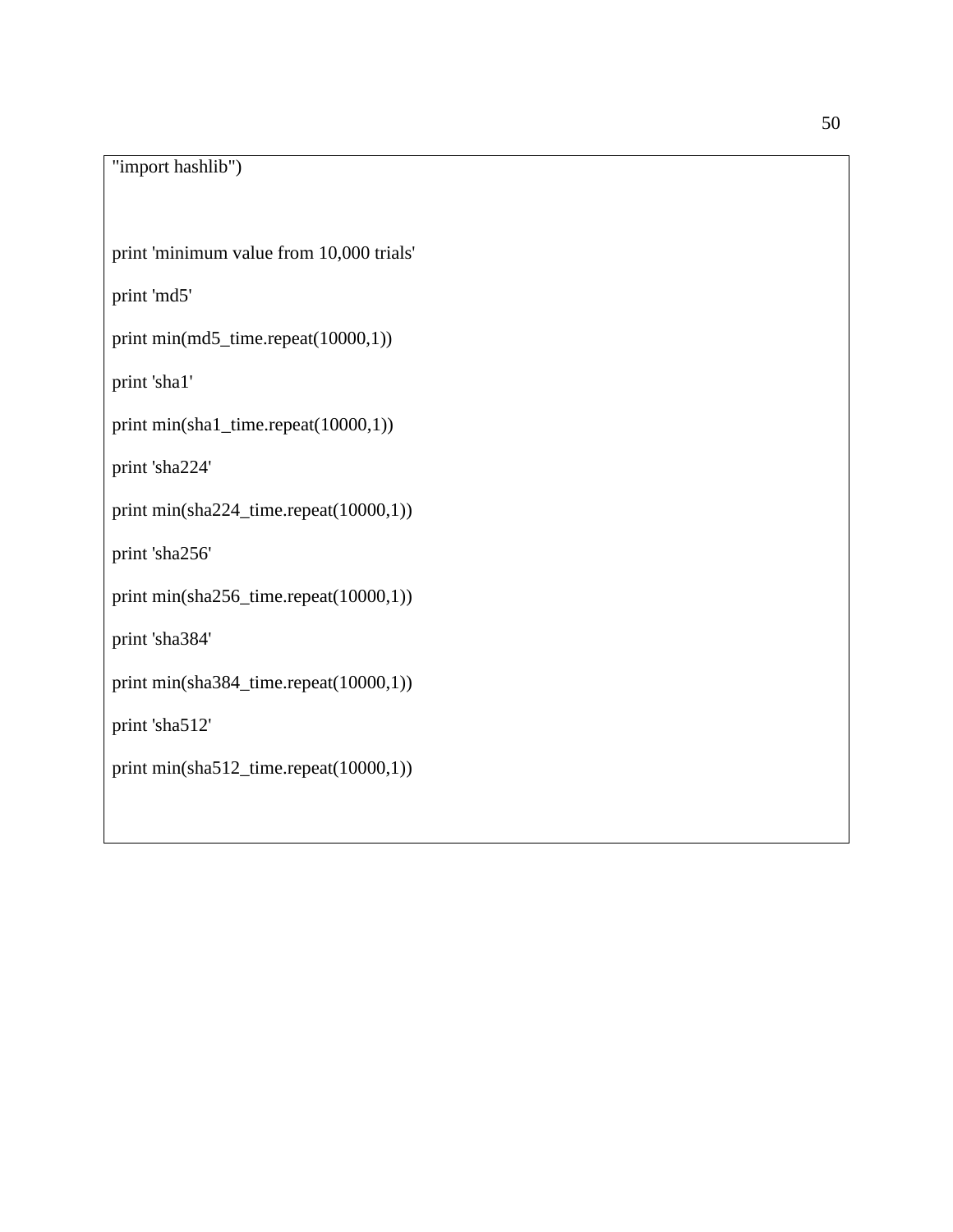"import hashlib")

print 'minimum value from 10,000 trials'

print 'md5'

print min(md5\_time.repeat(10000,1))

print 'sha1'

print min(sha1\_time.repeat(10000,1))

print 'sha224'

print min(sha224\_time.repeat(10000,1))

print 'sha256'

print min(sha256\_time.repeat(10000,1))

print 'sha384'

print min(sha384\_time.repeat(10000,1))

print 'sha512'

print min(sha512\_time.repeat(10000,1))